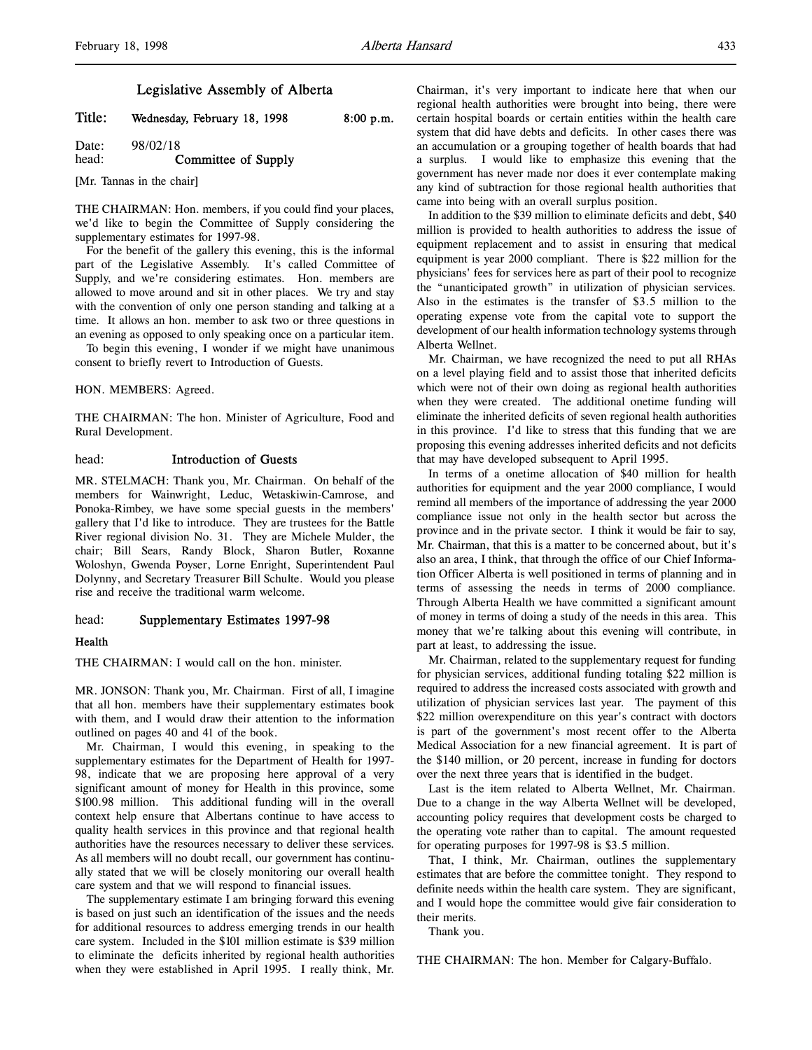# Legislative Assembly of Alberta

Title: Wednesday, February 18, 1998 8:00 p.m.

Date: 98/02/18 head: **Committee of Supply** 

[Mr. Tannas in the chair]

THE CHAIRMAN: Hon. members, if you could find your places, we'd like to begin the Committee of Supply considering the supplementary estimates for 1997-98.

For the benefit of the gallery this evening, this is the informal part of the Legislative Assembly. It's called Committee of Supply, and we're considering estimates. Hon. members are allowed to move around and sit in other places. We try and stay with the convention of only one person standing and talking at a time. It allows an hon. member to ask two or three questions in an evening as opposed to only speaking once on a particular item.

To begin this evening, I wonder if we might have unanimous consent to briefly revert to Introduction of Guests.

#### HON. MEMBERS: Agreed.

THE CHAIRMAN: The hon. Minister of Agriculture, Food and Rural Development.

# head: Introduction of Guests

MR. STELMACH: Thank you, Mr. Chairman. On behalf of the members for Wainwright, Leduc, Wetaskiwin-Camrose, and Ponoka-Rimbey, we have some special guests in the members' gallery that I'd like to introduce. They are trustees for the Battle River regional division No. 31. They are Michele Mulder, the chair; Bill Sears, Randy Block, Sharon Butler, Roxanne Woloshyn, Gwenda Poyser, Lorne Enright, Superintendent Paul Dolynny, and Secretary Treasurer Bill Schulte. Would you please rise and receive the traditional warm welcome.

# head: Supplementary Estimates 1997-98

# Health

THE CHAIRMAN: I would call on the hon. minister.

MR. JONSON: Thank you, Mr. Chairman. First of all, I imagine that all hon. members have their supplementary estimates book with them, and I would draw their attention to the information outlined on pages 40 and 41 of the book.

Mr. Chairman, I would this evening, in speaking to the supplementary estimates for the Department of Health for 1997- 98, indicate that we are proposing here approval of a very significant amount of money for Health in this province, some \$100.98 million. This additional funding will in the overall context help ensure that Albertans continue to have access to quality health services in this province and that regional health authorities have the resources necessary to deliver these services. As all members will no doubt recall, our government has continually stated that we will be closely monitoring our overall health care system and that we will respond to financial issues.

The supplementary estimate I am bringing forward this evening is based on just such an identification of the issues and the needs for additional resources to address emerging trends in our health care system. Included in the \$101 million estimate is \$39 million to eliminate the deficits inherited by regional health authorities when they were established in April 1995. I really think, Mr.

Chairman, it's very important to indicate here that when our regional health authorities were brought into being, there were certain hospital boards or certain entities within the health care system that did have debts and deficits. In other cases there was an accumulation or a grouping together of health boards that had a surplus. I would like to emphasize this evening that the government has never made nor does it ever contemplate making any kind of subtraction for those regional health authorities that came into being with an overall surplus position.

In addition to the \$39 million to eliminate deficits and debt, \$40 million is provided to health authorities to address the issue of equipment replacement and to assist in ensuring that medical equipment is year 2000 compliant. There is \$22 million for the physicians' fees for services here as part of their pool to recognize the "unanticipated growth" in utilization of physician services. Also in the estimates is the transfer of \$3.5 million to the operating expense vote from the capital vote to support the development of our health information technology systems through Alberta Wellnet.

Mr. Chairman, we have recognized the need to put all RHAs on a level playing field and to assist those that inherited deficits which were not of their own doing as regional health authorities when they were created. The additional onetime funding will eliminate the inherited deficits of seven regional health authorities in this province. I'd like to stress that this funding that we are proposing this evening addresses inherited deficits and not deficits that may have developed subsequent to April 1995.

In terms of a onetime allocation of \$40 million for health authorities for equipment and the year 2000 compliance, I would remind all members of the importance of addressing the year 2000 compliance issue not only in the health sector but across the province and in the private sector. I think it would be fair to say, Mr. Chairman, that this is a matter to be concerned about, but it's also an area, I think, that through the office of our Chief Information Officer Alberta is well positioned in terms of planning and in terms of assessing the needs in terms of 2000 compliance. Through Alberta Health we have committed a significant amount of money in terms of doing a study of the needs in this area. This money that we're talking about this evening will contribute, in part at least, to addressing the issue.

Mr. Chairman, related to the supplementary request for funding for physician services, additional funding totaling \$22 million is required to address the increased costs associated with growth and utilization of physician services last year. The payment of this \$22 million overexpenditure on this year's contract with doctors is part of the government's most recent offer to the Alberta Medical Association for a new financial agreement. It is part of the \$140 million, or 20 percent, increase in funding for doctors over the next three years that is identified in the budget.

Last is the item related to Alberta Wellnet, Mr. Chairman. Due to a change in the way Alberta Wellnet will be developed, accounting policy requires that development costs be charged to the operating vote rather than to capital. The amount requested for operating purposes for 1997-98 is \$3.5 million.

That, I think, Mr. Chairman, outlines the supplementary estimates that are before the committee tonight. They respond to definite needs within the health care system. They are significant, and I would hope the committee would give fair consideration to their merits.

Thank you.

THE CHAIRMAN: The hon. Member for Calgary-Buffalo.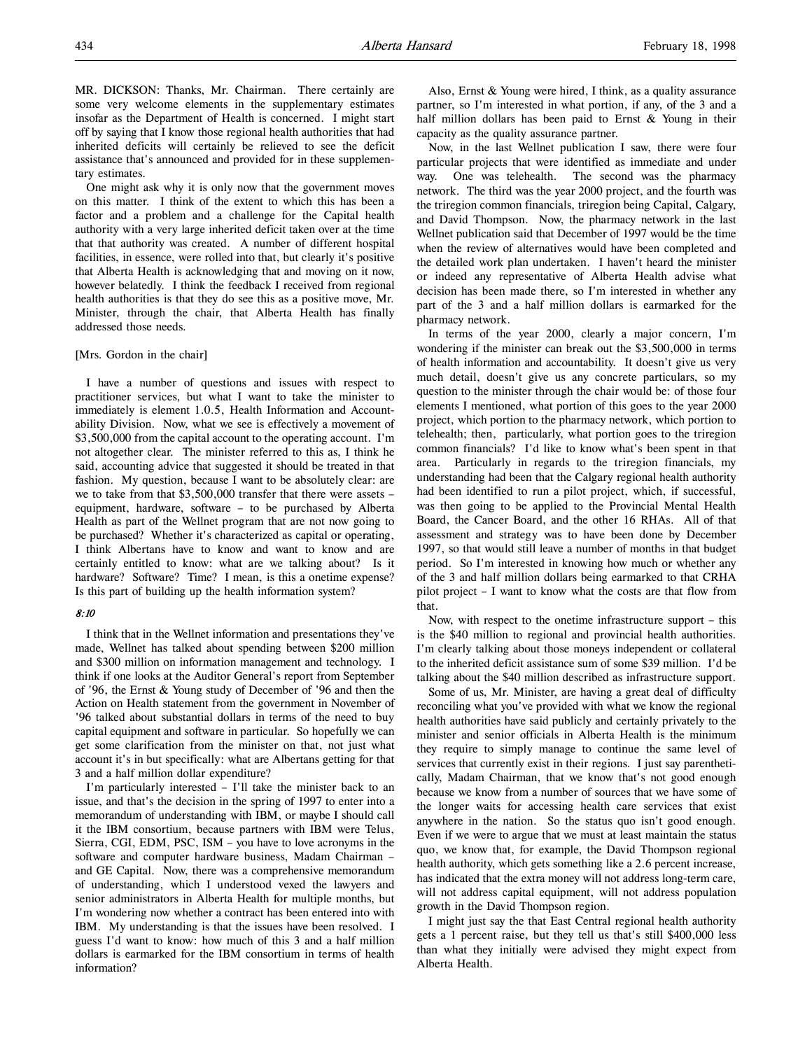tary estimates. One might ask why it is only now that the government moves on this matter. I think of the extent to which this has been a factor and a problem and a challenge for the Capital health authority with a very large inherited deficit taken over at the time that that authority was created. A number of different hospital facilities, in essence, were rolled into that, but clearly it's positive that Alberta Health is acknowledging that and moving on it now, however belatedly. I think the feedback I received from regional health authorities is that they do see this as a positive move, Mr. Minister, through the chair, that Alberta Health has finally addressed those needs.

assistance that's announced and provided for in these supplemen-

### [Mrs. Gordon in the chair]

I have a number of questions and issues with respect to practitioner services, but what I want to take the minister to immediately is element 1.0.5, Health Information and Accountability Division. Now, what we see is effectively a movement of \$3,500,000 from the capital account to the operating account. I'm not altogether clear. The minister referred to this as, I think he said, accounting advice that suggested it should be treated in that fashion. My question, because I want to be absolutely clear: are we to take from that \$3,500,000 transfer that there were assets – equipment, hardware, software – to be purchased by Alberta Health as part of the Wellnet program that are not now going to be purchased? Whether it's characterized as capital or operating, I think Albertans have to know and want to know and are certainly entitled to know: what are we talking about? Is it hardware? Software? Time? I mean, is this a onetime expense? Is this part of building up the health information system?

# 8:10

I think that in the Wellnet information and presentations they've made, Wellnet has talked about spending between \$200 million and \$300 million on information management and technology. I think if one looks at the Auditor General's report from September of '96, the Ernst & Young study of December of '96 and then the Action on Health statement from the government in November of '96 talked about substantial dollars in terms of the need to buy capital equipment and software in particular. So hopefully we can get some clarification from the minister on that, not just what account it's in but specifically: what are Albertans getting for that 3 and a half million dollar expenditure?

I'm particularly interested – I'll take the minister back to an issue, and that's the decision in the spring of 1997 to enter into a memorandum of understanding with IBM, or maybe I should call it the IBM consortium, because partners with IBM were Telus, Sierra, CGI, EDM, PSC, ISM – you have to love acronyms in the software and computer hardware business, Madam Chairman – and GE Capital. Now, there was a comprehensive memorandum of understanding, which I understood vexed the lawyers and senior administrators in Alberta Health for multiple months, but I'm wondering now whether a contract has been entered into with IBM. My understanding is that the issues have been resolved. I guess I'd want to know: how much of this 3 and a half million dollars is earmarked for the IBM consortium in terms of health information?

Also, Ernst & Young were hired, I think, as a quality assurance partner, so I'm interested in what portion, if any, of the 3 and a half million dollars has been paid to Ernst  $&$  Young in their capacity as the quality assurance partner.

Now, in the last Wellnet publication I saw, there were four particular projects that were identified as immediate and under way. One was telehealth. The second was the pharmacy network. The third was the year 2000 project, and the fourth was the triregion common financials, triregion being Capital, Calgary, and David Thompson. Now, the pharmacy network in the last Wellnet publication said that December of 1997 would be the time when the review of alternatives would have been completed and the detailed work plan undertaken. I haven't heard the minister or indeed any representative of Alberta Health advise what decision has been made there, so I'm interested in whether any part of the 3 and a half million dollars is earmarked for the pharmacy network.

In terms of the year 2000, clearly a major concern, I'm wondering if the minister can break out the \$3,500,000 in terms of health information and accountability. It doesn't give us very much detail, doesn't give us any concrete particulars, so my question to the minister through the chair would be: of those four elements I mentioned, what portion of this goes to the year 2000 project, which portion to the pharmacy network, which portion to telehealth; then, particularly, what portion goes to the triregion common financials? I'd like to know what's been spent in that area. Particularly in regards to the triregion financials, my understanding had been that the Calgary regional health authority had been identified to run a pilot project, which, if successful, was then going to be applied to the Provincial Mental Health Board, the Cancer Board, and the other 16 RHAs. All of that assessment and strategy was to have been done by December 1997, so that would still leave a number of months in that budget period. So I'm interested in knowing how much or whether any of the 3 and half million dollars being earmarked to that CRHA pilot project – I want to know what the costs are that flow from that.

Now, with respect to the onetime infrastructure support – this is the \$40 million to regional and provincial health authorities. I'm clearly talking about those moneys independent or collateral to the inherited deficit assistance sum of some \$39 million. I'd be talking about the \$40 million described as infrastructure support.

Some of us, Mr. Minister, are having a great deal of difficulty reconciling what you've provided with what we know the regional health authorities have said publicly and certainly privately to the minister and senior officials in Alberta Health is the minimum they require to simply manage to continue the same level of services that currently exist in their regions. I just say parenthetically, Madam Chairman, that we know that's not good enough because we know from a number of sources that we have some of the longer waits for accessing health care services that exist anywhere in the nation. So the status quo isn't good enough. Even if we were to argue that we must at least maintain the status quo, we know that, for example, the David Thompson regional health authority, which gets something like a 2.6 percent increase, has indicated that the extra money will not address long-term care, will not address capital equipment, will not address population growth in the David Thompson region.

I might just say the that East Central regional health authority gets a 1 percent raise, but they tell us that's still \$400,000 less than what they initially were advised they might expect from Alberta Health.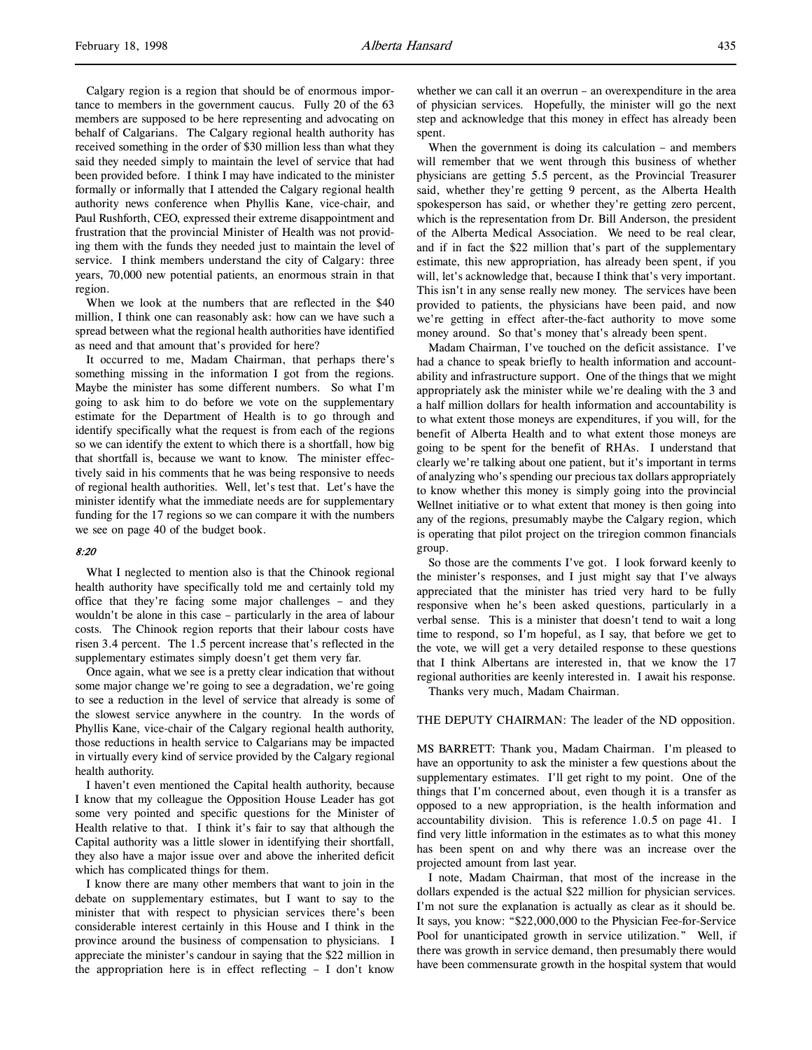Calgary region is a region that should be of enormous importance to members in the government caucus. Fully 20 of the 63 members are supposed to be here representing and advocating on behalf of Calgarians. The Calgary regional health authority has received something in the order of \$30 million less than what they said they needed simply to maintain the level of service that had been provided before. I think I may have indicated to the minister formally or informally that I attended the Calgary regional health authority news conference when Phyllis Kane, vice-chair, and Paul Rushforth, CEO, expressed their extreme disappointment and frustration that the provincial Minister of Health was not providing them with the funds they needed just to maintain the level of service. I think members understand the city of Calgary: three years, 70,000 new potential patients, an enormous strain in that region.

When we look at the numbers that are reflected in the \$40 million, I think one can reasonably ask: how can we have such a spread between what the regional health authorities have identified as need and that amount that's provided for here?

It occurred to me, Madam Chairman, that perhaps there's something missing in the information I got from the regions. Maybe the minister has some different numbers. So what I'm going to ask him to do before we vote on the supplementary estimate for the Department of Health is to go through and identify specifically what the request is from each of the regions so we can identify the extent to which there is a shortfall, how big that shortfall is, because we want to know. The minister effectively said in his comments that he was being responsive to needs of regional health authorities. Well, let's test that. Let's have the minister identify what the immediate needs are for supplementary funding for the 17 regions so we can compare it with the numbers we see on page 40 of the budget book.

### 8:20

What I neglected to mention also is that the Chinook regional health authority have specifically told me and certainly told my office that they're facing some major challenges – and they wouldn't be alone in this case – particularly in the area of labour costs. The Chinook region reports that their labour costs have risen 3.4 percent. The 1.5 percent increase that's reflected in the supplementary estimates simply doesn't get them very far.

Once again, what we see is a pretty clear indication that without some major change we're going to see a degradation, we're going to see a reduction in the level of service that already is some of the slowest service anywhere in the country. In the words of Phyllis Kane, vice-chair of the Calgary regional health authority, those reductions in health service to Calgarians may be impacted in virtually every kind of service provided by the Calgary regional health authority.

I haven't even mentioned the Capital health authority, because I know that my colleague the Opposition House Leader has got some very pointed and specific questions for the Minister of Health relative to that. I think it's fair to say that although the Capital authority was a little slower in identifying their shortfall, they also have a major issue over and above the inherited deficit which has complicated things for them.

I know there are many other members that want to join in the debate on supplementary estimates, but I want to say to the minister that with respect to physician services there's been considerable interest certainly in this House and I think in the province around the business of compensation to physicians. I appreciate the minister's candour in saying that the \$22 million in the appropriation here is in effect reflecting – I don't know

whether we can call it an overrun – an overexpenditure in the area of physician services. Hopefully, the minister will go the next step and acknowledge that this money in effect has already been spent.

When the government is doing its calculation – and members will remember that we went through this business of whether physicians are getting 5.5 percent, as the Provincial Treasurer said, whether they're getting 9 percent, as the Alberta Health spokesperson has said, or whether they're getting zero percent, which is the representation from Dr. Bill Anderson, the president of the Alberta Medical Association. We need to be real clear, and if in fact the \$22 million that's part of the supplementary estimate, this new appropriation, has already been spent, if you will, let's acknowledge that, because I think that's very important. This isn't in any sense really new money. The services have been provided to patients, the physicians have been paid, and now we're getting in effect after-the-fact authority to move some money around. So that's money that's already been spent.

Madam Chairman, I've touched on the deficit assistance. I've had a chance to speak briefly to health information and accountability and infrastructure support. One of the things that we might appropriately ask the minister while we're dealing with the 3 and a half million dollars for health information and accountability is to what extent those moneys are expenditures, if you will, for the benefit of Alberta Health and to what extent those moneys are going to be spent for the benefit of RHAs. I understand that clearly we're talking about one patient, but it's important in terms of analyzing who's spending our precious tax dollars appropriately to know whether this money is simply going into the provincial Wellnet initiative or to what extent that money is then going into any of the regions, presumably maybe the Calgary region, which is operating that pilot project on the triregion common financials group.

So those are the comments I've got. I look forward keenly to the minister's responses, and I just might say that I've always appreciated that the minister has tried very hard to be fully responsive when he's been asked questions, particularly in a verbal sense. This is a minister that doesn't tend to wait a long time to respond, so I'm hopeful, as I say, that before we get to the vote, we will get a very detailed response to these questions that I think Albertans are interested in, that we know the 17 regional authorities are keenly interested in. I await his response.

Thanks very much, Madam Chairman.

## THE DEPUTY CHAIRMAN: The leader of the ND opposition.

MS BARRETT: Thank you, Madam Chairman. I'm pleased to have an opportunity to ask the minister a few questions about the supplementary estimates. I'll get right to my point. One of the things that I'm concerned about, even though it is a transfer as opposed to a new appropriation, is the health information and accountability division. This is reference 1.0.5 on page 41. I find very little information in the estimates as to what this money has been spent on and why there was an increase over the projected amount from last year.

I note, Madam Chairman, that most of the increase in the dollars expended is the actual \$22 million for physician services. I'm not sure the explanation is actually as clear as it should be. It says, you know: "\$22,000,000 to the Physician Fee-for-Service Pool for unanticipated growth in service utilization." Well, if there was growth in service demand, then presumably there would have been commensurate growth in the hospital system that would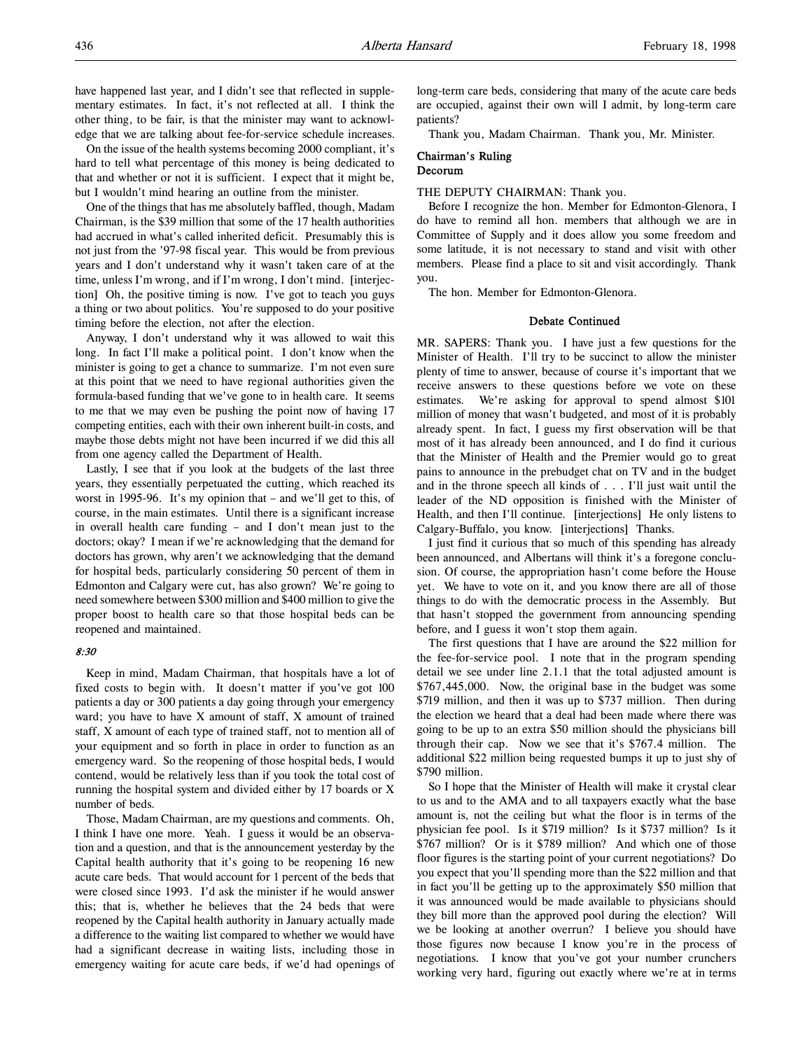On the issue of the health systems becoming 2000 compliant, it's hard to tell what percentage of this money is being dedicated to that and whether or not it is sufficient. I expect that it might be, but I wouldn't mind hearing an outline from the minister.

One of the things that has me absolutely baffled, though, Madam Chairman, is the \$39 million that some of the 17 health authorities had accrued in what's called inherited deficit. Presumably this is not just from the '97-98 fiscal year. This would be from previous years and I don't understand why it wasn't taken care of at the time, unless I'm wrong, and if I'm wrong, I don't mind. [interjection] Oh, the positive timing is now. I've got to teach you guys a thing or two about politics. You're supposed to do your positive timing before the election, not after the election.

Anyway, I don't understand why it was allowed to wait this long. In fact I'll make a political point. I don't know when the minister is going to get a chance to summarize. I'm not even sure at this point that we need to have regional authorities given the formula-based funding that we've gone to in health care. It seems to me that we may even be pushing the point now of having 17 competing entities, each with their own inherent built-in costs, and maybe those debts might not have been incurred if we did this all from one agency called the Department of Health.

Lastly, I see that if you look at the budgets of the last three years, they essentially perpetuated the cutting, which reached its worst in 1995-96. It's my opinion that – and we'll get to this, of course, in the main estimates. Until there is a significant increase in overall health care funding – and I don't mean just to the doctors; okay? I mean if we're acknowledging that the demand for doctors has grown, why aren't we acknowledging that the demand for hospital beds, particularly considering 50 percent of them in Edmonton and Calgary were cut, has also grown? We're going to need somewhere between \$300 million and \$400 million to give the proper boost to health care so that those hospital beds can be reopened and maintained.

## 8:30

Keep in mind, Madam Chairman, that hospitals have a lot of fixed costs to begin with. It doesn't matter if you've got 100 patients a day or 300 patients a day going through your emergency ward; you have to have X amount of staff, X amount of trained staff, X amount of each type of trained staff, not to mention all of your equipment and so forth in place in order to function as an emergency ward. So the reopening of those hospital beds, I would contend, would be relatively less than if you took the total cost of running the hospital system and divided either by 17 boards or X number of beds.

Those, Madam Chairman, are my questions and comments. Oh, I think I have one more. Yeah. I guess it would be an observation and a question, and that is the announcement yesterday by the Capital health authority that it's going to be reopening 16 new acute care beds. That would account for 1 percent of the beds that were closed since 1993. I'd ask the minister if he would answer this; that is, whether he believes that the 24 beds that were reopened by the Capital health authority in January actually made a difference to the waiting list compared to whether we would have had a significant decrease in waiting lists, including those in emergency waiting for acute care beds, if we'd had openings of long-term care beds, considering that many of the acute care beds are occupied, against their own will I admit, by long-term care patients?

Thank you, Madam Chairman. Thank you, Mr. Minister.

# Chairman's Ruling Decorum

#### THE DEPUTY CHAIRMAN: Thank you.

Before I recognize the hon. Member for Edmonton-Glenora, I do have to remind all hon. members that although we are in Committee of Supply and it does allow you some freedom and some latitude, it is not necessary to stand and visit with other members. Please find a place to sit and visit accordingly. Thank you.

The hon. Member for Edmonton-Glenora.

# Debate Continued

MR. SAPERS: Thank you. I have just a few questions for the Minister of Health. I'll try to be succinct to allow the minister plenty of time to answer, because of course it's important that we receive answers to these questions before we vote on these estimates. We're asking for approval to spend almost \$101 million of money that wasn't budgeted, and most of it is probably already spent. In fact, I guess my first observation will be that most of it has already been announced, and I do find it curious that the Minister of Health and the Premier would go to great pains to announce in the prebudget chat on TV and in the budget and in the throne speech all kinds of . . . I'll just wait until the leader of the ND opposition is finished with the Minister of Health, and then I'll continue. [interjections] He only listens to Calgary-Buffalo, you know. [interjections] Thanks.

I just find it curious that so much of this spending has already been announced, and Albertans will think it's a foregone conclusion. Of course, the appropriation hasn't come before the House yet. We have to vote on it, and you know there are all of those things to do with the democratic process in the Assembly. But that hasn't stopped the government from announcing spending before, and I guess it won't stop them again.

The first questions that I have are around the \$22 million for the fee-for-service pool. I note that in the program spending detail we see under line 2.1.1 that the total adjusted amount is \$767,445,000. Now, the original base in the budget was some \$719 million, and then it was up to \$737 million. Then during the election we heard that a deal had been made where there was going to be up to an extra \$50 million should the physicians bill through their cap. Now we see that it's \$767.4 million. The additional \$22 million being requested bumps it up to just shy of \$790 million.

So I hope that the Minister of Health will make it crystal clear to us and to the AMA and to all taxpayers exactly what the base amount is, not the ceiling but what the floor is in terms of the physician fee pool. Is it \$719 million? Is it \$737 million? Is it \$767 million? Or is it \$789 million? And which one of those floor figures is the starting point of your current negotiations? Do you expect that you'll spending more than the \$22 million and that in fact you'll be getting up to the approximately \$50 million that it was announced would be made available to physicians should they bill more than the approved pool during the election? Will we be looking at another overrun? I believe you should have those figures now because I know you're in the process of negotiations. I know that you've got your number crunchers working very hard, figuring out exactly where we're at in terms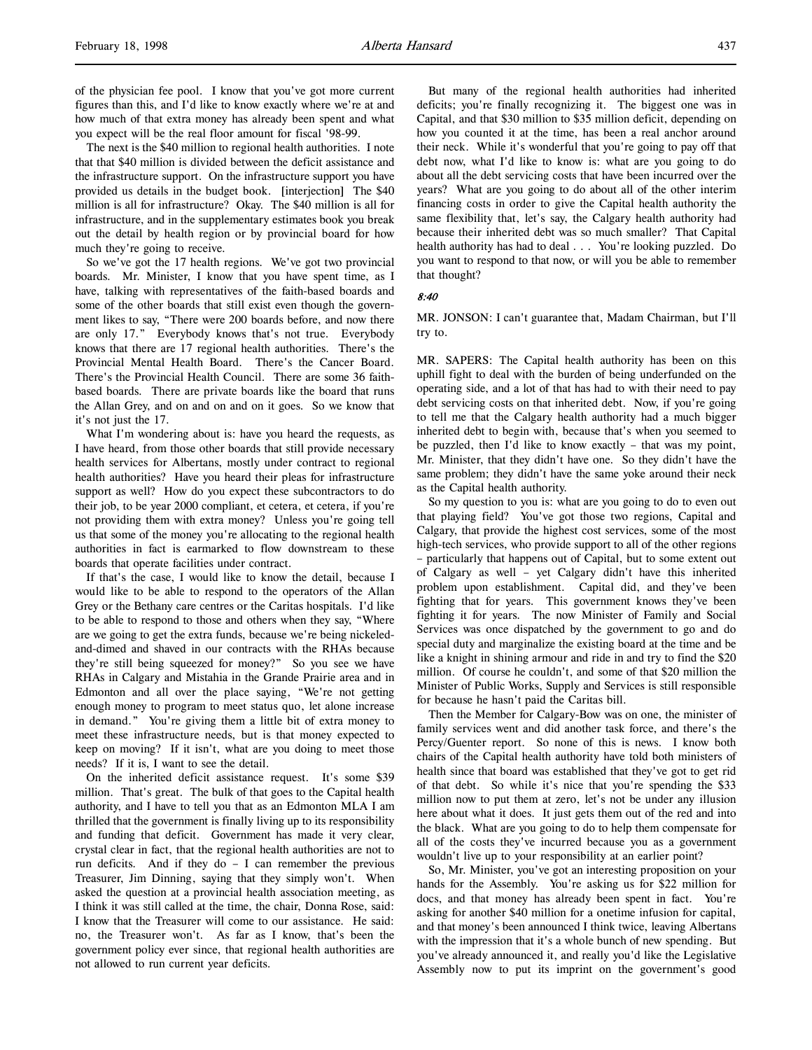of the physician fee pool. I know that you've got more current figures than this, and I'd like to know exactly where we're at and how much of that extra money has already been spent and what you expect will be the real floor amount for fiscal '98-99.

The next is the \$40 million to regional health authorities. I note that that \$40 million is divided between the deficit assistance and the infrastructure support. On the infrastructure support you have provided us details in the budget book. [interjection] The \$40 million is all for infrastructure? Okay. The \$40 million is all for infrastructure, and in the supplementary estimates book you break out the detail by health region or by provincial board for how much they're going to receive.

So we've got the 17 health regions. We've got two provincial boards. Mr. Minister, I know that you have spent time, as I have, talking with representatives of the faith-based boards and some of the other boards that still exist even though the government likes to say, "There were 200 boards before, and now there are only 17." Everybody knows that's not true. Everybody knows that there are 17 regional health authorities. There's the Provincial Mental Health Board. There's the Cancer Board. There's the Provincial Health Council. There are some 36 faithbased boards. There are private boards like the board that runs the Allan Grey, and on and on and on it goes. So we know that it's not just the 17.

What I'm wondering about is: have you heard the requests, as I have heard, from those other boards that still provide necessary health services for Albertans, mostly under contract to regional health authorities? Have you heard their pleas for infrastructure support as well? How do you expect these subcontractors to do their job, to be year 2000 compliant, et cetera, et cetera, if you're not providing them with extra money? Unless you're going tell us that some of the money you're allocating to the regional health authorities in fact is earmarked to flow downstream to these boards that operate facilities under contract.

If that's the case, I would like to know the detail, because I would like to be able to respond to the operators of the Allan Grey or the Bethany care centres or the Caritas hospitals. I'd like to be able to respond to those and others when they say, "Where are we going to get the extra funds, because we're being nickeledand-dimed and shaved in our contracts with the RHAs because they're still being squeezed for money?" So you see we have RHAs in Calgary and Mistahia in the Grande Prairie area and in Edmonton and all over the place saying, "We're not getting enough money to program to meet status quo, let alone increase in demand." You're giving them a little bit of extra money to meet these infrastructure needs, but is that money expected to keep on moving? If it isn't, what are you doing to meet those needs? If it is, I want to see the detail.

On the inherited deficit assistance request. It's some \$39 million. That's great. The bulk of that goes to the Capital health authority, and I have to tell you that as an Edmonton MLA I am thrilled that the government is finally living up to its responsibility and funding that deficit. Government has made it very clear, crystal clear in fact, that the regional health authorities are not to run deficits. And if they do  $- I$  can remember the previous Treasurer, Jim Dinning, saying that they simply won't. When asked the question at a provincial health association meeting, as I think it was still called at the time, the chair, Donna Rose, said: I know that the Treasurer will come to our assistance. He said: no, the Treasurer won't. As far as I know, that's been the government policy ever since, that regional health authorities are not allowed to run current year deficits.

But many of the regional health authorities had inherited deficits; you're finally recognizing it. The biggest one was in Capital, and that \$30 million to \$35 million deficit, depending on how you counted it at the time, has been a real anchor around their neck. While it's wonderful that you're going to pay off that debt now, what I'd like to know is: what are you going to do about all the debt servicing costs that have been incurred over the years? What are you going to do about all of the other interim financing costs in order to give the Capital health authority the same flexibility that, let's say, the Calgary health authority had because their inherited debt was so much smaller? That Capital health authority has had to deal . . . You're looking puzzled. Do you want to respond to that now, or will you be able to remember that thought?

### 8:40

MR. JONSON: I can't guarantee that, Madam Chairman, but I'll try to.

MR. SAPERS: The Capital health authority has been on this uphill fight to deal with the burden of being underfunded on the operating side, and a lot of that has had to with their need to pay debt servicing costs on that inherited debt. Now, if you're going to tell me that the Calgary health authority had a much bigger inherited debt to begin with, because that's when you seemed to be puzzled, then I'd like to know exactly – that was my point, Mr. Minister, that they didn't have one. So they didn't have the same problem; they didn't have the same yoke around their neck as the Capital health authority.

So my question to you is: what are you going to do to even out that playing field? You've got those two regions, Capital and Calgary, that provide the highest cost services, some of the most high-tech services, who provide support to all of the other regions – particularly that happens out of Capital, but to some extent out of Calgary as well – yet Calgary didn't have this inherited problem upon establishment. Capital did, and they've been fighting that for years. This government knows they've been fighting it for years. The now Minister of Family and Social Services was once dispatched by the government to go and do special duty and marginalize the existing board at the time and be like a knight in shining armour and ride in and try to find the \$20 million. Of course he couldn't, and some of that \$20 million the Minister of Public Works, Supply and Services is still responsible for because he hasn't paid the Caritas bill.

Then the Member for Calgary-Bow was on one, the minister of family services went and did another task force, and there's the Percy/Guenter report. So none of this is news. I know both chairs of the Capital health authority have told both ministers of health since that board was established that they've got to get rid of that debt. So while it's nice that you're spending the \$33 million now to put them at zero, let's not be under any illusion here about what it does. It just gets them out of the red and into the black. What are you going to do to help them compensate for all of the costs they've incurred because you as a government wouldn't live up to your responsibility at an earlier point?

So, Mr. Minister, you've got an interesting proposition on your hands for the Assembly. You're asking us for \$22 million for docs, and that money has already been spent in fact. You're asking for another \$40 million for a onetime infusion for capital, and that money's been announced I think twice, leaving Albertans with the impression that it's a whole bunch of new spending. But you've already announced it, and really you'd like the Legislative Assembly now to put its imprint on the government's good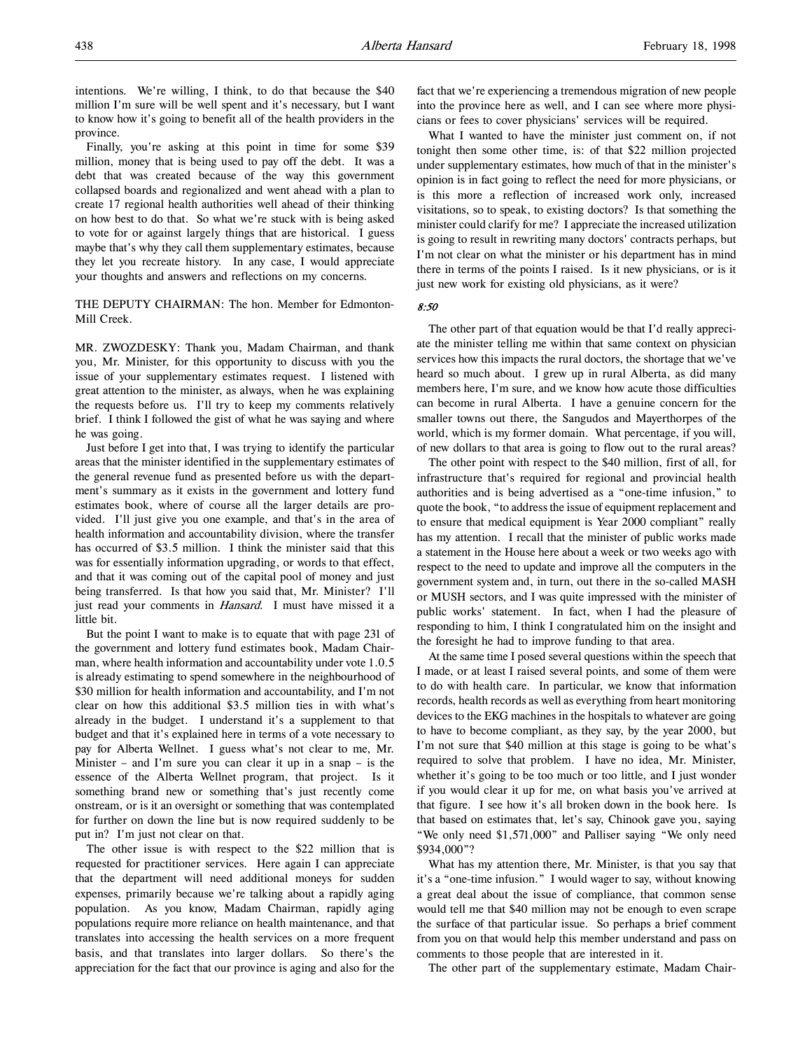intentions. We're willing, I think, to do that because the \$40 million I'm sure will be well spent and it's necessary, but I want to know how it's going to benefit all of the health providers in the province.

Finally, you're asking at this point in time for some \$39 million, money that is being used to pay off the debt. It was a debt that was created because of the way this government collapsed boards and regionalized and went ahead with a plan to create 17 regional health authorities well ahead of their thinking on how best to do that. So what we're stuck with is being asked to vote for or against largely things that are historical. I guess maybe that's why they call them supplementary estimates, because they let you recreate history. In any case, I would appreciate your thoughts and answers and reflections on my concerns.

# THE DEPUTY CHAIRMAN: The hon. Member for Edmonton-Mill Creek.

MR. ZWOZDESKY: Thank you, Madam Chairman, and thank you, Mr. Minister, for this opportunity to discuss with you the issue of your supplementary estimates request. I listened with great attention to the minister, as always, when he was explaining the requests before us. I'll try to keep my comments relatively brief. I think I followed the gist of what he was saying and where he was going.

Just before I get into that, I was trying to identify the particular areas that the minister identified in the supplementary estimates of the general revenue fund as presented before us with the department's summary as it exists in the government and lottery fund estimates book, where of course all the larger details are provided. I'll just give you one example, and that's in the area of health information and accountability division, where the transfer has occurred of \$3.5 million. I think the minister said that this was for essentially information upgrading, or words to that effect, and that it was coming out of the capital pool of money and just being transferred. Is that how you said that, Mr. Minister? I'll just read your comments in *Hansard*. I must have missed it a little bit.

But the point I want to make is to equate that with page 231 of the government and lottery fund estimates book, Madam Chairman, where health information and accountability under vote 1.0.5 is already estimating to spend somewhere in the neighbourhood of \$30 million for health information and accountability, and I'm not clear on how this additional \$3.5 million ties in with what's already in the budget. I understand it's a supplement to that budget and that it's explained here in terms of a vote necessary to pay for Alberta Wellnet. I guess what's not clear to me, Mr. Minister – and I'm sure you can clear it up in a snap – is the essence of the Alberta Wellnet program, that project. Is it something brand new or something that's just recently come onstream, or is it an oversight or something that was contemplated for further on down the line but is now required suddenly to be put in? I'm just not clear on that.

The other issue is with respect to the \$22 million that is requested for practitioner services. Here again I can appreciate that the department will need additional moneys for sudden expenses, primarily because we're talking about a rapidly aging population. As you know, Madam Chairman, rapidly aging populations require more reliance on health maintenance, and that translates into accessing the health services on a more frequent basis, and that translates into larger dollars. So there's the appreciation for the fact that our province is aging and also for the

fact that we're experiencing a tremendous migration of new people into the province here as well, and I can see where more physicians or fees to cover physicians' services will be required.

What I wanted to have the minister just comment on, if not tonight then some other time, is: of that \$22 million projected under supplementary estimates, how much of that in the minister's opinion is in fact going to reflect the need for more physicians, or is this more a reflection of increased work only, increased visitations, so to speak, to existing doctors? Is that something the minister could clarify for me? I appreciate the increased utilization is going to result in rewriting many doctors' contracts perhaps, but I'm not clear on what the minister or his department has in mind there in terms of the points I raised. Is it new physicians, or is it just new work for existing old physicians, as it were?

8:50

The other part of that equation would be that I'd really appreciate the minister telling me within that same context on physician services how this impacts the rural doctors, the shortage that we've heard so much about. I grew up in rural Alberta, as did many members here, I'm sure, and we know how acute those difficulties can become in rural Alberta. I have a genuine concern for the smaller towns out there, the Sangudos and Mayerthorpes of the world, which is my former domain. What percentage, if you will, of new dollars to that area is going to flow out to the rural areas?

The other point with respect to the \$40 million, first of all, for infrastructure that's required for regional and provincial health authorities and is being advertised as a "one-time infusion," to quote the book, "to address the issue of equipment replacement and to ensure that medical equipment is Year 2000 compliant" really has my attention. I recall that the minister of public works made a statement in the House here about a week or two weeks ago with respect to the need to update and improve all the computers in the government system and, in turn, out there in the so-called MASH or MUSH sectors, and I was quite impressed with the minister of public works' statement. In fact, when I had the pleasure of responding to him, I think I congratulated him on the insight and the foresight he had to improve funding to that area.

At the same time I posed several questions within the speech that I made, or at least I raised several points, and some of them were to do with health care. In particular, we know that information records, health records as well as everything from heart monitoring devices to the EKG machines in the hospitals to whatever are going to have to become compliant, as they say, by the year 2000, but I'm not sure that \$40 million at this stage is going to be what's required to solve that problem. I have no idea, Mr. Minister, whether it's going to be too much or too little, and I just wonder if you would clear it up for me, on what basis you've arrived at that figure. I see how it's all broken down in the book here. Is that based on estimates that, let's say, Chinook gave you, saying "We only need \$1,571,000" and Palliser saying "We only need \$934,000"?

What has my attention there, Mr. Minister, is that you say that it's a "one-time infusion." I would wager to say, without knowing a great deal about the issue of compliance, that common sense would tell me that \$40 million may not be enough to even scrape the surface of that particular issue. So perhaps a brief comment from you on that would help this member understand and pass on comments to those people that are interested in it.

The other part of the supplementary estimate, Madam Chair-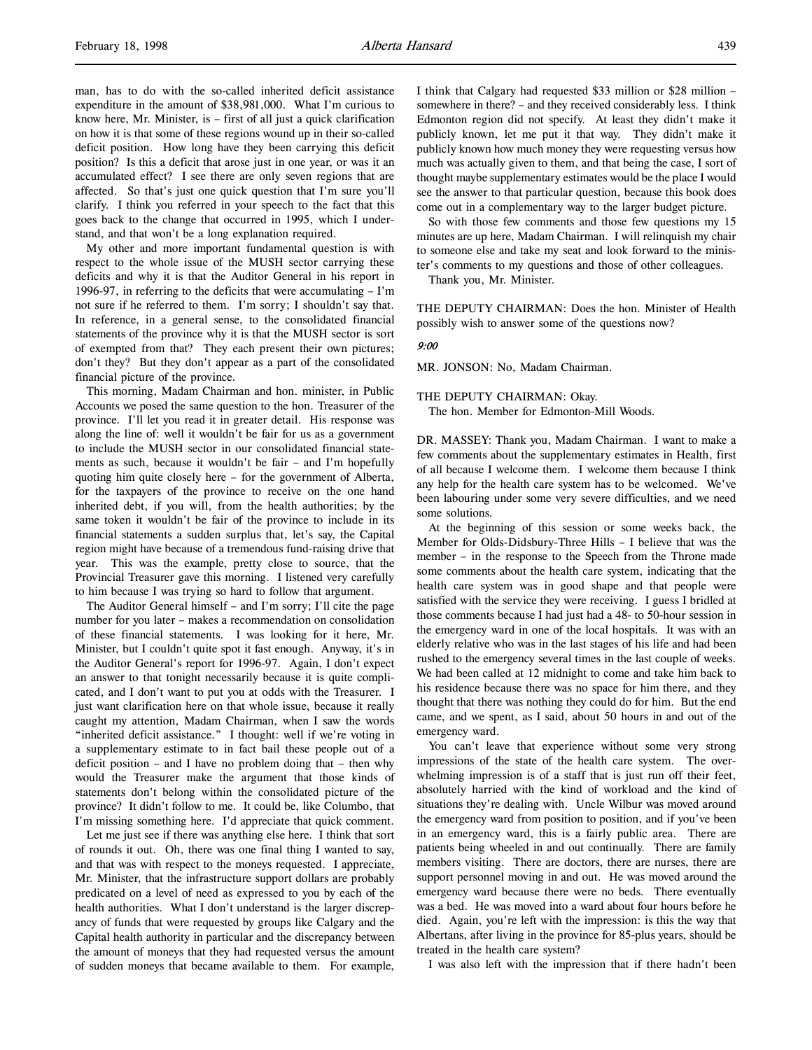man, has to do with the so-called inherited deficit assistance expenditure in the amount of \$38,981,000. What I'm curious to know here, Mr. Minister, is – first of all just a quick clarification on how it is that some of these regions wound up in their so-called deficit position. How long have they been carrying this deficit position? Is this a deficit that arose just in one year, or was it an accumulated effect? I see there are only seven regions that are affected. So that's just one quick question that I'm sure you'll clarify. I think you referred in your speech to the fact that this goes back to the change that occurred in 1995, which I understand, and that won't be a long explanation required.

My other and more important fundamental question is with respect to the whole issue of the MUSH sector carrying these deficits and why it is that the Auditor General in his report in 1996-97, in referring to the deficits that were accumulating – I'm not sure if he referred to them. I'm sorry; I shouldn't say that. In reference, in a general sense, to the consolidated financial statements of the province why it is that the MUSH sector is sort of exempted from that? They each present their own pictures; don't they? But they don't appear as a part of the consolidated financial picture of the province.

This morning, Madam Chairman and hon. minister, in Public Accounts we posed the same question to the hon. Treasurer of the province. I'll let you read it in greater detail. His response was along the line of: well it wouldn't be fair for us as a government to include the MUSH sector in our consolidated financial statements as such, because it wouldn't be fair – and I'm hopefully quoting him quite closely here – for the government of Alberta, for the taxpayers of the province to receive on the one hand inherited debt, if you will, from the health authorities; by the same token it wouldn't be fair of the province to include in its financial statements a sudden surplus that, let's say, the Capital region might have because of a tremendous fund-raising drive that year. This was the example, pretty close to source, that the Provincial Treasurer gave this morning. I listened very carefully to him because I was trying so hard to follow that argument.

The Auditor General himself – and I'm sorry; I'll cite the page number for you later – makes a recommendation on consolidation of these financial statements. I was looking for it here, Mr. Minister, but I couldn't quite spot it fast enough. Anyway, it's in the Auditor General's report for 1996-97. Again, I don't expect an answer to that tonight necessarily because it is quite complicated, and I don't want to put you at odds with the Treasurer. I just want clarification here on that whole issue, because it really caught my attention, Madam Chairman, when I saw the words "inherited deficit assistance." I thought: well if we're voting in a supplementary estimate to in fact bail these people out of a deficit position – and I have no problem doing that – then why would the Treasurer make the argument that those kinds of statements don't belong within the consolidated picture of the province? It didn't follow to me. It could be, like Columbo, that I'm missing something here. I'd appreciate that quick comment.

Let me just see if there was anything else here. I think that sort of rounds it out. Oh, there was one final thing I wanted to say, and that was with respect to the moneys requested. I appreciate, Mr. Minister, that the infrastructure support dollars are probably predicated on a level of need as expressed to you by each of the health authorities. What I don't understand is the larger discrepancy of funds that were requested by groups like Calgary and the Capital health authority in particular and the discrepancy between the amount of moneys that they had requested versus the amount of sudden moneys that became available to them. For example,

I think that Calgary had requested \$33 million or \$28 million – somewhere in there? – and they received considerably less. I think Edmonton region did not specify. At least they didn't make it publicly known, let me put it that way. They didn't make it publicly known how much money they were requesting versus how much was actually given to them, and that being the case, I sort of thought maybe supplementary estimates would be the place I would see the answer to that particular question, because this book does come out in a complementary way to the larger budget picture.

So with those few comments and those few questions my 15 minutes are up here, Madam Chairman. I will relinquish my chair to someone else and take my seat and look forward to the minister's comments to my questions and those of other colleagues.

Thank you, Mr. Minister.

THE DEPUTY CHAIRMAN: Does the hon. Minister of Health possibly wish to answer some of the questions now?

### 9:00

MR. JONSON: No, Madam Chairman.

THE DEPUTY CHAIRMAN: Okay. The hon. Member for Edmonton-Mill Woods.

DR. MASSEY: Thank you, Madam Chairman. I want to make a few comments about the supplementary estimates in Health, first of all because I welcome them. I welcome them because I think any help for the health care system has to be welcomed. We've been labouring under some very severe difficulties, and we need some solutions.

At the beginning of this session or some weeks back, the Member for Olds-Didsbury-Three Hills – I believe that was the member – in the response to the Speech from the Throne made some comments about the health care system, indicating that the health care system was in good shape and that people were satisfied with the service they were receiving. I guess I bridled at those comments because I had just had a 48- to 50-hour session in the emergency ward in one of the local hospitals. It was with an elderly relative who was in the last stages of his life and had been rushed to the emergency several times in the last couple of weeks. We had been called at 12 midnight to come and take him back to his residence because there was no space for him there, and they thought that there was nothing they could do for him. But the end came, and we spent, as I said, about 50 hours in and out of the emergency ward.

You can't leave that experience without some very strong impressions of the state of the health care system. The overwhelming impression is of a staff that is just run off their feet, absolutely harried with the kind of workload and the kind of situations they're dealing with. Uncle Wilbur was moved around the emergency ward from position to position, and if you've been in an emergency ward, this is a fairly public area. There are patients being wheeled in and out continually. There are family members visiting. There are doctors, there are nurses, there are support personnel moving in and out. He was moved around the emergency ward because there were no beds. There eventually was a bed. He was moved into a ward about four hours before he died. Again, you're left with the impression: is this the way that Albertans, after living in the province for 85-plus years, should be treated in the health care system?

I was also left with the impression that if there hadn't been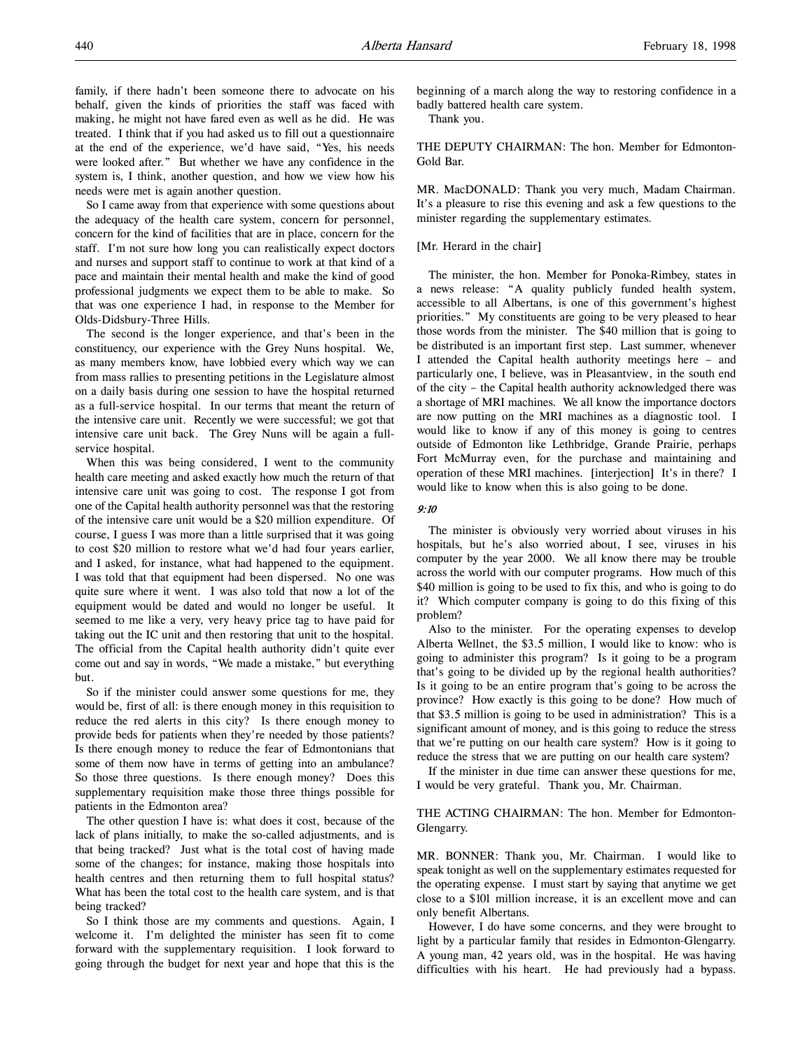family, if there hadn't been someone there to advocate on his behalf, given the kinds of priorities the staff was faced with making, he might not have fared even as well as he did. He was treated. I think that if you had asked us to fill out a questionnaire at the end of the experience, we'd have said, "Yes, his needs were looked after." But whether we have any confidence in the system is, I think, another question, and how we view how his needs were met is again another question.

So I came away from that experience with some questions about the adequacy of the health care system, concern for personnel, concern for the kind of facilities that are in place, concern for the staff. I'm not sure how long you can realistically expect doctors and nurses and support staff to continue to work at that kind of a pace and maintain their mental health and make the kind of good professional judgments we expect them to be able to make. So that was one experience I had, in response to the Member for Olds-Didsbury-Three Hills.

The second is the longer experience, and that's been in the constituency, our experience with the Grey Nuns hospital. We, as many members know, have lobbied every which way we can from mass rallies to presenting petitions in the Legislature almost on a daily basis during one session to have the hospital returned as a full-service hospital. In our terms that meant the return of the intensive care unit. Recently we were successful; we got that intensive care unit back. The Grey Nuns will be again a fullservice hospital.

When this was being considered, I went to the community health care meeting and asked exactly how much the return of that intensive care unit was going to cost. The response I got from one of the Capital health authority personnel was that the restoring of the intensive care unit would be a \$20 million expenditure. Of course, I guess I was more than a little surprised that it was going to cost \$20 million to restore what we'd had four years earlier, and I asked, for instance, what had happened to the equipment. I was told that that equipment had been dispersed. No one was quite sure where it went. I was also told that now a lot of the equipment would be dated and would no longer be useful. It seemed to me like a very, very heavy price tag to have paid for taking out the IC unit and then restoring that unit to the hospital. The official from the Capital health authority didn't quite ever come out and say in words, "We made a mistake," but everything but.

So if the minister could answer some questions for me, they would be, first of all: is there enough money in this requisition to reduce the red alerts in this city? Is there enough money to provide beds for patients when they're needed by those patients? Is there enough money to reduce the fear of Edmontonians that some of them now have in terms of getting into an ambulance? So those three questions. Is there enough money? Does this supplementary requisition make those three things possible for patients in the Edmonton area?

The other question I have is: what does it cost, because of the lack of plans initially, to make the so-called adjustments, and is that being tracked? Just what is the total cost of having made some of the changes; for instance, making those hospitals into health centres and then returning them to full hospital status? What has been the total cost to the health care system, and is that being tracked?

So I think those are my comments and questions. Again, I welcome it. I'm delighted the minister has seen fit to come forward with the supplementary requisition. I look forward to going through the budget for next year and hope that this is the

beginning of a march along the way to restoring confidence in a badly battered health care system.

Thank you.

THE DEPUTY CHAIRMAN: The hon. Member for Edmonton-Gold Bar.

MR. MacDONALD: Thank you very much, Madam Chairman. It's a pleasure to rise this evening and ask a few questions to the minister regarding the supplementary estimates.

# [Mr. Herard in the chair]

The minister, the hon. Member for Ponoka-Rimbey, states in a news release: "A quality publicly funded health system, accessible to all Albertans, is one of this government's highest priorities." My constituents are going to be very pleased to hear those words from the minister. The \$40 million that is going to be distributed is an important first step. Last summer, whenever I attended the Capital health authority meetings here – and particularly one, I believe, was in Pleasantview, in the south end of the city – the Capital health authority acknowledged there was a shortage of MRI machines. We all know the importance doctors are now putting on the MRI machines as a diagnostic tool. I would like to know if any of this money is going to centres outside of Edmonton like Lethbridge, Grande Prairie, perhaps Fort McMurray even, for the purchase and maintaining and operation of these MRI machines. [interjection] It's in there? I would like to know when this is also going to be done.

# 9:10

The minister is obviously very worried about viruses in his hospitals, but he's also worried about, I see, viruses in his computer by the year 2000. We all know there may be trouble across the world with our computer programs. How much of this \$40 million is going to be used to fix this, and who is going to do it? Which computer company is going to do this fixing of this problem?

Also to the minister. For the operating expenses to develop Alberta Wellnet, the \$3.5 million, I would like to know: who is going to administer this program? Is it going to be a program that's going to be divided up by the regional health authorities? Is it going to be an entire program that's going to be across the province? How exactly is this going to be done? How much of that \$3.5 million is going to be used in administration? This is a significant amount of money, and is this going to reduce the stress that we're putting on our health care system? How is it going to reduce the stress that we are putting on our health care system?

If the minister in due time can answer these questions for me, I would be very grateful. Thank you, Mr. Chairman.

# THE ACTING CHAIRMAN: The hon. Member for Edmonton-Glengarry.

MR. BONNER: Thank you, Mr. Chairman. I would like to speak tonight as well on the supplementary estimates requested for the operating expense. I must start by saying that anytime we get close to a \$101 million increase, it is an excellent move and can only benefit Albertans.

However, I do have some concerns, and they were brought to light by a particular family that resides in Edmonton-Glengarry. A young man, 42 years old, was in the hospital. He was having difficulties with his heart. He had previously had a bypass.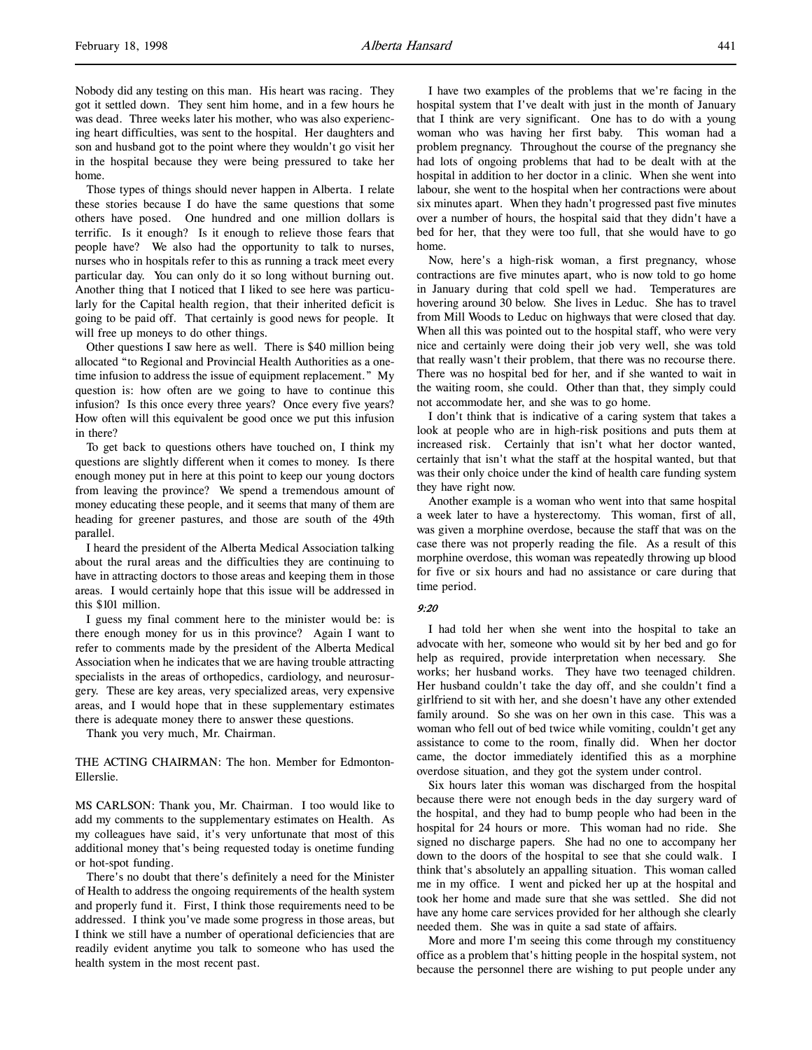Nobody did any testing on this man. His heart was racing. They got it settled down. They sent him home, and in a few hours he was dead. Three weeks later his mother, who was also experiencing heart difficulties, was sent to the hospital. Her daughters and son and husband got to the point where they wouldn't go visit her in the hospital because they were being pressured to take her home.

Those types of things should never happen in Alberta. I relate these stories because I do have the same questions that some others have posed. One hundred and one million dollars is terrific. Is it enough? Is it enough to relieve those fears that people have? We also had the opportunity to talk to nurses, nurses who in hospitals refer to this as running a track meet every particular day. You can only do it so long without burning out. Another thing that I noticed that I liked to see here was particularly for the Capital health region, that their inherited deficit is going to be paid off. That certainly is good news for people. It will free up moneys to do other things.

Other questions I saw here as well. There is \$40 million being allocated "to Regional and Provincial Health Authorities as a onetime infusion to address the issue of equipment replacement." My question is: how often are we going to have to continue this infusion? Is this once every three years? Once every five years? How often will this equivalent be good once we put this infusion in there?

To get back to questions others have touched on, I think my questions are slightly different when it comes to money. Is there enough money put in here at this point to keep our young doctors from leaving the province? We spend a tremendous amount of money educating these people, and it seems that many of them are heading for greener pastures, and those are south of the 49th parallel.

I heard the president of the Alberta Medical Association talking about the rural areas and the difficulties they are continuing to have in attracting doctors to those areas and keeping them in those areas. I would certainly hope that this issue will be addressed in this \$101 million.

I guess my final comment here to the minister would be: is there enough money for us in this province? Again I want to refer to comments made by the president of the Alberta Medical Association when he indicates that we are having trouble attracting specialists in the areas of orthopedics, cardiology, and neurosurgery. These are key areas, very specialized areas, very expensive areas, and I would hope that in these supplementary estimates there is adequate money there to answer these questions.

Thank you very much, Mr. Chairman.

THE ACTING CHAIRMAN: The hon. Member for Edmonton-Ellerslie.

MS CARLSON: Thank you, Mr. Chairman. I too would like to add my comments to the supplementary estimates on Health. As my colleagues have said, it's very unfortunate that most of this additional money that's being requested today is onetime funding or hot-spot funding.

There's no doubt that there's definitely a need for the Minister of Health to address the ongoing requirements of the health system and properly fund it. First, I think those requirements need to be addressed. I think you've made some progress in those areas, but I think we still have a number of operational deficiencies that are readily evident anytime you talk to someone who has used the health system in the most recent past.

I have two examples of the problems that we're facing in the hospital system that I've dealt with just in the month of January that I think are very significant. One has to do with a young woman who was having her first baby. This woman had a problem pregnancy. Throughout the course of the pregnancy she had lots of ongoing problems that had to be dealt with at the hospital in addition to her doctor in a clinic. When she went into labour, she went to the hospital when her contractions were about six minutes apart. When they hadn't progressed past five minutes over a number of hours, the hospital said that they didn't have a bed for her, that they were too full, that she would have to go home.

Now, here's a high-risk woman, a first pregnancy, whose contractions are five minutes apart, who is now told to go home in January during that cold spell we had. Temperatures are hovering around 30 below. She lives in Leduc. She has to travel from Mill Woods to Leduc on highways that were closed that day. When all this was pointed out to the hospital staff, who were very nice and certainly were doing their job very well, she was told that really wasn't their problem, that there was no recourse there. There was no hospital bed for her, and if she wanted to wait in the waiting room, she could. Other than that, they simply could not accommodate her, and she was to go home.

I don't think that is indicative of a caring system that takes a look at people who are in high-risk positions and puts them at increased risk. Certainly that isn't what her doctor wanted, certainly that isn't what the staff at the hospital wanted, but that was their only choice under the kind of health care funding system they have right now.

Another example is a woman who went into that same hospital a week later to have a hysterectomy. This woman, first of all, was given a morphine overdose, because the staff that was on the case there was not properly reading the file. As a result of this morphine overdose, this woman was repeatedly throwing up blood for five or six hours and had no assistance or care during that time period.

### 9:20

I had told her when she went into the hospital to take an advocate with her, someone who would sit by her bed and go for help as required, provide interpretation when necessary. She works; her husband works. They have two teenaged children. Her husband couldn't take the day off, and she couldn't find a girlfriend to sit with her, and she doesn't have any other extended family around. So she was on her own in this case. This was a woman who fell out of bed twice while vomiting, couldn't get any assistance to come to the room, finally did. When her doctor came, the doctor immediately identified this as a morphine overdose situation, and they got the system under control.

Six hours later this woman was discharged from the hospital because there were not enough beds in the day surgery ward of the hospital, and they had to bump people who had been in the hospital for 24 hours or more. This woman had no ride. She signed no discharge papers. She had no one to accompany her down to the doors of the hospital to see that she could walk. I think that's absolutely an appalling situation. This woman called me in my office. I went and picked her up at the hospital and took her home and made sure that she was settled. She did not have any home care services provided for her although she clearly needed them. She was in quite a sad state of affairs.

More and more I'm seeing this come through my constituency office as a problem that's hitting people in the hospital system, not because the personnel there are wishing to put people under any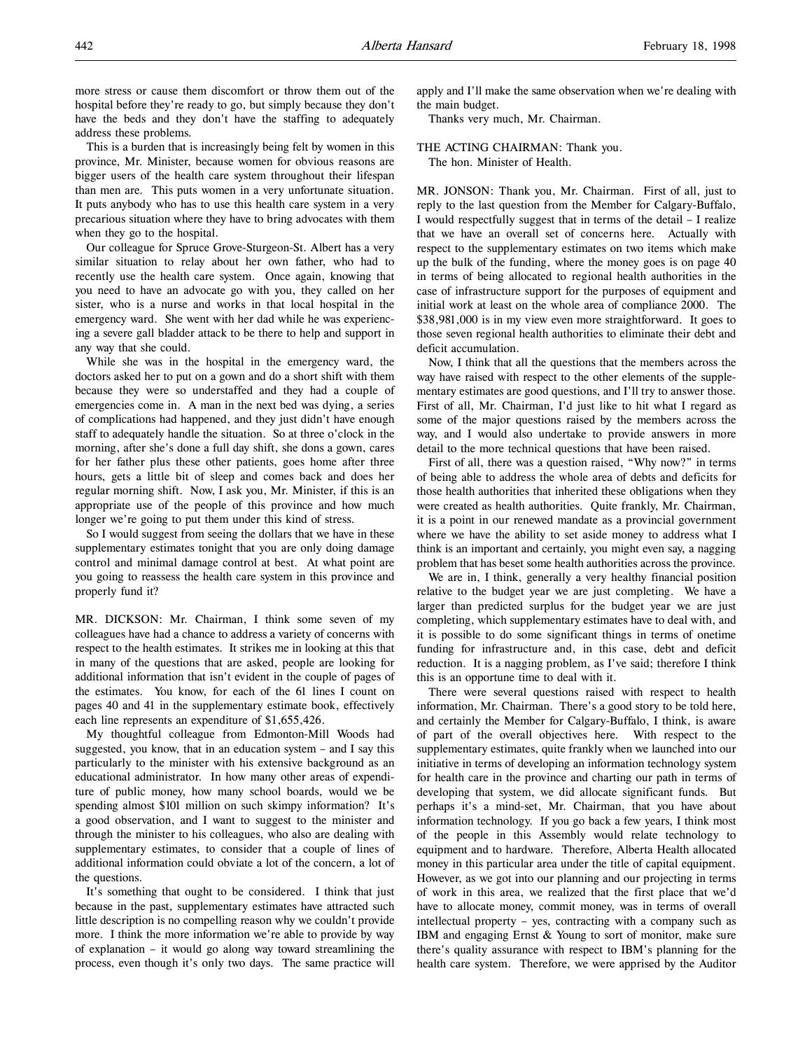more stress or cause them discomfort or throw them out of the hospital before they're ready to go, but simply because they don't have the beds and they don't have the staffing to adequately address these problems.

This is a burden that is increasingly being felt by women in this province, Mr. Minister, because women for obvious reasons are bigger users of the health care system throughout their lifespan than men are. This puts women in a very unfortunate situation. It puts anybody who has to use this health care system in a very precarious situation where they have to bring advocates with them when they go to the hospital.

Our colleague for Spruce Grove-Sturgeon-St. Albert has a very similar situation to relay about her own father, who had to recently use the health care system. Once again, knowing that you need to have an advocate go with you, they called on her sister, who is a nurse and works in that local hospital in the emergency ward. She went with her dad while he was experiencing a severe gall bladder attack to be there to help and support in any way that she could.

While she was in the hospital in the emergency ward, the doctors asked her to put on a gown and do a short shift with them because they were so understaffed and they had a couple of emergencies come in. A man in the next bed was dying, a series of complications had happened, and they just didn't have enough staff to adequately handle the situation. So at three o'clock in the morning, after she's done a full day shift, she dons a gown, cares for her father plus these other patients, goes home after three hours, gets a little bit of sleep and comes back and does her regular morning shift. Now, I ask you, Mr. Minister, if this is an appropriate use of the people of this province and how much longer we're going to put them under this kind of stress.

So I would suggest from seeing the dollars that we have in these supplementary estimates tonight that you are only doing damage control and minimal damage control at best. At what point are you going to reassess the health care system in this province and properly fund it?

MR. DICKSON: Mr. Chairman, I think some seven of my colleagues have had a chance to address a variety of concerns with respect to the health estimates. It strikes me in looking at this that in many of the questions that are asked, people are looking for additional information that isn't evident in the couple of pages of the estimates. You know, for each of the 61 lines I count on pages 40 and 41 in the supplementary estimate book, effectively each line represents an expenditure of \$1,655,426.

My thoughtful colleague from Edmonton-Mill Woods had suggested, you know, that in an education system – and I say this particularly to the minister with his extensive background as an educational administrator. In how many other areas of expenditure of public money, how many school boards, would we be spending almost \$101 million on such skimpy information? It's a good observation, and I want to suggest to the minister and through the minister to his colleagues, who also are dealing with supplementary estimates, to consider that a couple of lines of additional information could obviate a lot of the concern, a lot of the questions.

It's something that ought to be considered. I think that just because in the past, supplementary estimates have attracted such little description is no compelling reason why we couldn't provide more. I think the more information we're able to provide by way of explanation – it would go along way toward streamlining the process, even though it's only two days. The same practice will apply and I'll make the same observation when we're dealing with the main budget.

Thanks very much, Mr. Chairman.

THE ACTING CHAIRMAN: Thank you. The hon. Minister of Health.

MR. JONSON: Thank you, Mr. Chairman. First of all, just to reply to the last question from the Member for Calgary-Buffalo, I would respectfully suggest that in terms of the detail – I realize that we have an overall set of concerns here. Actually with respect to the supplementary estimates on two items which make up the bulk of the funding, where the money goes is on page 40 in terms of being allocated to regional health authorities in the case of infrastructure support for the purposes of equipment and initial work at least on the whole area of compliance 2000. The \$38,981,000 is in my view even more straightforward. It goes to those seven regional health authorities to eliminate their debt and deficit accumulation.

Now, I think that all the questions that the members across the way have raised with respect to the other elements of the supplementary estimates are good questions, and I'll try to answer those. First of all, Mr. Chairman, I'd just like to hit what I regard as some of the major questions raised by the members across the way, and I would also undertake to provide answers in more detail to the more technical questions that have been raised.

First of all, there was a question raised, "Why now?" in terms of being able to address the whole area of debts and deficits for those health authorities that inherited these obligations when they were created as health authorities. Quite frankly, Mr. Chairman, it is a point in our renewed mandate as a provincial government where we have the ability to set aside money to address what I think is an important and certainly, you might even say, a nagging problem that has beset some health authorities across the province.

We are in, I think, generally a very healthy financial position relative to the budget year we are just completing. We have a larger than predicted surplus for the budget year we are just completing, which supplementary estimates have to deal with, and it is possible to do some significant things in terms of onetime funding for infrastructure and, in this case, debt and deficit reduction. It is a nagging problem, as I've said; therefore I think this is an opportune time to deal with it.

There were several questions raised with respect to health information, Mr. Chairman. There's a good story to be told here, and certainly the Member for Calgary-Buffalo, I think, is aware of part of the overall objectives here. With respect to the supplementary estimates, quite frankly when we launched into our initiative in terms of developing an information technology system for health care in the province and charting our path in terms of developing that system, we did allocate significant funds. But perhaps it's a mind-set, Mr. Chairman, that you have about information technology. If you go back a few years, I think most of the people in this Assembly would relate technology to equipment and to hardware. Therefore, Alberta Health allocated money in this particular area under the title of capital equipment. However, as we got into our planning and our projecting in terms of work in this area, we realized that the first place that we'd have to allocate money, commit money, was in terms of overall intellectual property – yes, contracting with a company such as IBM and engaging Ernst & Young to sort of monitor, make sure there's quality assurance with respect to IBM's planning for the health care system. Therefore, we were apprised by the Auditor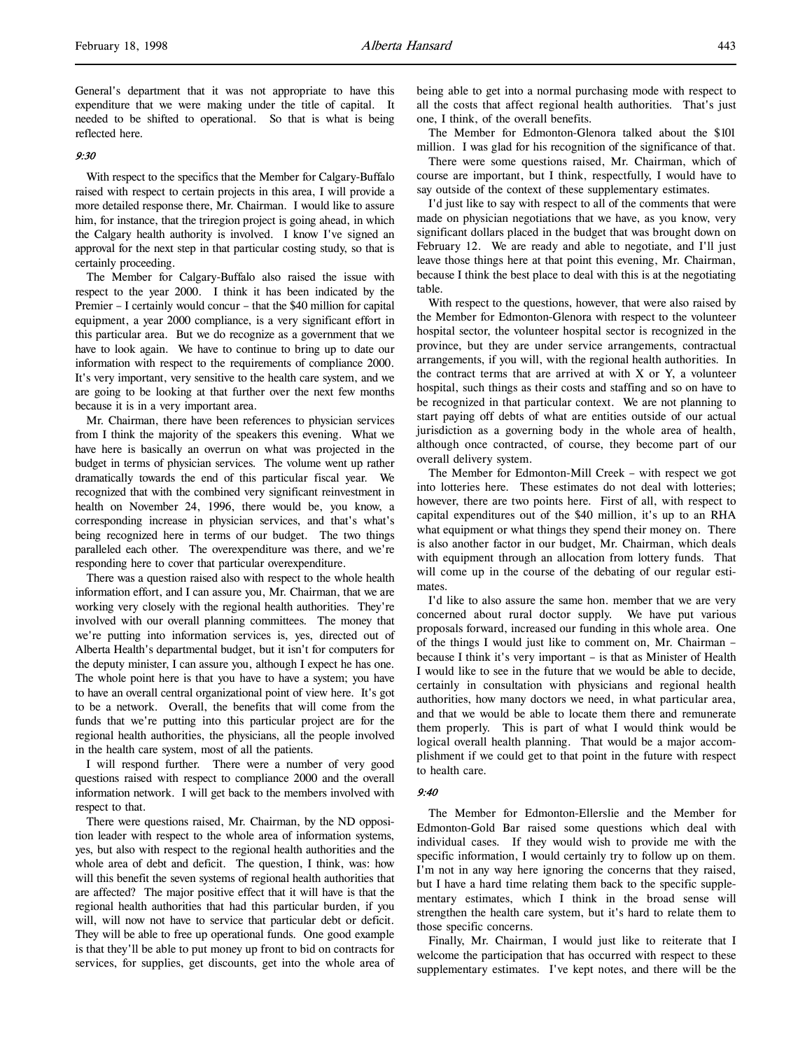General's department that it was not appropriate to have this expenditure that we were making under the title of capital. It needed to be shifted to operational. So that is what is being reflected here.

## 9:30

With respect to the specifics that the Member for Calgary-Buffalo raised with respect to certain projects in this area, I will provide a more detailed response there, Mr. Chairman. I would like to assure him, for instance, that the triregion project is going ahead, in which the Calgary health authority is involved. I know I've signed an approval for the next step in that particular costing study, so that is certainly proceeding.

The Member for Calgary-Buffalo also raised the issue with respect to the year 2000. I think it has been indicated by the Premier – I certainly would concur – that the \$40 million for capital equipment, a year 2000 compliance, is a very significant effort in this particular area. But we do recognize as a government that we have to look again. We have to continue to bring up to date our information with respect to the requirements of compliance 2000. It's very important, very sensitive to the health care system, and we are going to be looking at that further over the next few months because it is in a very important area.

Mr. Chairman, there have been references to physician services from I think the majority of the speakers this evening. What we have here is basically an overrun on what was projected in the budget in terms of physician services. The volume went up rather dramatically towards the end of this particular fiscal year. We recognized that with the combined very significant reinvestment in health on November 24, 1996, there would be, you know, a corresponding increase in physician services, and that's what's being recognized here in terms of our budget. The two things paralleled each other. The overexpenditure was there, and we're responding here to cover that particular overexpenditure.

There was a question raised also with respect to the whole health information effort, and I can assure you, Mr. Chairman, that we are working very closely with the regional health authorities. They're involved with our overall planning committees. The money that we're putting into information services is, yes, directed out of Alberta Health's departmental budget, but it isn't for computers for the deputy minister, I can assure you, although I expect he has one. The whole point here is that you have to have a system; you have to have an overall central organizational point of view here. It's got to be a network. Overall, the benefits that will come from the funds that we're putting into this particular project are for the regional health authorities, the physicians, all the people involved in the health care system, most of all the patients.

I will respond further. There were a number of very good questions raised with respect to compliance 2000 and the overall information network. I will get back to the members involved with respect to that.

There were questions raised, Mr. Chairman, by the ND opposition leader with respect to the whole area of information systems, yes, but also with respect to the regional health authorities and the whole area of debt and deficit. The question, I think, was: how will this benefit the seven systems of regional health authorities that are affected? The major positive effect that it will have is that the regional health authorities that had this particular burden, if you will, will now not have to service that particular debt or deficit. They will be able to free up operational funds. One good example is that they'll be able to put money up front to bid on contracts for services, for supplies, get discounts, get into the whole area of being able to get into a normal purchasing mode with respect to all the costs that affect regional health authorities. That's just one, I think, of the overall benefits.

The Member for Edmonton-Glenora talked about the \$101 million. I was glad for his recognition of the significance of that.

There were some questions raised, Mr. Chairman, which of course are important, but I think, respectfully, I would have to say outside of the context of these supplementary estimates.

I'd just like to say with respect to all of the comments that were made on physician negotiations that we have, as you know, very significant dollars placed in the budget that was brought down on February 12. We are ready and able to negotiate, and I'll just leave those things here at that point this evening, Mr. Chairman, because I think the best place to deal with this is at the negotiating table.

With respect to the questions, however, that were also raised by the Member for Edmonton-Glenora with respect to the volunteer hospital sector, the volunteer hospital sector is recognized in the province, but they are under service arrangements, contractual arrangements, if you will, with the regional health authorities. In the contract terms that are arrived at with  $X$  or  $Y$ , a volunteer hospital, such things as their costs and staffing and so on have to be recognized in that particular context. We are not planning to start paying off debts of what are entities outside of our actual jurisdiction as a governing body in the whole area of health, although once contracted, of course, they become part of our overall delivery system.

The Member for Edmonton-Mill Creek – with respect we got into lotteries here. These estimates do not deal with lotteries; however, there are two points here. First of all, with respect to capital expenditures out of the \$40 million, it's up to an RHA what equipment or what things they spend their money on. There is also another factor in our budget, Mr. Chairman, which deals with equipment through an allocation from lottery funds. That will come up in the course of the debating of our regular estimates.

I'd like to also assure the same hon. member that we are very concerned about rural doctor supply. We have put various proposals forward, increased our funding in this whole area. One of the things I would just like to comment on, Mr. Chairman – because I think it's very important – is that as Minister of Health I would like to see in the future that we would be able to decide, certainly in consultation with physicians and regional health authorities, how many doctors we need, in what particular area, and that we would be able to locate them there and remunerate them properly. This is part of what I would think would be logical overall health planning. That would be a major accomplishment if we could get to that point in the future with respect to health care.

### 9:40

The Member for Edmonton-Ellerslie and the Member for Edmonton-Gold Bar raised some questions which deal with individual cases. If they would wish to provide me with the specific information, I would certainly try to follow up on them. I'm not in any way here ignoring the concerns that they raised, but I have a hard time relating them back to the specific supplementary estimates, which I think in the broad sense will strengthen the health care system, but it's hard to relate them to those specific concerns.

Finally, Mr. Chairman, I would just like to reiterate that I welcome the participation that has occurred with respect to these supplementary estimates. I've kept notes, and there will be the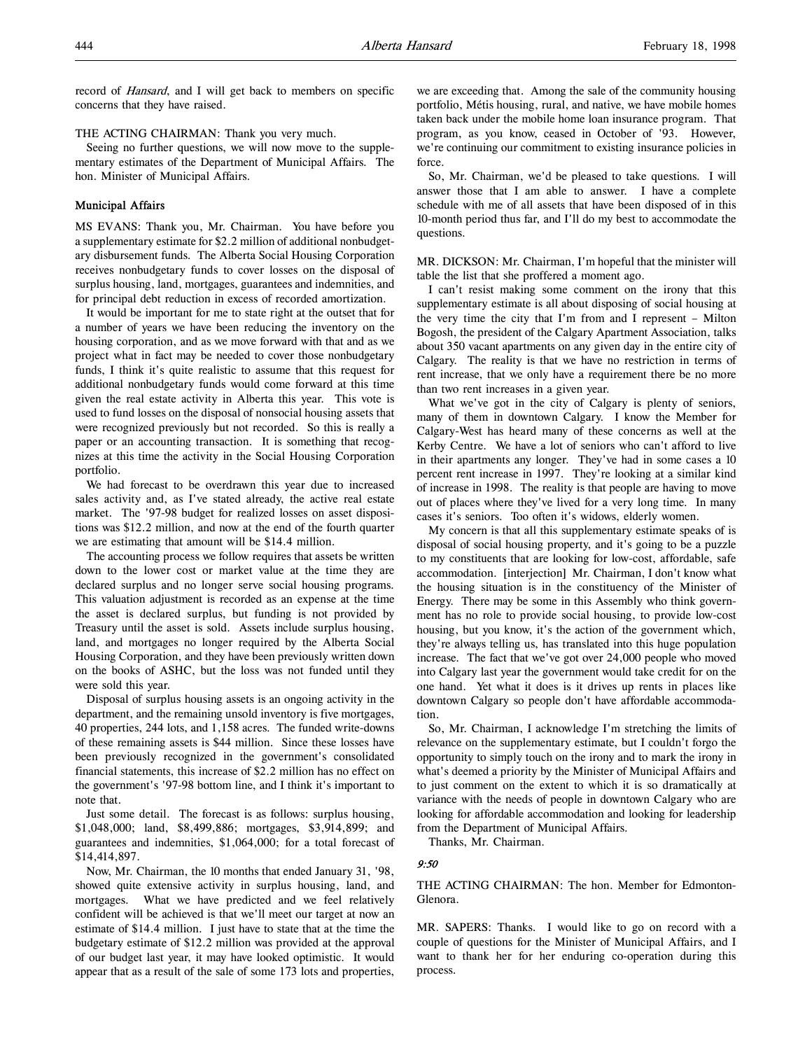record of Hansard, and I will get back to members on specific concerns that they have raised.

#### THE ACTING CHAIRMAN: Thank you very much.

Seeing no further questions, we will now move to the supplementary estimates of the Department of Municipal Affairs. The hon. Minister of Municipal Affairs.

# Municipal Affairs

MS EVANS: Thank you, Mr. Chairman. You have before you a supplementary estimate for \$2.2 million of additional nonbudgetary disbursement funds. The Alberta Social Housing Corporation receives nonbudgetary funds to cover losses on the disposal of surplus housing, land, mortgages, guarantees and indemnities, and for principal debt reduction in excess of recorded amortization.

It would be important for me to state right at the outset that for a number of years we have been reducing the inventory on the housing corporation, and as we move forward with that and as we project what in fact may be needed to cover those nonbudgetary funds, I think it's quite realistic to assume that this request for additional nonbudgetary funds would come forward at this time given the real estate activity in Alberta this year. This vote is used to fund losses on the disposal of nonsocial housing assets that were recognized previously but not recorded. So this is really a paper or an accounting transaction. It is something that recognizes at this time the activity in the Social Housing Corporation portfolio.

We had forecast to be overdrawn this year due to increased sales activity and, as I've stated already, the active real estate market. The '97-98 budget for realized losses on asset dispositions was \$12.2 million, and now at the end of the fourth quarter we are estimating that amount will be \$14.4 million.

The accounting process we follow requires that assets be written down to the lower cost or market value at the time they are declared surplus and no longer serve social housing programs. This valuation adjustment is recorded as an expense at the time the asset is declared surplus, but funding is not provided by Treasury until the asset is sold. Assets include surplus housing, land, and mortgages no longer required by the Alberta Social Housing Corporation, and they have been previously written down on the books of ASHC, but the loss was not funded until they were sold this year.

Disposal of surplus housing assets is an ongoing activity in the department, and the remaining unsold inventory is five mortgages, 40 properties, 244 lots, and 1,158 acres. The funded write-downs of these remaining assets is \$44 million. Since these losses have been previously recognized in the government's consolidated financial statements, this increase of \$2.2 million has no effect on the government's '97-98 bottom line, and I think it's important to note that.

Just some detail. The forecast is as follows: surplus housing, \$1,048,000; land, \$8,499,886; mortgages, \$3,914,899; and guarantees and indemnities, \$1,064,000; for a total forecast of \$14,414,897.

Now, Mr. Chairman, the 10 months that ended January 31, '98, showed quite extensive activity in surplus housing, land, and mortgages. What we have predicted and we feel relatively confident will be achieved is that we'll meet our target at now an estimate of \$14.4 million. I just have to state that at the time the budgetary estimate of \$12.2 million was provided at the approval of our budget last year, it may have looked optimistic. It would appear that as a result of the sale of some 173 lots and properties,

we are exceeding that. Among the sale of the community housing portfolio, Métis housing, rural, and native, we have mobile homes taken back under the mobile home loan insurance program. That program, as you know, ceased in October of '93. However, we're continuing our commitment to existing insurance policies in force.

So, Mr. Chairman, we'd be pleased to take questions. I will answer those that I am able to answer. I have a complete schedule with me of all assets that have been disposed of in this 10-month period thus far, and I'll do my best to accommodate the questions.

MR. DICKSON: Mr. Chairman, I'm hopeful that the minister will table the list that she proffered a moment ago.

I can't resist making some comment on the irony that this supplementary estimate is all about disposing of social housing at the very time the city that I'm from and I represent – Milton Bogosh, the president of the Calgary Apartment Association, talks about 350 vacant apartments on any given day in the entire city of Calgary. The reality is that we have no restriction in terms of rent increase, that we only have a requirement there be no more than two rent increases in a given year.

What we've got in the city of Calgary is plenty of seniors, many of them in downtown Calgary. I know the Member for Calgary-West has heard many of these concerns as well at the Kerby Centre. We have a lot of seniors who can't afford to live in their apartments any longer. They've had in some cases a 10 percent rent increase in 1997. They're looking at a similar kind of increase in 1998. The reality is that people are having to move out of places where they've lived for a very long time. In many cases it's seniors. Too often it's widows, elderly women.

My concern is that all this supplementary estimate speaks of is disposal of social housing property, and it's going to be a puzzle to my constituents that are looking for low-cost, affordable, safe accommodation. [interjection] Mr. Chairman, I don't know what the housing situation is in the constituency of the Minister of Energy. There may be some in this Assembly who think government has no role to provide social housing, to provide low-cost housing, but you know, it's the action of the government which, they're always telling us, has translated into this huge population increase. The fact that we've got over 24,000 people who moved into Calgary last year the government would take credit for on the one hand. Yet what it does is it drives up rents in places like downtown Calgary so people don't have affordable accommodation.

So, Mr. Chairman, I acknowledge I'm stretching the limits of relevance on the supplementary estimate, but I couldn't forgo the opportunity to simply touch on the irony and to mark the irony in what's deemed a priority by the Minister of Municipal Affairs and to just comment on the extent to which it is so dramatically at variance with the needs of people in downtown Calgary who are looking for affordable accommodation and looking for leadership from the Department of Municipal Affairs.

Thanks, Mr. Chairman.

### 9:50

THE ACTING CHAIRMAN: The hon. Member for Edmonton-Glenora.

MR. SAPERS: Thanks. I would like to go on record with a couple of questions for the Minister of Municipal Affairs, and I want to thank her for her enduring co-operation during this process.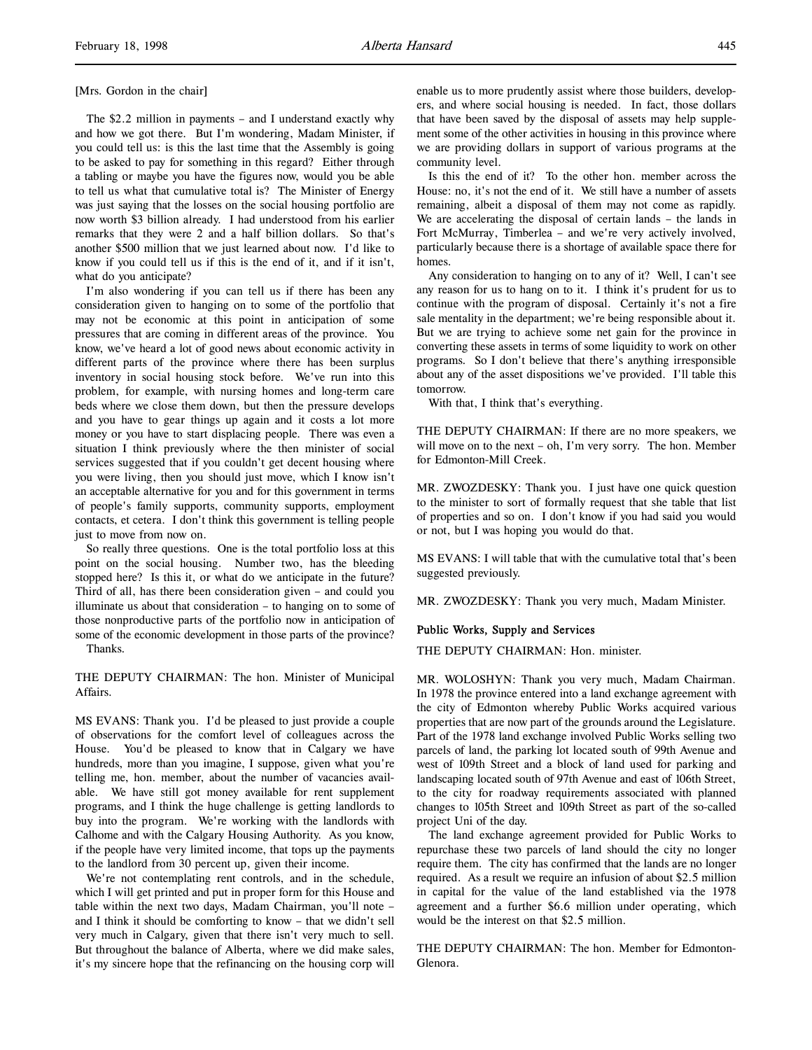[Mrs. Gordon in the chair]

The \$2.2 million in payments – and I understand exactly why and how we got there. But I'm wondering, Madam Minister, if you could tell us: is this the last time that the Assembly is going to be asked to pay for something in this regard? Either through a tabling or maybe you have the figures now, would you be able to tell us what that cumulative total is? The Minister of Energy was just saying that the losses on the social housing portfolio are now worth \$3 billion already. I had understood from his earlier remarks that they were 2 and a half billion dollars. So that's another \$500 million that we just learned about now. I'd like to know if you could tell us if this is the end of it, and if it isn't, what do you anticipate?

I'm also wondering if you can tell us if there has been any consideration given to hanging on to some of the portfolio that may not be economic at this point in anticipation of some pressures that are coming in different areas of the province. You know, we've heard a lot of good news about economic activity in different parts of the province where there has been surplus inventory in social housing stock before. We've run into this problem, for example, with nursing homes and long-term care beds where we close them down, but then the pressure develops and you have to gear things up again and it costs a lot more money or you have to start displacing people. There was even a situation I think previously where the then minister of social services suggested that if you couldn't get decent housing where you were living, then you should just move, which I know isn't an acceptable alternative for you and for this government in terms of people's family supports, community supports, employment contacts, et cetera. I don't think this government is telling people just to move from now on.

So really three questions. One is the total portfolio loss at this point on the social housing. Number two, has the bleeding stopped here? Is this it, or what do we anticipate in the future? Third of all, has there been consideration given – and could you illuminate us about that consideration – to hanging on to some of those nonproductive parts of the portfolio now in anticipation of some of the economic development in those parts of the province?

Thanks.

THE DEPUTY CHAIRMAN: The hon. Minister of Municipal Affairs.

MS EVANS: Thank you. I'd be pleased to just provide a couple of observations for the comfort level of colleagues across the House. You'd be pleased to know that in Calgary we have hundreds, more than you imagine, I suppose, given what you're telling me, hon. member, about the number of vacancies available. We have still got money available for rent supplement programs, and I think the huge challenge is getting landlords to buy into the program. We're working with the landlords with Calhome and with the Calgary Housing Authority. As you know, if the people have very limited income, that tops up the payments to the landlord from 30 percent up, given their income.

We're not contemplating rent controls, and in the schedule, which I will get printed and put in proper form for this House and table within the next two days, Madam Chairman, you'll note – and I think it should be comforting to know – that we didn't sell very much in Calgary, given that there isn't very much to sell. But throughout the balance of Alberta, where we did make sales, it's my sincere hope that the refinancing on the housing corp will

enable us to more prudently assist where those builders, developers, and where social housing is needed. In fact, those dollars that have been saved by the disposal of assets may help supplement some of the other activities in housing in this province where we are providing dollars in support of various programs at the community level.

Is this the end of it? To the other hon. member across the House: no, it's not the end of it. We still have a number of assets remaining, albeit a disposal of them may not come as rapidly. We are accelerating the disposal of certain lands – the lands in Fort McMurray, Timberlea – and we're very actively involved, particularly because there is a shortage of available space there for homes.

Any consideration to hanging on to any of it? Well, I can't see any reason for us to hang on to it. I think it's prudent for us to continue with the program of disposal. Certainly it's not a fire sale mentality in the department; we're being responsible about it. But we are trying to achieve some net gain for the province in converting these assets in terms of some liquidity to work on other programs. So I don't believe that there's anything irresponsible about any of the asset dispositions we've provided. I'll table this tomorrow.

With that, I think that's everything.

THE DEPUTY CHAIRMAN: If there are no more speakers, we will move on to the next – oh, I'm very sorry. The hon. Member for Edmonton-Mill Creek.

MR. ZWOZDESKY: Thank you. I just have one quick question to the minister to sort of formally request that she table that list of properties and so on. I don't know if you had said you would or not, but I was hoping you would do that.

MS EVANS: I will table that with the cumulative total that's been suggested previously.

MR. ZWOZDESKY: Thank you very much, Madam Minister.

# Public Works, Supply and Services

THE DEPUTY CHAIRMAN: Hon. minister.

MR. WOLOSHYN: Thank you very much, Madam Chairman. In 1978 the province entered into a land exchange agreement with the city of Edmonton whereby Public Works acquired various properties that are now part of the grounds around the Legislature. Part of the 1978 land exchange involved Public Works selling two parcels of land, the parking lot located south of 99th Avenue and west of 109th Street and a block of land used for parking and landscaping located south of 97th Avenue and east of 106th Street, to the city for roadway requirements associated with planned changes to 105th Street and 109th Street as part of the so-called project Uni of the day.

The land exchange agreement provided for Public Works to repurchase these two parcels of land should the city no longer require them. The city has confirmed that the lands are no longer required. As a result we require an infusion of about \$2.5 million in capital for the value of the land established via the 1978 agreement and a further \$6.6 million under operating, which would be the interest on that \$2.5 million.

THE DEPUTY CHAIRMAN: The hon. Member for Edmonton-Glenora.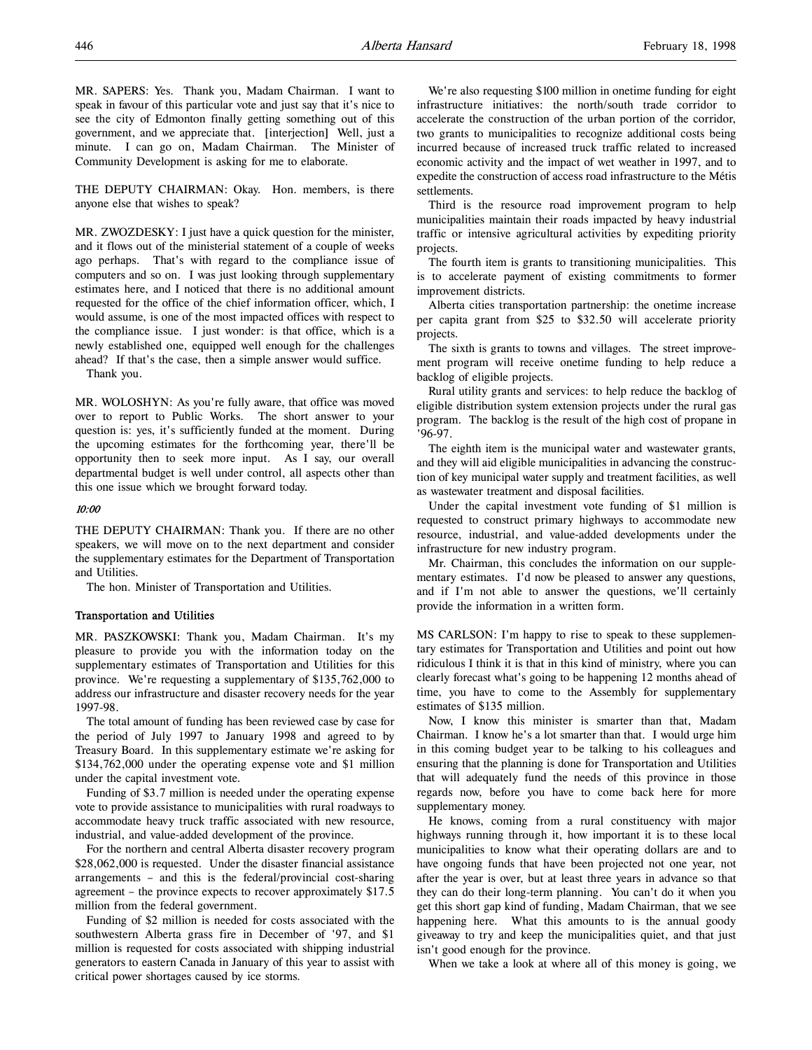THE DEPUTY CHAIRMAN: Okay. Hon. members, is there anyone else that wishes to speak?

MR. ZWOZDESKY: I just have a quick question for the minister, and it flows out of the ministerial statement of a couple of weeks ago perhaps. That's with regard to the compliance issue of computers and so on. I was just looking through supplementary estimates here, and I noticed that there is no additional amount requested for the office of the chief information officer, which, I would assume, is one of the most impacted offices with respect to the compliance issue. I just wonder: is that office, which is a newly established one, equipped well enough for the challenges ahead? If that's the case, then a simple answer would suffice.

Thank you.

MR. WOLOSHYN: As you're fully aware, that office was moved over to report to Public Works. The short answer to your question is: yes, it's sufficiently funded at the moment. During the upcoming estimates for the forthcoming year, there'll be opportunity then to seek more input. As I say, our overall departmental budget is well under control, all aspects other than this one issue which we brought forward today.

# 10:00

THE DEPUTY CHAIRMAN: Thank you. If there are no other speakers, we will move on to the next department and consider the supplementary estimates for the Department of Transportation and Utilities.

The hon. Minister of Transportation and Utilities.

### Transportation and Utilities

MR. PASZKOWSKI: Thank you, Madam Chairman. It's my pleasure to provide you with the information today on the supplementary estimates of Transportation and Utilities for this province. We're requesting a supplementary of \$135,762,000 to address our infrastructure and disaster recovery needs for the year 1997-98.

The total amount of funding has been reviewed case by case for the period of July 1997 to January 1998 and agreed to by Treasury Board. In this supplementary estimate we're asking for \$134,762,000 under the operating expense vote and \$1 million under the capital investment vote.

Funding of \$3.7 million is needed under the operating expense vote to provide assistance to municipalities with rural roadways to accommodate heavy truck traffic associated with new resource, industrial, and value-added development of the province.

For the northern and central Alberta disaster recovery program \$28,062,000 is requested. Under the disaster financial assistance arrangements – and this is the federal/provincial cost-sharing agreement – the province expects to recover approximately \$17.5 million from the federal government.

Funding of \$2 million is needed for costs associated with the southwestern Alberta grass fire in December of '97, and \$1 million is requested for costs associated with shipping industrial generators to eastern Canada in January of this year to assist with critical power shortages caused by ice storms.

We're also requesting \$100 million in onetime funding for eight infrastructure initiatives: the north/south trade corridor to accelerate the construction of the urban portion of the corridor, two grants to municipalities to recognize additional costs being incurred because of increased truck traffic related to increased economic activity and the impact of wet weather in 1997, and to expedite the construction of access road infrastructure to the Métis settlements.

Third is the resource road improvement program to help municipalities maintain their roads impacted by heavy industrial traffic or intensive agricultural activities by expediting priority projects.

The fourth item is grants to transitioning municipalities. This is to accelerate payment of existing commitments to former improvement districts.

Alberta cities transportation partnership: the onetime increase per capita grant from \$25 to \$32.50 will accelerate priority projects.

The sixth is grants to towns and villages. The street improvement program will receive onetime funding to help reduce a backlog of eligible projects.

Rural utility grants and services: to help reduce the backlog of eligible distribution system extension projects under the rural gas program. The backlog is the result of the high cost of propane in '96-97.

The eighth item is the municipal water and wastewater grants, and they will aid eligible municipalities in advancing the construction of key municipal water supply and treatment facilities, as well as wastewater treatment and disposal facilities.

Under the capital investment vote funding of \$1 million is requested to construct primary highways to accommodate new resource, industrial, and value-added developments under the infrastructure for new industry program.

Mr. Chairman, this concludes the information on our supplementary estimates. I'd now be pleased to answer any questions, and if I'm not able to answer the questions, we'll certainly provide the information in a written form.

MS CARLSON: I'm happy to rise to speak to these supplementary estimates for Transportation and Utilities and point out how ridiculous I think it is that in this kind of ministry, where you can clearly forecast what's going to be happening 12 months ahead of time, you have to come to the Assembly for supplementary estimates of \$135 million.

Now, I know this minister is smarter than that, Madam Chairman. I know he's a lot smarter than that. I would urge him in this coming budget year to be talking to his colleagues and ensuring that the planning is done for Transportation and Utilities that will adequately fund the needs of this province in those regards now, before you have to come back here for more supplementary money.

He knows, coming from a rural constituency with major highways running through it, how important it is to these local municipalities to know what their operating dollars are and to have ongoing funds that have been projected not one year, not after the year is over, but at least three years in advance so that they can do their long-term planning. You can't do it when you get this short gap kind of funding, Madam Chairman, that we see happening here. What this amounts to is the annual goody giveaway to try and keep the municipalities quiet, and that just isn't good enough for the province.

When we take a look at where all of this money is going, we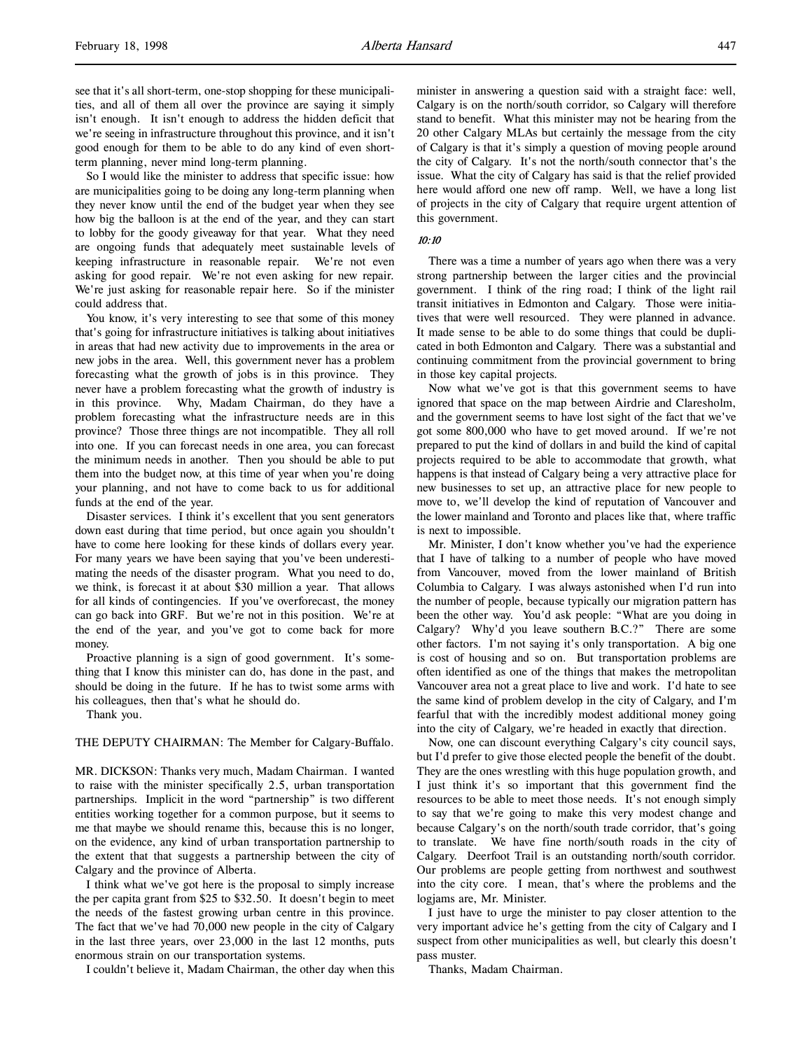see that it's all short-term, one-stop shopping for these municipalities, and all of them all over the province are saying it simply isn't enough. It isn't enough to address the hidden deficit that we're seeing in infrastructure throughout this province, and it isn't good enough for them to be able to do any kind of even shortterm planning, never mind long-term planning.

So I would like the minister to address that specific issue: how are municipalities going to be doing any long-term planning when they never know until the end of the budget year when they see how big the balloon is at the end of the year, and they can start to lobby for the goody giveaway for that year. What they need are ongoing funds that adequately meet sustainable levels of keeping infrastructure in reasonable repair. We're not even asking for good repair. We're not even asking for new repair. We're just asking for reasonable repair here. So if the minister could address that.

You know, it's very interesting to see that some of this money that's going for infrastructure initiatives is talking about initiatives in areas that had new activity due to improvements in the area or new jobs in the area. Well, this government never has a problem forecasting what the growth of jobs is in this province. They never have a problem forecasting what the growth of industry is in this province. Why, Madam Chairman, do they have a problem forecasting what the infrastructure needs are in this province? Those three things are not incompatible. They all roll into one. If you can forecast needs in one area, you can forecast the minimum needs in another. Then you should be able to put them into the budget now, at this time of year when you're doing your planning, and not have to come back to us for additional funds at the end of the year.

Disaster services. I think it's excellent that you sent generators down east during that time period, but once again you shouldn't have to come here looking for these kinds of dollars every year. For many years we have been saying that you've been underestimating the needs of the disaster program. What you need to do, we think, is forecast it at about \$30 million a year. That allows for all kinds of contingencies. If you've overforecast, the money can go back into GRF. But we're not in this position. We're at the end of the year, and you've got to come back for more money.

Proactive planning is a sign of good government. It's something that I know this minister can do, has done in the past, and should be doing in the future. If he has to twist some arms with his colleagues, then that's what he should do.

Thank you.

# THE DEPUTY CHAIRMAN: The Member for Calgary-Buffalo.

MR. DICKSON: Thanks very much, Madam Chairman. I wanted to raise with the minister specifically 2.5, urban transportation partnerships. Implicit in the word "partnership" is two different entities working together for a common purpose, but it seems to me that maybe we should rename this, because this is no longer, on the evidence, any kind of urban transportation partnership to the extent that that suggests a partnership between the city of Calgary and the province of Alberta.

I think what we've got here is the proposal to simply increase the per capita grant from \$25 to \$32.50. It doesn't begin to meet the needs of the fastest growing urban centre in this province. The fact that we've had 70,000 new people in the city of Calgary in the last three years, over 23,000 in the last 12 months, puts enormous strain on our transportation systems.

I couldn't believe it, Madam Chairman, the other day when this

minister in answering a question said with a straight face: well, Calgary is on the north/south corridor, so Calgary will therefore stand to benefit. What this minister may not be hearing from the 20 other Calgary MLAs but certainly the message from the city of Calgary is that it's simply a question of moving people around the city of Calgary. It's not the north/south connector that's the issue. What the city of Calgary has said is that the relief provided here would afford one new off ramp. Well, we have a long list of projects in the city of Calgary that require urgent attention of this government.

# 10:10

There was a time a number of years ago when there was a very strong partnership between the larger cities and the provincial government. I think of the ring road; I think of the light rail transit initiatives in Edmonton and Calgary. Those were initiatives that were well resourced. They were planned in advance. It made sense to be able to do some things that could be duplicated in both Edmonton and Calgary. There was a substantial and continuing commitment from the provincial government to bring in those key capital projects.

Now what we've got is that this government seems to have ignored that space on the map between Airdrie and Claresholm, and the government seems to have lost sight of the fact that we've got some 800,000 who have to get moved around. If we're not prepared to put the kind of dollars in and build the kind of capital projects required to be able to accommodate that growth, what happens is that instead of Calgary being a very attractive place for new businesses to set up, an attractive place for new people to move to, we'll develop the kind of reputation of Vancouver and the lower mainland and Toronto and places like that, where traffic is next to impossible.

Mr. Minister, I don't know whether you've had the experience that I have of talking to a number of people who have moved from Vancouver, moved from the lower mainland of British Columbia to Calgary. I was always astonished when I'd run into the number of people, because typically our migration pattern has been the other way. You'd ask people: "What are you doing in Calgary? Why'd you leave southern B.C.?" There are some other factors. I'm not saying it's only transportation. A big one is cost of housing and so on. But transportation problems are often identified as one of the things that makes the metropolitan Vancouver area not a great place to live and work. I'd hate to see the same kind of problem develop in the city of Calgary, and I'm fearful that with the incredibly modest additional money going into the city of Calgary, we're headed in exactly that direction.

Now, one can discount everything Calgary's city council says, but I'd prefer to give those elected people the benefit of the doubt. They are the ones wrestling with this huge population growth, and I just think it's so important that this government find the resources to be able to meet those needs. It's not enough simply to say that we're going to make this very modest change and because Calgary's on the north/south trade corridor, that's going to translate. We have fine north/south roads in the city of Calgary. Deerfoot Trail is an outstanding north/south corridor. Our problems are people getting from northwest and southwest into the city core. I mean, that's where the problems and the logjams are, Mr. Minister.

I just have to urge the minister to pay closer attention to the very important advice he's getting from the city of Calgary and I suspect from other municipalities as well, but clearly this doesn't pass muster.

Thanks, Madam Chairman.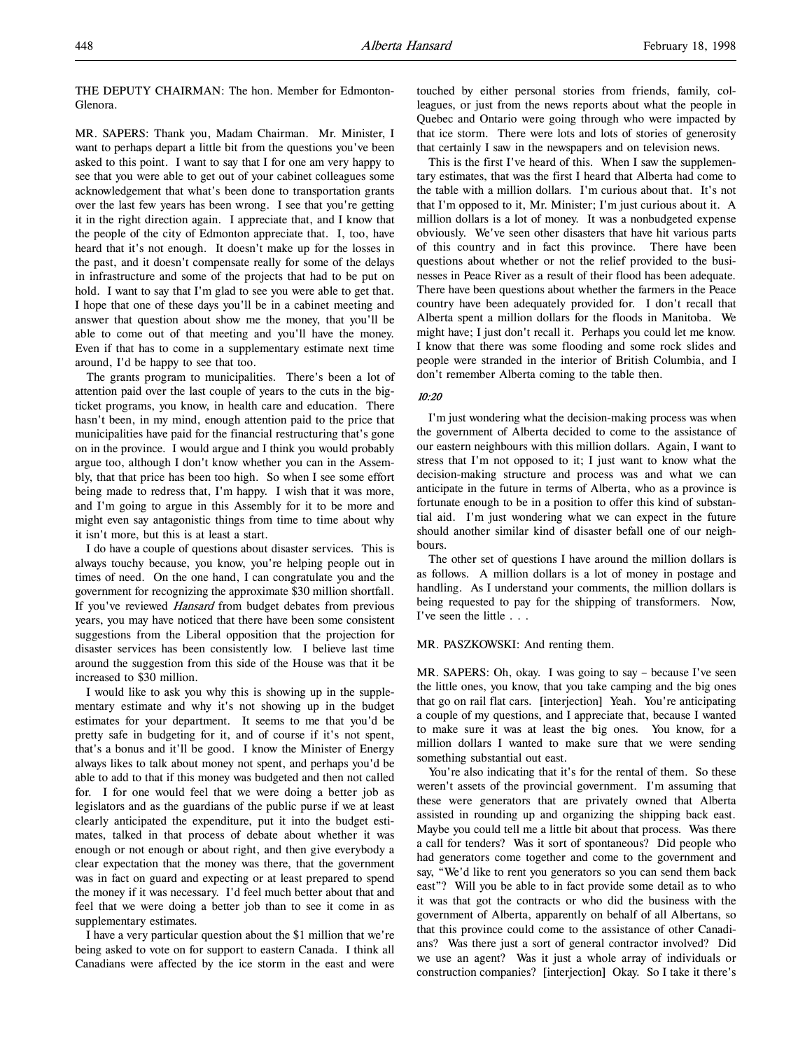THE DEPUTY CHAIRMAN: The hon. Member for Edmonton-Glenora.

MR. SAPERS: Thank you, Madam Chairman. Mr. Minister, I want to perhaps depart a little bit from the questions you've been asked to this point. I want to say that I for one am very happy to see that you were able to get out of your cabinet colleagues some acknowledgement that what's been done to transportation grants over the last few years has been wrong. I see that you're getting it in the right direction again. I appreciate that, and I know that the people of the city of Edmonton appreciate that. I, too, have heard that it's not enough. It doesn't make up for the losses in the past, and it doesn't compensate really for some of the delays in infrastructure and some of the projects that had to be put on hold. I want to say that I'm glad to see you were able to get that. I hope that one of these days you'll be in a cabinet meeting and answer that question about show me the money, that you'll be able to come out of that meeting and you'll have the money. Even if that has to come in a supplementary estimate next time around, I'd be happy to see that too.

The grants program to municipalities. There's been a lot of attention paid over the last couple of years to the cuts in the bigticket programs, you know, in health care and education. There hasn't been, in my mind, enough attention paid to the price that municipalities have paid for the financial restructuring that's gone on in the province. I would argue and I think you would probably argue too, although I don't know whether you can in the Assembly, that that price has been too high. So when I see some effort being made to redress that, I'm happy. I wish that it was more, and I'm going to argue in this Assembly for it to be more and might even say antagonistic things from time to time about why it isn't more, but this is at least a start.

I do have a couple of questions about disaster services. This is always touchy because, you know, you're helping people out in times of need. On the one hand, I can congratulate you and the government for recognizing the approximate \$30 million shortfall. If you've reviewed Hansard from budget debates from previous years, you may have noticed that there have been some consistent suggestions from the Liberal opposition that the projection for disaster services has been consistently low. I believe last time around the suggestion from this side of the House was that it be increased to \$30 million.

I would like to ask you why this is showing up in the supplementary estimate and why it's not showing up in the budget estimates for your department. It seems to me that you'd be pretty safe in budgeting for it, and of course if it's not spent, that's a bonus and it'll be good. I know the Minister of Energy always likes to talk about money not spent, and perhaps you'd be able to add to that if this money was budgeted and then not called for. I for one would feel that we were doing a better job as legislators and as the guardians of the public purse if we at least clearly anticipated the expenditure, put it into the budget estimates, talked in that process of debate about whether it was enough or not enough or about right, and then give everybody a clear expectation that the money was there, that the government was in fact on guard and expecting or at least prepared to spend the money if it was necessary. I'd feel much better about that and feel that we were doing a better job than to see it come in as supplementary estimates.

I have a very particular question about the \$1 million that we're being asked to vote on for support to eastern Canada. I think all Canadians were affected by the ice storm in the east and were

touched by either personal stories from friends, family, colleagues, or just from the news reports about what the people in Quebec and Ontario were going through who were impacted by that ice storm. There were lots and lots of stories of generosity that certainly I saw in the newspapers and on television news.

This is the first I've heard of this. When I saw the supplementary estimates, that was the first I heard that Alberta had come to the table with a million dollars. I'm curious about that. It's not that I'm opposed to it, Mr. Minister; I'm just curious about it. A million dollars is a lot of money. It was a nonbudgeted expense obviously. We've seen other disasters that have hit various parts of this country and in fact this province. There have been questions about whether or not the relief provided to the businesses in Peace River as a result of their flood has been adequate. There have been questions about whether the farmers in the Peace country have been adequately provided for. I don't recall that Alberta spent a million dollars for the floods in Manitoba. We might have; I just don't recall it. Perhaps you could let me know. I know that there was some flooding and some rock slides and people were stranded in the interior of British Columbia, and I don't remember Alberta coming to the table then.

### 10:20

I'm just wondering what the decision-making process was when the government of Alberta decided to come to the assistance of our eastern neighbours with this million dollars. Again, I want to stress that I'm not opposed to it; I just want to know what the decision-making structure and process was and what we can anticipate in the future in terms of Alberta, who as a province is fortunate enough to be in a position to offer this kind of substantial aid. I'm just wondering what we can expect in the future should another similar kind of disaster befall one of our neighbours.

The other set of questions I have around the million dollars is as follows. A million dollars is a lot of money in postage and handling. As I understand your comments, the million dollars is being requested to pay for the shipping of transformers. Now, I've seen the little . . .

#### MR. PASZKOWSKI: And renting them.

MR. SAPERS: Oh, okay. I was going to say – because I've seen the little ones, you know, that you take camping and the big ones that go on rail flat cars. [interjection] Yeah. You're anticipating a couple of my questions, and I appreciate that, because I wanted to make sure it was at least the big ones. You know, for a million dollars I wanted to make sure that we were sending something substantial out east.

You're also indicating that it's for the rental of them. So these weren't assets of the provincial government. I'm assuming that these were generators that are privately owned that Alberta assisted in rounding up and organizing the shipping back east. Maybe you could tell me a little bit about that process. Was there a call for tenders? Was it sort of spontaneous? Did people who had generators come together and come to the government and say, "We'd like to rent you generators so you can send them back east"? Will you be able to in fact provide some detail as to who it was that got the contracts or who did the business with the government of Alberta, apparently on behalf of all Albertans, so that this province could come to the assistance of other Canadians? Was there just a sort of general contractor involved? Did we use an agent? Was it just a whole array of individuals or construction companies? [interjection] Okay. So I take it there's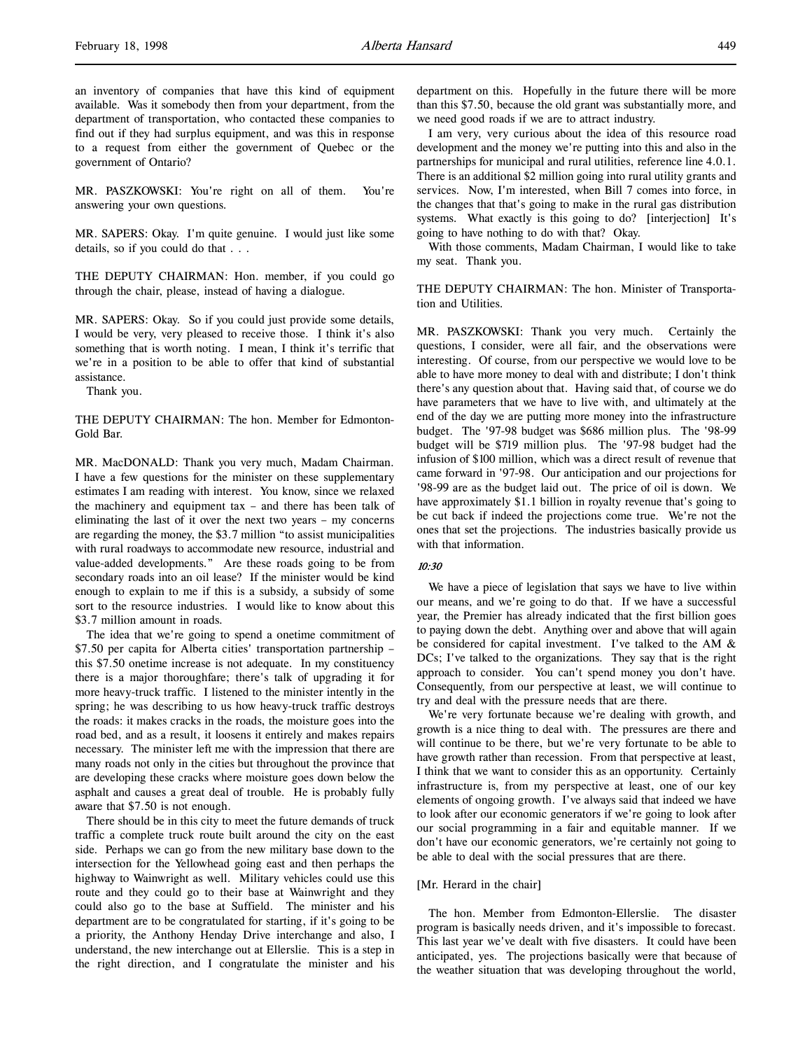an inventory of companies that have this kind of equipment available. Was it somebody then from your department, from the department of transportation, who contacted these companies to find out if they had surplus equipment, and was this in response to a request from either the government of Quebec or the government of Ontario?

MR. PASZKOWSKI: You're right on all of them. You're answering your own questions.

MR. SAPERS: Okay. I'm quite genuine. I would just like some details, so if you could do that . . .

THE DEPUTY CHAIRMAN: Hon. member, if you could go through the chair, please, instead of having a dialogue.

MR. SAPERS: Okay. So if you could just provide some details, I would be very, very pleased to receive those. I think it's also something that is worth noting. I mean, I think it's terrific that we're in a position to be able to offer that kind of substantial assistance.

Thank you.

THE DEPUTY CHAIRMAN: The hon. Member for Edmonton-Gold Bar.

MR. MacDONALD: Thank you very much, Madam Chairman. I have a few questions for the minister on these supplementary estimates I am reading with interest. You know, since we relaxed the machinery and equipment tax – and there has been talk of eliminating the last of it over the next two years – my concerns are regarding the money, the \$3.7 million "to assist municipalities with rural roadways to accommodate new resource, industrial and value-added developments." Are these roads going to be from secondary roads into an oil lease? If the minister would be kind enough to explain to me if this is a subsidy, a subsidy of some sort to the resource industries. I would like to know about this \$3.7 million amount in roads.

The idea that we're going to spend a onetime commitment of \$7.50 per capita for Alberta cities' transportation partnership – this \$7.50 onetime increase is not adequate. In my constituency there is a major thoroughfare; there's talk of upgrading it for more heavy-truck traffic. I listened to the minister intently in the spring; he was describing to us how heavy-truck traffic destroys the roads: it makes cracks in the roads, the moisture goes into the road bed, and as a result, it loosens it entirely and makes repairs necessary. The minister left me with the impression that there are many roads not only in the cities but throughout the province that are developing these cracks where moisture goes down below the asphalt and causes a great deal of trouble. He is probably fully aware that \$7.50 is not enough.

There should be in this city to meet the future demands of truck traffic a complete truck route built around the city on the east side. Perhaps we can go from the new military base down to the intersection for the Yellowhead going east and then perhaps the highway to Wainwright as well. Military vehicles could use this route and they could go to their base at Wainwright and they could also go to the base at Suffield. The minister and his department are to be congratulated for starting, if it's going to be a priority, the Anthony Henday Drive interchange and also, I understand, the new interchange out at Ellerslie. This is a step in the right direction, and I congratulate the minister and his department on this. Hopefully in the future there will be more than this \$7.50, because the old grant was substantially more, and we need good roads if we are to attract industry.

I am very, very curious about the idea of this resource road development and the money we're putting into this and also in the partnerships for municipal and rural utilities, reference line 4.0.1. There is an additional \$2 million going into rural utility grants and services. Now, I'm interested, when Bill 7 comes into force, in the changes that that's going to make in the rural gas distribution systems. What exactly is this going to do? [interjection] It's going to have nothing to do with that? Okay.

With those comments, Madam Chairman, I would like to take my seat. Thank you.

THE DEPUTY CHAIRMAN: The hon. Minister of Transportation and Utilities.

MR. PASZKOWSKI: Thank you very much. Certainly the questions, I consider, were all fair, and the observations were interesting. Of course, from our perspective we would love to be able to have more money to deal with and distribute; I don't think there's any question about that. Having said that, of course we do have parameters that we have to live with, and ultimately at the end of the day we are putting more money into the infrastructure budget. The '97-98 budget was \$686 million plus. The '98-99 budget will be \$719 million plus. The '97-98 budget had the infusion of \$100 million, which was a direct result of revenue that came forward in '97-98. Our anticipation and our projections for '98-99 are as the budget laid out. The price of oil is down. We have approximately \$1.1 billion in royalty revenue that's going to be cut back if indeed the projections come true. We're not the ones that set the projections. The industries basically provide us with that information.

# 10:30

We have a piece of legislation that says we have to live within our means, and we're going to do that. If we have a successful year, the Premier has already indicated that the first billion goes to paying down the debt. Anything over and above that will again be considered for capital investment. I've talked to the AM & DCs; I've talked to the organizations. They say that is the right approach to consider. You can't spend money you don't have. Consequently, from our perspective at least, we will continue to try and deal with the pressure needs that are there.

We're very fortunate because we're dealing with growth, and growth is a nice thing to deal with. The pressures are there and will continue to be there, but we're very fortunate to be able to have growth rather than recession. From that perspective at least, I think that we want to consider this as an opportunity. Certainly infrastructure is, from my perspective at least, one of our key elements of ongoing growth. I've always said that indeed we have to look after our economic generators if we're going to look after our social programming in a fair and equitable manner. If we don't have our economic generators, we're certainly not going to be able to deal with the social pressures that are there.

## [Mr. Herard in the chair]

The hon. Member from Edmonton-Ellerslie. The disaster program is basically needs driven, and it's impossible to forecast. This last year we've dealt with five disasters. It could have been anticipated, yes. The projections basically were that because of the weather situation that was developing throughout the world,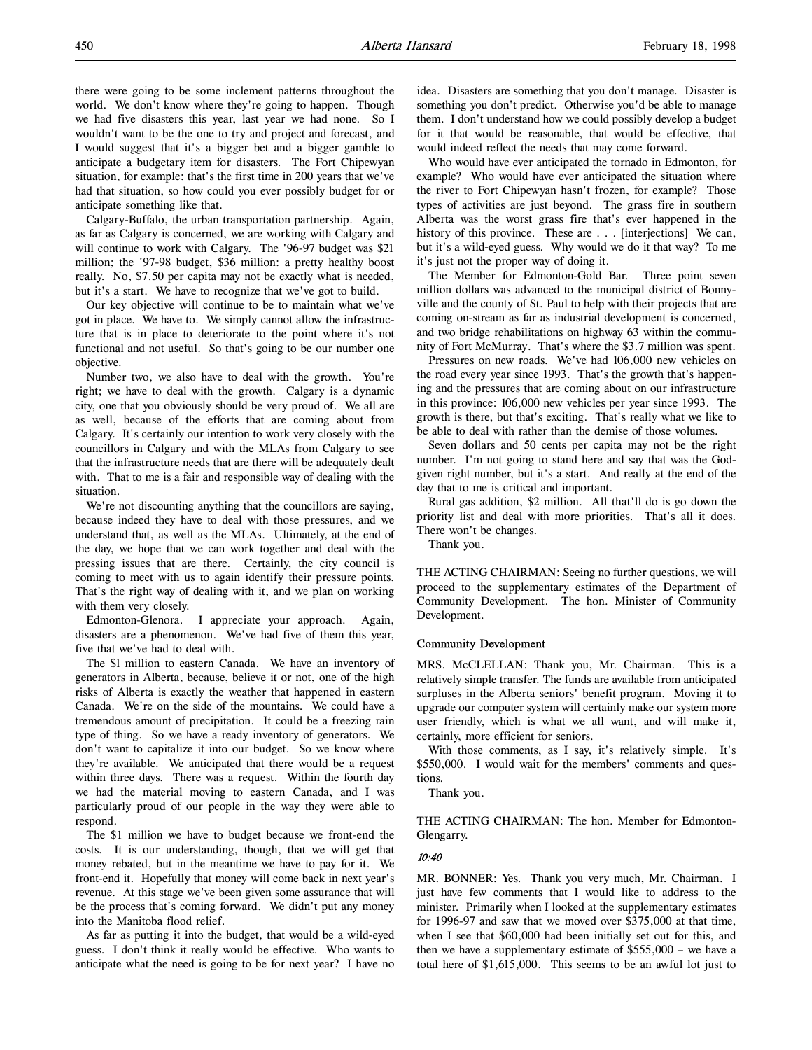there were going to be some inclement patterns throughout the world. We don't know where they're going to happen. Though we had five disasters this year, last year we had none. So I wouldn't want to be the one to try and project and forecast, and I would suggest that it's a bigger bet and a bigger gamble to anticipate a budgetary item for disasters. The Fort Chipewyan situation, for example: that's the first time in 200 years that we've had that situation, so how could you ever possibly budget for or anticipate something like that.

Calgary-Buffalo, the urban transportation partnership. Again, as far as Calgary is concerned, we are working with Calgary and will continue to work with Calgary. The '96-97 budget was \$21 million; the '97-98 budget, \$36 million: a pretty healthy boost really. No, \$7.50 per capita may not be exactly what is needed, but it's a start. We have to recognize that we've got to build.

Our key objective will continue to be to maintain what we've got in place. We have to. We simply cannot allow the infrastructure that is in place to deteriorate to the point where it's not functional and not useful. So that's going to be our number one objective.

Number two, we also have to deal with the growth. You're right; we have to deal with the growth. Calgary is a dynamic city, one that you obviously should be very proud of. We all are as well, because of the efforts that are coming about from Calgary. It's certainly our intention to work very closely with the councillors in Calgary and with the MLAs from Calgary to see that the infrastructure needs that are there will be adequately dealt with. That to me is a fair and responsible way of dealing with the situation.

We're not discounting anything that the councillors are saying, because indeed they have to deal with those pressures, and we understand that, as well as the MLAs. Ultimately, at the end of the day, we hope that we can work together and deal with the pressing issues that are there. Certainly, the city council is coming to meet with us to again identify their pressure points. That's the right way of dealing with it, and we plan on working with them very closely.

Edmonton-Glenora. I appreciate your approach. Again, disasters are a phenomenon. We've had five of them this year, five that we've had to deal with.

The \$l million to eastern Canada. We have an inventory of generators in Alberta, because, believe it or not, one of the high risks of Alberta is exactly the weather that happened in eastern Canada. We're on the side of the mountains. We could have a tremendous amount of precipitation. It could be a freezing rain type of thing. So we have a ready inventory of generators. We don't want to capitalize it into our budget. So we know where they're available. We anticipated that there would be a request within three days. There was a request. Within the fourth day we had the material moving to eastern Canada, and I was particularly proud of our people in the way they were able to respond.

The \$1 million we have to budget because we front-end the costs. It is our understanding, though, that we will get that money rebated, but in the meantime we have to pay for it. We front-end it. Hopefully that money will come back in next year's revenue. At this stage we've been given some assurance that will be the process that's coming forward. We didn't put any money into the Manitoba flood relief.

As far as putting it into the budget, that would be a wild-eyed guess. I don't think it really would be effective. Who wants to anticipate what the need is going to be for next year? I have no idea. Disasters are something that you don't manage. Disaster is something you don't predict. Otherwise you'd be able to manage them. I don't understand how we could possibly develop a budget for it that would be reasonable, that would be effective, that would indeed reflect the needs that may come forward.

Who would have ever anticipated the tornado in Edmonton, for example? Who would have ever anticipated the situation where the river to Fort Chipewyan hasn't frozen, for example? Those types of activities are just beyond. The grass fire in southern Alberta was the worst grass fire that's ever happened in the history of this province. These are . . . [interjections] We can, but it's a wild-eyed guess. Why would we do it that way? To me it's just not the proper way of doing it.

The Member for Edmonton-Gold Bar. Three point seven million dollars was advanced to the municipal district of Bonnyville and the county of St. Paul to help with their projects that are coming on-stream as far as industrial development is concerned, and two bridge rehabilitations on highway 63 within the community of Fort McMurray. That's where the \$3.7 million was spent.

Pressures on new roads. We've had 106,000 new vehicles on the road every year since 1993. That's the growth that's happening and the pressures that are coming about on our infrastructure in this province: 106,000 new vehicles per year since 1993. The growth is there, but that's exciting. That's really what we like to be able to deal with rather than the demise of those volumes.

Seven dollars and 50 cents per capita may not be the right number. I'm not going to stand here and say that was the Godgiven right number, but it's a start. And really at the end of the day that to me is critical and important.

Rural gas addition, \$2 million. All that'll do is go down the priority list and deal with more priorities. That's all it does. There won't be changes.

Thank you.

THE ACTING CHAIRMAN: Seeing no further questions, we will proceed to the supplementary estimates of the Department of Community Development. The hon. Minister of Community Development.

### Community Development

MRS. McCLELLAN: Thank you, Mr. Chairman. This is a relatively simple transfer. The funds are available from anticipated surpluses in the Alberta seniors' benefit program. Moving it to upgrade our computer system will certainly make our system more user friendly, which is what we all want, and will make it, certainly, more efficient for seniors.

With those comments, as I say, it's relatively simple. It's \$550,000. I would wait for the members' comments and questions.

Thank you.

THE ACTING CHAIRMAN: The hon. Member for Edmonton-Glengarry.

# 10:40

MR. BONNER: Yes. Thank you very much, Mr. Chairman. I just have few comments that I would like to address to the minister. Primarily when I looked at the supplementary estimates for 1996-97 and saw that we moved over \$375,000 at that time, when I see that \$60,000 had been initially set out for this, and then we have a supplementary estimate of \$555,000 – we have a total here of \$1,615,000. This seems to be an awful lot just to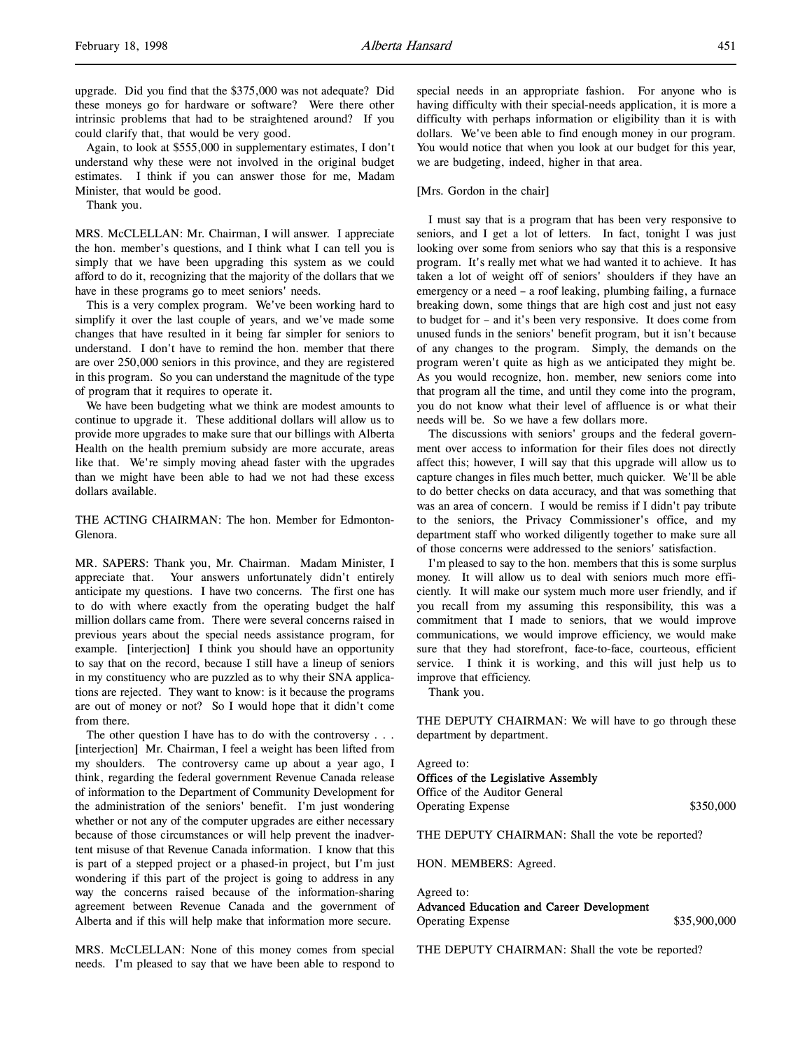upgrade. Did you find that the \$375,000 was not adequate? Did these moneys go for hardware or software? Were there other intrinsic problems that had to be straightened around? If you could clarify that, that would be very good.

Again, to look at \$555,000 in supplementary estimates, I don't understand why these were not involved in the original budget estimates. I think if you can answer those for me, Madam Minister, that would be good.

Thank you.

MRS. McCLELLAN: Mr. Chairman, I will answer. I appreciate the hon. member's questions, and I think what I can tell you is simply that we have been upgrading this system as we could afford to do it, recognizing that the majority of the dollars that we have in these programs go to meet seniors' needs.

This is a very complex program. We've been working hard to simplify it over the last couple of years, and we've made some changes that have resulted in it being far simpler for seniors to understand. I don't have to remind the hon. member that there are over 250,000 seniors in this province, and they are registered in this program. So you can understand the magnitude of the type of program that it requires to operate it.

We have been budgeting what we think are modest amounts to continue to upgrade it. These additional dollars will allow us to provide more upgrades to make sure that our billings with Alberta Health on the health premium subsidy are more accurate, areas like that. We're simply moving ahead faster with the upgrades than we might have been able to had we not had these excess dollars available.

THE ACTING CHAIRMAN: The hon. Member for Edmonton-Glenora.

MR. SAPERS: Thank you, Mr. Chairman. Madam Minister, I appreciate that. Your answers unfortunately didn't entirely anticipate my questions. I have two concerns. The first one has to do with where exactly from the operating budget the half million dollars came from. There were several concerns raised in previous years about the special needs assistance program, for example. [interjection] I think you should have an opportunity to say that on the record, because I still have a lineup of seniors in my constituency who are puzzled as to why their SNA applications are rejected. They want to know: is it because the programs are out of money or not? So I would hope that it didn't come from there.

The other question I have has to do with the controversy . . . [interjection] Mr. Chairman, I feel a weight has been lifted from my shoulders. The controversy came up about a year ago, I think, regarding the federal government Revenue Canada release of information to the Department of Community Development for the administration of the seniors' benefit. I'm just wondering whether or not any of the computer upgrades are either necessary because of those circumstances or will help prevent the inadvertent misuse of that Revenue Canada information. I know that this is part of a stepped project or a phased-in project, but I'm just wondering if this part of the project is going to address in any way the concerns raised because of the information-sharing agreement between Revenue Canada and the government of Alberta and if this will help make that information more secure.

MRS. McCLELLAN: None of this money comes from special needs. I'm pleased to say that we have been able to respond to

special needs in an appropriate fashion. For anyone who is having difficulty with their special-needs application, it is more a difficulty with perhaps information or eligibility than it is with dollars. We've been able to find enough money in our program. You would notice that when you look at our budget for this year, we are budgeting, indeed, higher in that area.

## [Mrs. Gordon in the chair]

I must say that is a program that has been very responsive to seniors, and I get a lot of letters. In fact, tonight I was just looking over some from seniors who say that this is a responsive program. It's really met what we had wanted it to achieve. It has taken a lot of weight off of seniors' shoulders if they have an emergency or a need – a roof leaking, plumbing failing, a furnace breaking down, some things that are high cost and just not easy to budget for – and it's been very responsive. It does come from unused funds in the seniors' benefit program, but it isn't because of any changes to the program. Simply, the demands on the program weren't quite as high as we anticipated they might be. As you would recognize, hon. member, new seniors come into that program all the time, and until they come into the program, you do not know what their level of affluence is or what their needs will be. So we have a few dollars more.

The discussions with seniors' groups and the federal government over access to information for their files does not directly affect this; however, I will say that this upgrade will allow us to capture changes in files much better, much quicker. We'll be able to do better checks on data accuracy, and that was something that was an area of concern. I would be remiss if I didn't pay tribute to the seniors, the Privacy Commissioner's office, and my department staff who worked diligently together to make sure all of those concerns were addressed to the seniors' satisfaction.

I'm pleased to say to the hon. members that this is some surplus money. It will allow us to deal with seniors much more efficiently. It will make our system much more user friendly, and if you recall from my assuming this responsibility, this was a commitment that I made to seniors, that we would improve communications, we would improve efficiency, we would make sure that they had storefront, face-to-face, courteous, efficient service. I think it is working, and this will just help us to improve that efficiency.

Thank you.

THE DEPUTY CHAIRMAN: We will have to go through these department by department.

Agreed to: Offices of the Legislative Assembly

Office of the Auditor General Operating Expense \$350,000

THE DEPUTY CHAIRMAN: Shall the vote be reported?

HON. MEMBERS: Agreed.

Agreed to: Advanced Education and Career Development Operating Expense  $$35,900,000$ 

THE DEPUTY CHAIRMAN: Shall the vote be reported?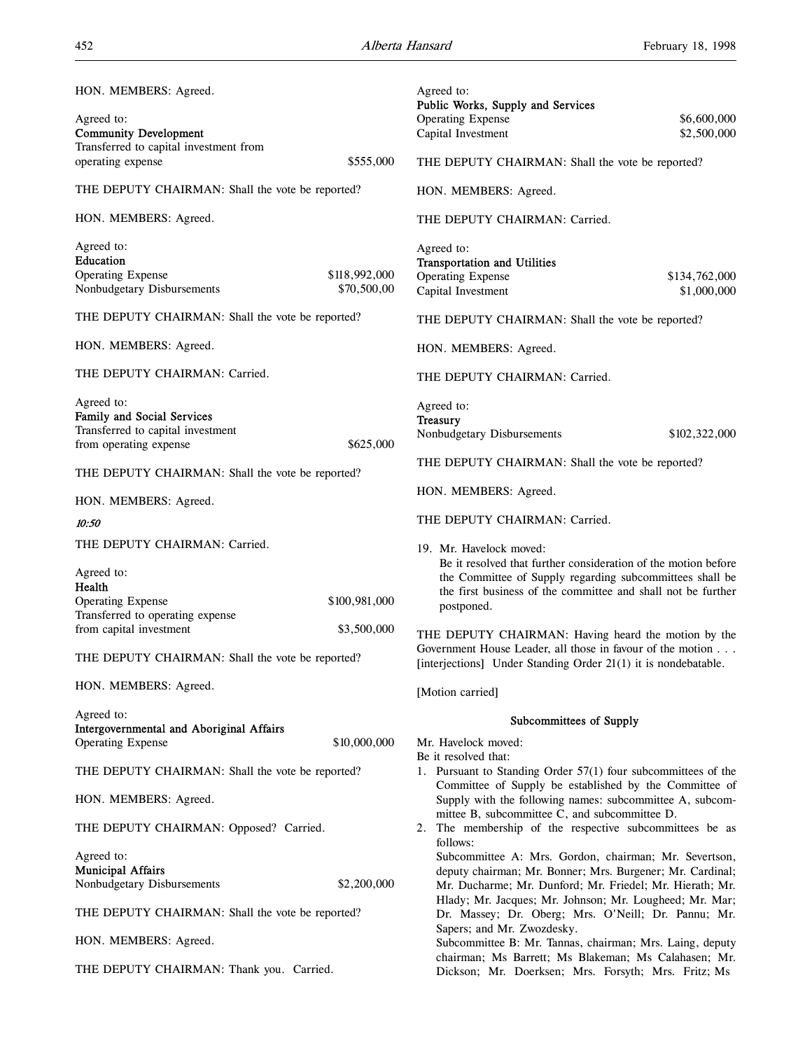| HON. MEMBERS: Agreed.                                                                                   |                              | Agreed to:<br>Public Works, Supply and Services                                                                                                                                            |                              |
|---------------------------------------------------------------------------------------------------------|------------------------------|--------------------------------------------------------------------------------------------------------------------------------------------------------------------------------------------|------------------------------|
| Agreed to:<br><b>Community Development</b>                                                              |                              | <b>Operating Expense</b><br>Capital Investment                                                                                                                                             | \$6,600,000<br>\$2,500,000   |
| Transferred to capital investment from<br>operating expense                                             | \$555,000                    | THE DEPUTY CHAIRMAN: Shall the vote be reported?                                                                                                                                           |                              |
| THE DEPUTY CHAIRMAN: Shall the vote be reported?                                                        |                              | HON. MEMBERS: Agreed.                                                                                                                                                                      |                              |
| HON. MEMBERS: Agreed.                                                                                   |                              | THE DEPUTY CHAIRMAN: Carried.                                                                                                                                                              |                              |
| Agreed to:<br>Education                                                                                 |                              | Agreed to:<br><b>Transportation and Utilities</b>                                                                                                                                          |                              |
| <b>Operating Expense</b><br>Nonbudgetary Disbursements                                                  | \$118,992,000<br>\$70,500,00 | <b>Operating Expense</b><br>Capital Investment                                                                                                                                             | \$134,762,000<br>\$1,000,000 |
| THE DEPUTY CHAIRMAN: Shall the vote be reported?                                                        |                              | THE DEPUTY CHAIRMAN: Shall the vote be reported?                                                                                                                                           |                              |
| HON. MEMBERS: Agreed.                                                                                   |                              | HON. MEMBERS: Agreed.                                                                                                                                                                      |                              |
| THE DEPUTY CHAIRMAN: Carried.                                                                           |                              | THE DEPUTY CHAIRMAN: Carried.                                                                                                                                                              |                              |
| Agreed to:<br>Family and Social Services<br>Transferred to capital investment<br>from operating expense | \$625,000                    | Agreed to:<br><b>Treasury</b><br>Nonbudgetary Disbursements                                                                                                                                | \$102,322,000                |
| THE DEPUTY CHAIRMAN: Shall the vote be reported?                                                        |                              | THE DEPUTY CHAIRMAN: Shall the vote be reported?                                                                                                                                           |                              |
| HON. MEMBERS: Agreed.                                                                                   |                              | HON. MEMBERS: Agreed.                                                                                                                                                                      |                              |
| 10:50                                                                                                   |                              | THE DEPUTY CHAIRMAN: Carried.                                                                                                                                                              |                              |
| THE DEPUTY CHAIRMAN: Carried.                                                                           |                              | 19. Mr. Havelock moved:                                                                                                                                                                    |                              |
| Agreed to:<br>Health                                                                                    |                              | Be it resolved that further consideration of the motion before<br>the Committee of Supply regarding subcommittees shall be<br>the first business of the committee and shall not be further |                              |
| <b>Operating Expense</b><br>Transferred to operating expense                                            | \$100,981,000                | postponed.                                                                                                                                                                                 |                              |
| from capital investment                                                                                 | \$3,500,000                  | THE DEPUTY CHAIRMAN: Having heard the motion by the                                                                                                                                        |                              |
| THE DEPUTY CHAIRMAN: Shall the vote be reported?                                                        |                              | Government House Leader, all those in favour of the motion<br>[interjections] Under Standing Order 21(1) it is nondebatable.                                                               |                              |
| HON. MEMBERS: Agreed.                                                                                   |                              | [Motion carried]                                                                                                                                                                           |                              |
| Agreed to:                                                                                              |                              | Subcommittees of Supply                                                                                                                                                                    |                              |
| <b>Intergovernmental and Aboriginal Affairs</b><br><b>Operating Expense</b>                             | \$10,000,000                 | Mr. Havelock moved:                                                                                                                                                                        |                              |
| THE DEPUTY CHAIRMAN: Shall the vote be reported?                                                        |                              | Be it resolved that:<br>1. Pursuant to Standing Order 57(1) four subcommittees of the                                                                                                      |                              |
| HON. MEMBERS: Agreed.                                                                                   |                              | Committee of Supply be established by the Committee of<br>Supply with the following names: subcommittee A, subcom-                                                                         |                              |
| THE DEPUTY CHAIRMAN: Opposed? Carried.                                                                  |                              | mittee B, subcommittee C, and subcommittee D.<br>2. The membership of the respective subcommittees be as<br>follows:                                                                       |                              |
| Agreed to:                                                                                              |                              | Subcommittee A: Mrs. Gordon, chairman; Mr. Severtson,                                                                                                                                      |                              |
| <b>Municipal Affairs</b><br>Nonbudgetary Disbursements                                                  | \$2,200,000                  | deputy chairman; Mr. Bonner; Mrs. Burgener; Mr. Cardinal;<br>Mr. Ducharme; Mr. Dunford; Mr. Friedel; Mr. Hierath; Mr.                                                                      |                              |
| THE DEPUTY CHAIRMAN: Shall the vote be reported?                                                        |                              | Hlady; Mr. Jacques; Mr. Johnson; Mr. Lougheed; Mr. Mar;<br>Dr. Massey; Dr. Oberg; Mrs. O'Neill; Dr. Pannu; Mr.                                                                             |                              |
| HON. MEMBERS: Agreed.                                                                                   |                              | Sapers; and Mr. Zwozdesky.<br>Subcommittee B: Mr. Tannas, chairman; Mrs. Laing, deputy                                                                                                     |                              |
| THE DEPUTY CHAIRMAN: Thank you. Carried.                                                                |                              | chairman; Ms Barrett; Ms Blakeman; Ms Calahasen; Mr.<br>Dickson; Mr. Doerksen; Mrs. Forsyth; Mrs. Fritz; Ms                                                                                |                              |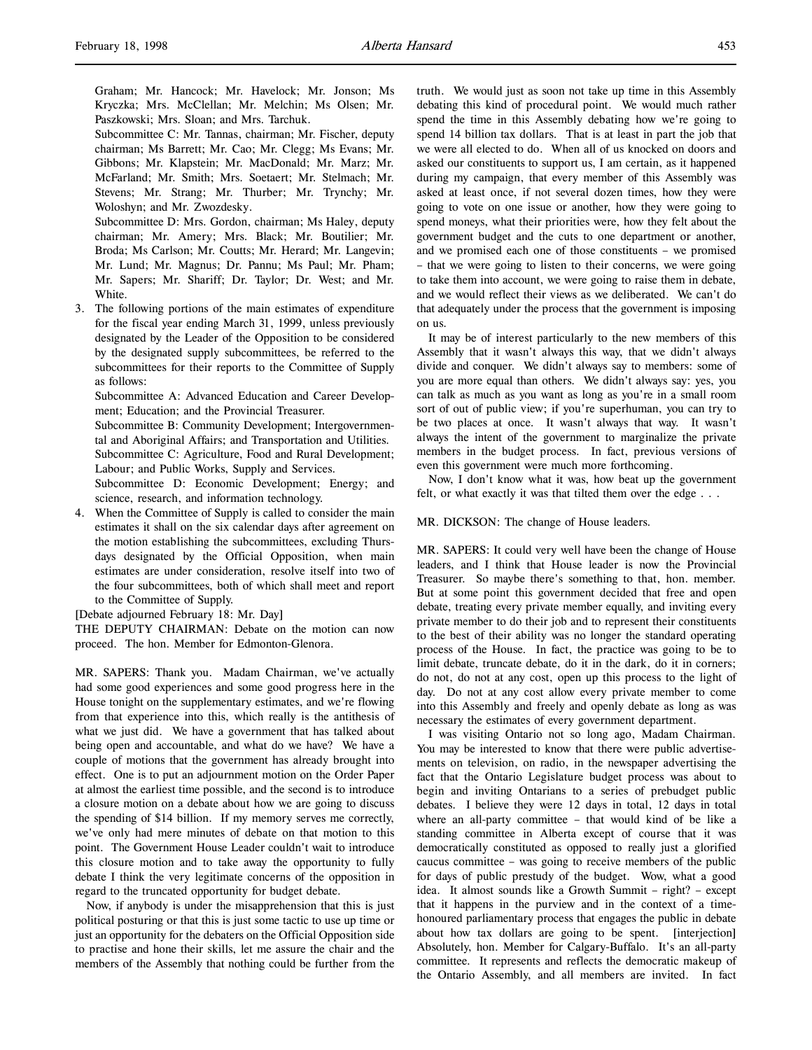Graham; Mr. Hancock; Mr. Havelock; Mr. Jonson; Ms Kryczka; Mrs. McClellan; Mr. Melchin; Ms Olsen; Mr. Paszkowski; Mrs. Sloan; and Mrs. Tarchuk.

Subcommittee C: Mr. Tannas, chairman; Mr. Fischer, deputy chairman; Ms Barrett; Mr. Cao; Mr. Clegg; Ms Evans; Mr. Gibbons; Mr. Klapstein; Mr. MacDonald; Mr. Marz; Mr. McFarland; Mr. Smith; Mrs. Soetaert; Mr. Stelmach; Mr. Stevens; Mr. Strang; Mr. Thurber; Mr. Trynchy; Mr. Woloshyn; and Mr. Zwozdesky.

Subcommittee D: Mrs. Gordon, chairman; Ms Haley, deputy chairman; Mr. Amery; Mrs. Black; Mr. Boutilier; Mr. Broda; Ms Carlson; Mr. Coutts; Mr. Herard; Mr. Langevin; Mr. Lund; Mr. Magnus; Dr. Pannu; Ms Paul; Mr. Pham; Mr. Sapers; Mr. Shariff; Dr. Taylor; Dr. West; and Mr. White.

3. The following portions of the main estimates of expenditure for the fiscal year ending March 31, 1999, unless previously designated by the Leader of the Opposition to be considered by the designated supply subcommittees, be referred to the subcommittees for their reports to the Committee of Supply as follows:

Subcommittee A: Advanced Education and Career Development; Education; and the Provincial Treasurer.

Subcommittee B: Community Development; Intergovernmental and Aboriginal Affairs; and Transportation and Utilities. Subcommittee C: Agriculture, Food and Rural Development;

Labour; and Public Works, Supply and Services.

Subcommittee D: Economic Development; Energy; and science, research, and information technology.

4. When the Committee of Supply is called to consider the main estimates it shall on the six calendar days after agreement on the motion establishing the subcommittees, excluding Thursdays designated by the Official Opposition, when main estimates are under consideration, resolve itself into two of the four subcommittees, both of which shall meet and report to the Committee of Supply.

[Debate adjourned February 18: Mr. Day]

THE DEPUTY CHAIRMAN: Debate on the motion can now proceed. The hon. Member for Edmonton-Glenora.

MR. SAPERS: Thank you. Madam Chairman, we've actually had some good experiences and some good progress here in the House tonight on the supplementary estimates, and we're flowing from that experience into this, which really is the antithesis of what we just did. We have a government that has talked about being open and accountable, and what do we have? We have a couple of motions that the government has already brought into effect. One is to put an adjournment motion on the Order Paper at almost the earliest time possible, and the second is to introduce a closure motion on a debate about how we are going to discuss the spending of \$14 billion. If my memory serves me correctly, we've only had mere minutes of debate on that motion to this point. The Government House Leader couldn't wait to introduce this closure motion and to take away the opportunity to fully debate I think the very legitimate concerns of the opposition in regard to the truncated opportunity for budget debate.

Now, if anybody is under the misapprehension that this is just political posturing or that this is just some tactic to use up time or just an opportunity for the debaters on the Official Opposition side to practise and hone their skills, let me assure the chair and the members of the Assembly that nothing could be further from the

truth. We would just as soon not take up time in this Assembly debating this kind of procedural point. We would much rather spend the time in this Assembly debating how we're going to spend 14 billion tax dollars. That is at least in part the job that we were all elected to do. When all of us knocked on doors and asked our constituents to support us, I am certain, as it happened during my campaign, that every member of this Assembly was asked at least once, if not several dozen times, how they were going to vote on one issue or another, how they were going to spend moneys, what their priorities were, how they felt about the government budget and the cuts to one department or another, and we promised each one of those constituents – we promised – that we were going to listen to their concerns, we were going to take them into account, we were going to raise them in debate, and we would reflect their views as we deliberated. We can't do that adequately under the process that the government is imposing on us.

It may be of interest particularly to the new members of this Assembly that it wasn't always this way, that we didn't always divide and conquer. We didn't always say to members: some of you are more equal than others. We didn't always say: yes, you can talk as much as you want as long as you're in a small room sort of out of public view; if you're superhuman, you can try to be two places at once. It wasn't always that way. It wasn't always the intent of the government to marginalize the private members in the budget process. In fact, previous versions of even this government were much more forthcoming.

Now, I don't know what it was, how beat up the government felt, or what exactly it was that tilted them over the edge . . .

#### MR. DICKSON: The change of House leaders.

MR. SAPERS: It could very well have been the change of House leaders, and I think that House leader is now the Provincial Treasurer. So maybe there's something to that, hon. member. But at some point this government decided that free and open debate, treating every private member equally, and inviting every private member to do their job and to represent their constituents to the best of their ability was no longer the standard operating process of the House. In fact, the practice was going to be to limit debate, truncate debate, do it in the dark, do it in corners; do not, do not at any cost, open up this process to the light of day. Do not at any cost allow every private member to come into this Assembly and freely and openly debate as long as was necessary the estimates of every government department.

I was visiting Ontario not so long ago, Madam Chairman. You may be interested to know that there were public advertisements on television, on radio, in the newspaper advertising the fact that the Ontario Legislature budget process was about to begin and inviting Ontarians to a series of prebudget public debates. I believe they were 12 days in total, 12 days in total where an all-party committee – that would kind of be like a standing committee in Alberta except of course that it was democratically constituted as opposed to really just a glorified caucus committee – was going to receive members of the public for days of public prestudy of the budget. Wow, what a good idea. It almost sounds like a Growth Summit – right? – except that it happens in the purview and in the context of a timehonoured parliamentary process that engages the public in debate about how tax dollars are going to be spent. [interjection] Absolutely, hon. Member for Calgary-Buffalo. It's an all-party committee. It represents and reflects the democratic makeup of the Ontario Assembly, and all members are invited. In fact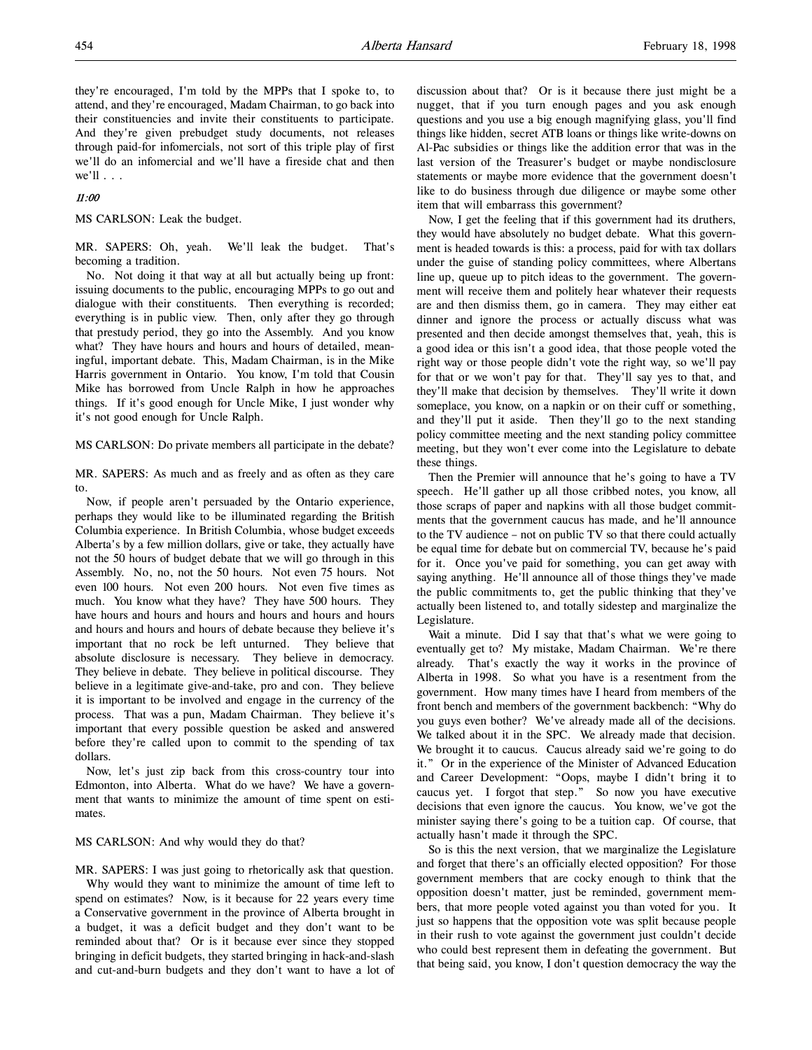they're encouraged, I'm told by the MPPs that I spoke to, to attend, and they're encouraged, Madam Chairman, to go back into their constituencies and invite their constituents to participate. And they're given prebudget study documents, not releases through paid-for infomercials, not sort of this triple play of first we'll do an infomercial and we'll have a fireside chat and then we'll  $\ldots$ 

# 11:00

### MS CARLSON: Leak the budget.

MR. SAPERS: Oh, yeah. We'll leak the budget. That's becoming a tradition.

No. Not doing it that way at all but actually being up front: issuing documents to the public, encouraging MPPs to go out and dialogue with their constituents. Then everything is recorded; everything is in public view. Then, only after they go through that prestudy period, they go into the Assembly. And you know what? They have hours and hours and hours of detailed, meaningful, important debate. This, Madam Chairman, is in the Mike Harris government in Ontario. You know, I'm told that Cousin Mike has borrowed from Uncle Ralph in how he approaches things. If it's good enough for Uncle Mike, I just wonder why it's not good enough for Uncle Ralph.

MS CARLSON: Do private members all participate in the debate?

MR. SAPERS: As much and as freely and as often as they care to.

Now, if people aren't persuaded by the Ontario experience, perhaps they would like to be illuminated regarding the British Columbia experience. In British Columbia, whose budget exceeds Alberta's by a few million dollars, give or take, they actually have not the 50 hours of budget debate that we will go through in this Assembly. No, no, not the 50 hours. Not even 75 hours. Not even 100 hours. Not even 200 hours. Not even five times as much. You know what they have? They have 500 hours. They have hours and hours and hours and hours and hours and hours and hours and hours and hours of debate because they believe it's important that no rock be left unturned. They believe that absolute disclosure is necessary. They believe in democracy. They believe in debate. They believe in political discourse. They believe in a legitimate give-and-take, pro and con. They believe it is important to be involved and engage in the currency of the process. That was a pun, Madam Chairman. They believe it's important that every possible question be asked and answered before they're called upon to commit to the spending of tax dollars.

Now, let's just zip back from this cross-country tour into Edmonton, into Alberta. What do we have? We have a government that wants to minimize the amount of time spent on estimates.

#### MS CARLSON: And why would they do that?

MR. SAPERS: I was just going to rhetorically ask that question. Why would they want to minimize the amount of time left to spend on estimates? Now, is it because for 22 years every time a Conservative government in the province of Alberta brought in a budget, it was a deficit budget and they don't want to be reminded about that? Or is it because ever since they stopped bringing in deficit budgets, they started bringing in hack-and-slash and cut-and-burn budgets and they don't want to have a lot of

discussion about that? Or is it because there just might be a nugget, that if you turn enough pages and you ask enough questions and you use a big enough magnifying glass, you'll find things like hidden, secret ATB loans or things like write-downs on Al-Pac subsidies or things like the addition error that was in the last version of the Treasurer's budget or maybe nondisclosure statements or maybe more evidence that the government doesn't like to do business through due diligence or maybe some other item that will embarrass this government?

Now, I get the feeling that if this government had its druthers, they would have absolutely no budget debate. What this government is headed towards is this: a process, paid for with tax dollars under the guise of standing policy committees, where Albertans line up, queue up to pitch ideas to the government. The government will receive them and politely hear whatever their requests are and then dismiss them, go in camera. They may either eat dinner and ignore the process or actually discuss what was presented and then decide amongst themselves that, yeah, this is a good idea or this isn't a good idea, that those people voted the right way or those people didn't vote the right way, so we'll pay for that or we won't pay for that. They'll say yes to that, and they'll make that decision by themselves. They'll write it down someplace, you know, on a napkin or on their cuff or something, and they'll put it aside. Then they'll go to the next standing policy committee meeting and the next standing policy committee meeting, but they won't ever come into the Legislature to debate these things.

Then the Premier will announce that he's going to have a TV speech. He'll gather up all those cribbed notes, you know, all those scraps of paper and napkins with all those budget commitments that the government caucus has made, and he'll announce to the TV audience – not on public TV so that there could actually be equal time for debate but on commercial TV, because he's paid for it. Once you've paid for something, you can get away with saying anything. He'll announce all of those things they've made the public commitments to, get the public thinking that they've actually been listened to, and totally sidestep and marginalize the Legislature.

Wait a minute. Did I say that that's what we were going to eventually get to? My mistake, Madam Chairman. We're there already. That's exactly the way it works in the province of Alberta in 1998. So what you have is a resentment from the government. How many times have I heard from members of the front bench and members of the government backbench: "Why do you guys even bother? We've already made all of the decisions. We talked about it in the SPC. We already made that decision. We brought it to caucus. Caucus already said we're going to do it." Or in the experience of the Minister of Advanced Education and Career Development: "Oops, maybe I didn't bring it to caucus yet. I forgot that step." So now you have executive decisions that even ignore the caucus. You know, we've got the minister saying there's going to be a tuition cap. Of course, that actually hasn't made it through the SPC.

So is this the next version, that we marginalize the Legislature and forget that there's an officially elected opposition? For those government members that are cocky enough to think that the opposition doesn't matter, just be reminded, government members, that more people voted against you than voted for you. It just so happens that the opposition vote was split because people in their rush to vote against the government just couldn't decide who could best represent them in defeating the government. But that being said, you know, I don't question democracy the way the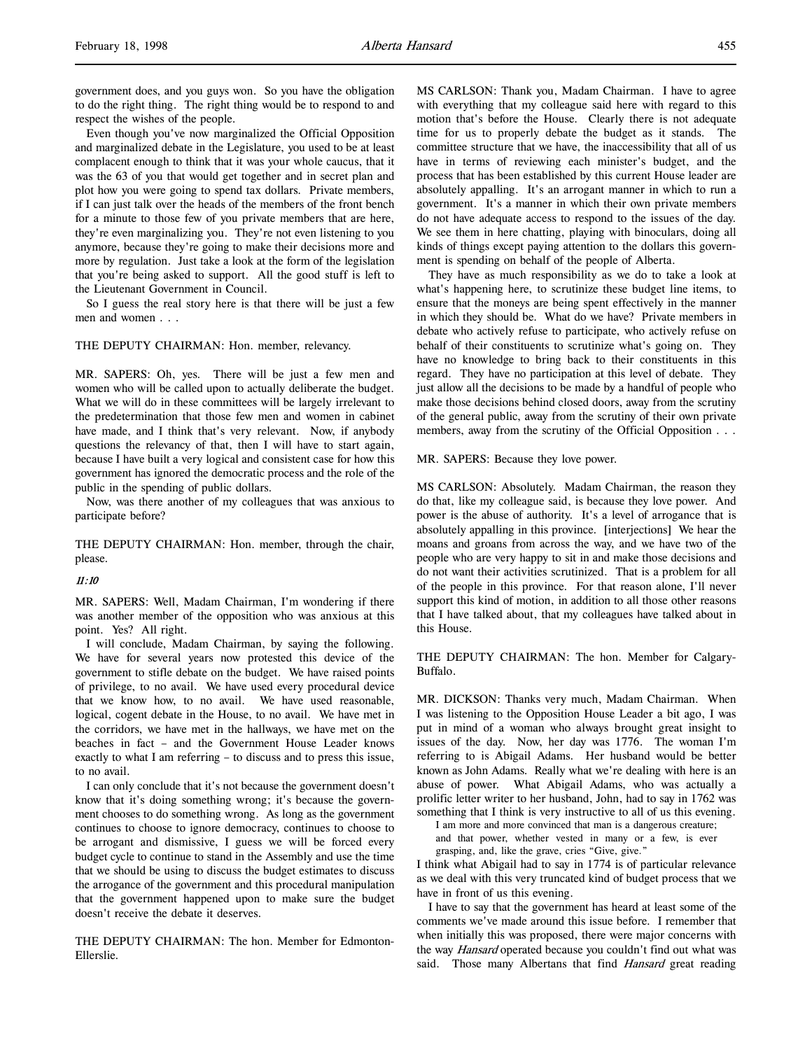government does, and you guys won. So you have the obligation to do the right thing. The right thing would be to respond to and respect the wishes of the people.

Even though you've now marginalized the Official Opposition and marginalized debate in the Legislature, you used to be at least complacent enough to think that it was your whole caucus, that it was the 63 of you that would get together and in secret plan and plot how you were going to spend tax dollars. Private members, if I can just talk over the heads of the members of the front bench for a minute to those few of you private members that are here, they're even marginalizing you. They're not even listening to you anymore, because they're going to make their decisions more and more by regulation. Just take a look at the form of the legislation that you're being asked to support. All the good stuff is left to the Lieutenant Government in Council.

So I guess the real story here is that there will be just a few men and women . . .

#### THE DEPUTY CHAIRMAN: Hon. member, relevancy.

MR. SAPERS: Oh, yes. There will be just a few men and women who will be called upon to actually deliberate the budget. What we will do in these committees will be largely irrelevant to the predetermination that those few men and women in cabinet have made, and I think that's very relevant. Now, if anybody questions the relevancy of that, then I will have to start again, because I have built a very logical and consistent case for how this government has ignored the democratic process and the role of the public in the spending of public dollars.

Now, was there another of my colleagues that was anxious to participate before?

THE DEPUTY CHAIRMAN: Hon. member, through the chair, please.

#### 11:10

MR. SAPERS: Well, Madam Chairman, I'm wondering if there was another member of the opposition who was anxious at this point. Yes? All right.

I will conclude, Madam Chairman, by saying the following. We have for several years now protested this device of the government to stifle debate on the budget. We have raised points of privilege, to no avail. We have used every procedural device that we know how, to no avail. We have used reasonable, logical, cogent debate in the House, to no avail. We have met in the corridors, we have met in the hallways, we have met on the beaches in fact – and the Government House Leader knows exactly to what I am referring – to discuss and to press this issue, to no avail.

I can only conclude that it's not because the government doesn't know that it's doing something wrong; it's because the government chooses to do something wrong. As long as the government continues to choose to ignore democracy, continues to choose to be arrogant and dismissive, I guess we will be forced every budget cycle to continue to stand in the Assembly and use the time that we should be using to discuss the budget estimates to discuss the arrogance of the government and this procedural manipulation that the government happened upon to make sure the budget doesn't receive the debate it deserves.

THE DEPUTY CHAIRMAN: The hon. Member for Edmonton-Ellerslie.

MS CARLSON: Thank you, Madam Chairman. I have to agree with everything that my colleague said here with regard to this motion that's before the House. Clearly there is not adequate time for us to properly debate the budget as it stands. The committee structure that we have, the inaccessibility that all of us have in terms of reviewing each minister's budget, and the process that has been established by this current House leader are absolutely appalling. It's an arrogant manner in which to run a government. It's a manner in which their own private members do not have adequate access to respond to the issues of the day. We see them in here chatting, playing with binoculars, doing all kinds of things except paying attention to the dollars this government is spending on behalf of the people of Alberta.

They have as much responsibility as we do to take a look at what's happening here, to scrutinize these budget line items, to ensure that the moneys are being spent effectively in the manner in which they should be. What do we have? Private members in debate who actively refuse to participate, who actively refuse on behalf of their constituents to scrutinize what's going on. They have no knowledge to bring back to their constituents in this regard. They have no participation at this level of debate. They just allow all the decisions to be made by a handful of people who make those decisions behind closed doors, away from the scrutiny of the general public, away from the scrutiny of their own private members, away from the scrutiny of the Official Opposition . . .

MR. SAPERS: Because they love power.

MS CARLSON: Absolutely. Madam Chairman, the reason they do that, like my colleague said, is because they love power. And power is the abuse of authority. It's a level of arrogance that is absolutely appalling in this province. [interjections] We hear the moans and groans from across the way, and we have two of the people who are very happy to sit in and make those decisions and do not want their activities scrutinized. That is a problem for all of the people in this province. For that reason alone, I'll never support this kind of motion, in addition to all those other reasons that I have talked about, that my colleagues have talked about in this House.

THE DEPUTY CHAIRMAN: The hon. Member for Calgary-Buffalo.

MR. DICKSON: Thanks very much, Madam Chairman. When I was listening to the Opposition House Leader a bit ago, I was put in mind of a woman who always brought great insight to issues of the day. Now, her day was 1776. The woman I'm referring to is Abigail Adams. Her husband would be better known as John Adams. Really what we're dealing with here is an abuse of power. What Abigail Adams, who was actually a prolific letter writer to her husband, John, had to say in 1762 was something that I think is very instructive to all of us this evening.

I am more and more convinced that man is a dangerous creature;

and that power, whether vested in many or a few, is ever grasping, and, like the grave, cries "Give, give."

I think what Abigail had to say in 1774 is of particular relevance as we deal with this very truncated kind of budget process that we have in front of us this evening.

I have to say that the government has heard at least some of the comments we've made around this issue before. I remember that when initially this was proposed, there were major concerns with the way Hansard operated because you couldn't find out what was said. Those many Albertans that find Hansard great reading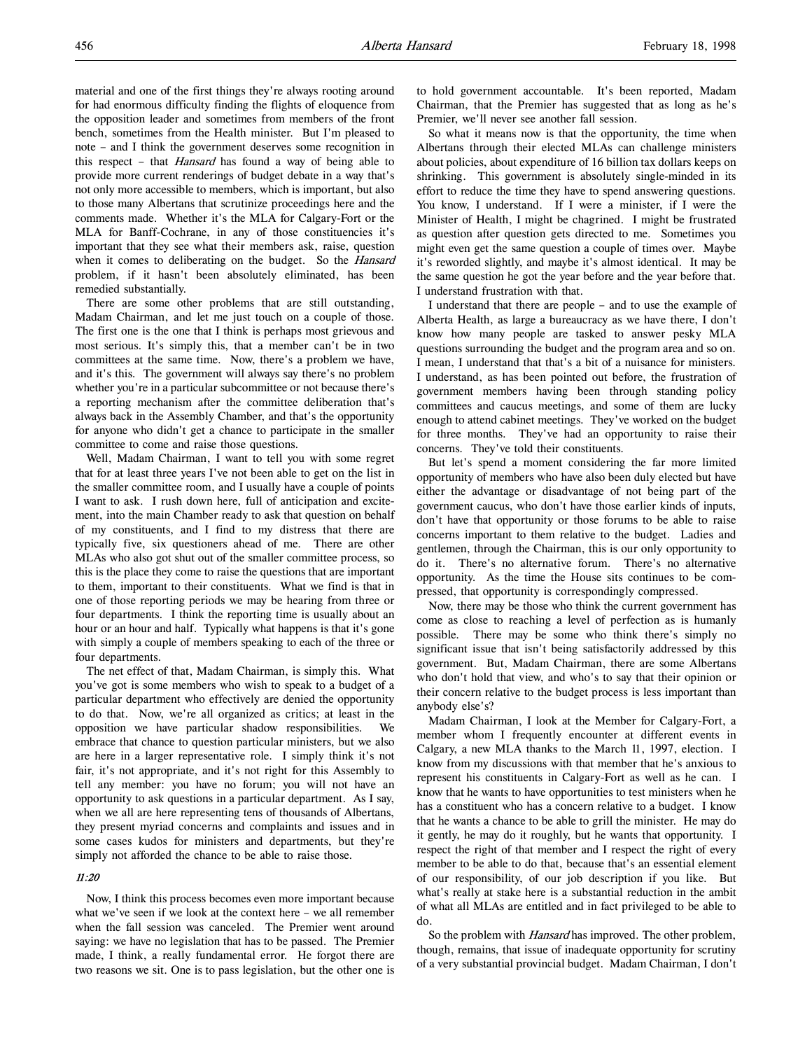material and one of the first things they're always rooting around for had enormous difficulty finding the flights of eloquence from the opposition leader and sometimes from members of the front bench, sometimes from the Health minister. But I'm pleased to note – and I think the government deserves some recognition in this respect – that Hansard has found a way of being able to provide more current renderings of budget debate in a way that's not only more accessible to members, which is important, but also to those many Albertans that scrutinize proceedings here and the comments made. Whether it's the MLA for Calgary-Fort or the MLA for Banff-Cochrane, in any of those constituencies it's important that they see what their members ask, raise, question when it comes to deliberating on the budget. So the *Hansard* problem, if it hasn't been absolutely eliminated, has been remedied substantially.

There are some other problems that are still outstanding, Madam Chairman, and let me just touch on a couple of those. The first one is the one that I think is perhaps most grievous and most serious. It's simply this, that a member can't be in two committees at the same time. Now, there's a problem we have, and it's this. The government will always say there's no problem whether you're in a particular subcommittee or not because there's a reporting mechanism after the committee deliberation that's always back in the Assembly Chamber, and that's the opportunity for anyone who didn't get a chance to participate in the smaller committee to come and raise those questions.

Well, Madam Chairman, I want to tell you with some regret that for at least three years I've not been able to get on the list in the smaller committee room, and I usually have a couple of points I want to ask. I rush down here, full of anticipation and excitement, into the main Chamber ready to ask that question on behalf of my constituents, and I find to my distress that there are typically five, six questioners ahead of me. There are other MLAs who also got shut out of the smaller committee process, so this is the place they come to raise the questions that are important to them, important to their constituents. What we find is that in one of those reporting periods we may be hearing from three or four departments. I think the reporting time is usually about an hour or an hour and half. Typically what happens is that it's gone with simply a couple of members speaking to each of the three or four departments.

The net effect of that, Madam Chairman, is simply this. What you've got is some members who wish to speak to a budget of a particular department who effectively are denied the opportunity to do that. Now, we're all organized as critics; at least in the opposition we have particular shadow responsibilities. We embrace that chance to question particular ministers, but we also are here in a larger representative role. I simply think it's not fair, it's not appropriate, and it's not right for this Assembly to tell any member: you have no forum; you will not have an opportunity to ask questions in a particular department. As I say, when we all are here representing tens of thousands of Albertans, they present myriad concerns and complaints and issues and in some cases kudos for ministers and departments, but they're simply not afforded the chance to be able to raise those.

# 11:20

Now, I think this process becomes even more important because what we've seen if we look at the context here – we all remember when the fall session was canceled. The Premier went around saying: we have no legislation that has to be passed. The Premier made, I think, a really fundamental error. He forgot there are two reasons we sit. One is to pass legislation, but the other one is to hold government accountable. It's been reported, Madam Chairman, that the Premier has suggested that as long as he's Premier, we'll never see another fall session.

So what it means now is that the opportunity, the time when Albertans through their elected MLAs can challenge ministers about policies, about expenditure of 16 billion tax dollars keeps on shrinking. This government is absolutely single-minded in its effort to reduce the time they have to spend answering questions. You know, I understand. If I were a minister, if I were the Minister of Health, I might be chagrined. I might be frustrated as question after question gets directed to me. Sometimes you might even get the same question a couple of times over. Maybe it's reworded slightly, and maybe it's almost identical. It may be the same question he got the year before and the year before that. I understand frustration with that.

I understand that there are people – and to use the example of Alberta Health, as large a bureaucracy as we have there, I don't know how many people are tasked to answer pesky MLA questions surrounding the budget and the program area and so on. I mean, I understand that that's a bit of a nuisance for ministers. I understand, as has been pointed out before, the frustration of government members having been through standing policy committees and caucus meetings, and some of them are lucky enough to attend cabinet meetings. They've worked on the budget for three months. They've had an opportunity to raise their concerns. They've told their constituents.

But let's spend a moment considering the far more limited opportunity of members who have also been duly elected but have either the advantage or disadvantage of not being part of the government caucus, who don't have those earlier kinds of inputs, don't have that opportunity or those forums to be able to raise concerns important to them relative to the budget. Ladies and gentlemen, through the Chairman, this is our only opportunity to do it. There's no alternative forum. There's no alternative opportunity. As the time the House sits continues to be compressed, that opportunity is correspondingly compressed.

Now, there may be those who think the current government has come as close to reaching a level of perfection as is humanly possible. There may be some who think there's simply no significant issue that isn't being satisfactorily addressed by this government. But, Madam Chairman, there are some Albertans who don't hold that view, and who's to say that their opinion or their concern relative to the budget process is less important than anybody else's?

Madam Chairman, I look at the Member for Calgary-Fort, a member whom I frequently encounter at different events in Calgary, a new MLA thanks to the March 11, 1997, election. I know from my discussions with that member that he's anxious to represent his constituents in Calgary-Fort as well as he can. I know that he wants to have opportunities to test ministers when he has a constituent who has a concern relative to a budget. I know that he wants a chance to be able to grill the minister. He may do it gently, he may do it roughly, but he wants that opportunity. I respect the right of that member and I respect the right of every member to be able to do that, because that's an essential element of our responsibility, of our job description if you like. But what's really at stake here is a substantial reduction in the ambit of what all MLAs are entitled and in fact privileged to be able to do.

So the problem with *Hansard* has improved. The other problem, though, remains, that issue of inadequate opportunity for scrutiny of a very substantial provincial budget. Madam Chairman, I don't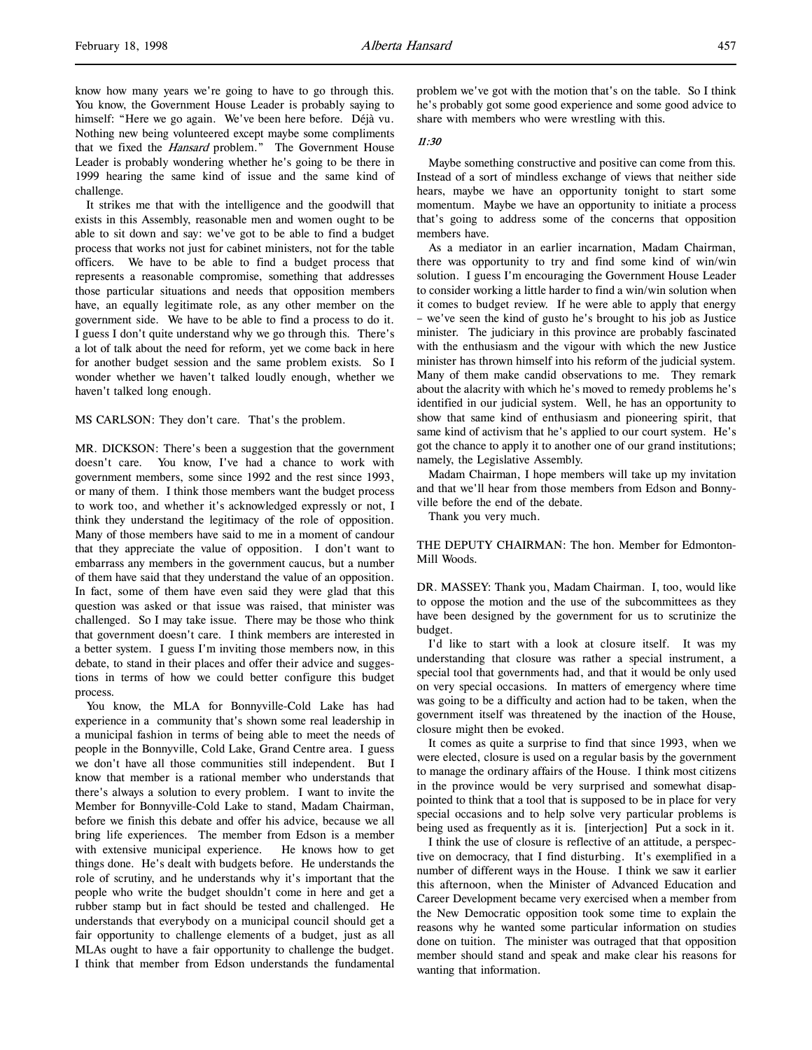It strikes me that with the intelligence and the goodwill that exists in this Assembly, reasonable men and women ought to be able to sit down and say: we've got to be able to find a budget process that works not just for cabinet ministers, not for the table officers. We have to be able to find a budget process that represents a reasonable compromise, something that addresses those particular situations and needs that opposition members have, an equally legitimate role, as any other member on the government side. We have to be able to find a process to do it. I guess I don't quite understand why we go through this. There's a lot of talk about the need for reform, yet we come back in here for another budget session and the same problem exists. So I wonder whether we haven't talked loudly enough, whether we haven't talked long enough.

MS CARLSON: They don't care. That's the problem.

MR. DICKSON: There's been a suggestion that the government doesn't care. You know, I've had a chance to work with government members, some since 1992 and the rest since 1993, or many of them. I think those members want the budget process to work too, and whether it's acknowledged expressly or not, I think they understand the legitimacy of the role of opposition. Many of those members have said to me in a moment of candour that they appreciate the value of opposition. I don't want to embarrass any members in the government caucus, but a number of them have said that they understand the value of an opposition. In fact, some of them have even said they were glad that this question was asked or that issue was raised, that minister was challenged. So I may take issue. There may be those who think that government doesn't care. I think members are interested in a better system. I guess I'm inviting those members now, in this debate, to stand in their places and offer their advice and suggestions in terms of how we could better configure this budget process.

You know, the MLA for Bonnyville-Cold Lake has had experience in a community that's shown some real leadership in a municipal fashion in terms of being able to meet the needs of people in the Bonnyville, Cold Lake, Grand Centre area. I guess we don't have all those communities still independent. But I know that member is a rational member who understands that there's always a solution to every problem. I want to invite the Member for Bonnyville-Cold Lake to stand, Madam Chairman, before we finish this debate and offer his advice, because we all bring life experiences. The member from Edson is a member with extensive municipal experience. He knows how to get things done. He's dealt with budgets before. He understands the role of scrutiny, and he understands why it's important that the people who write the budget shouldn't come in here and get a rubber stamp but in fact should be tested and challenged. He understands that everybody on a municipal council should get a fair opportunity to challenge elements of a budget, just as all MLAs ought to have a fair opportunity to challenge the budget. I think that member from Edson understands the fundamental

problem we've got with the motion that's on the table. So I think he's probably got some good experience and some good advice to share with members who were wrestling with this.

## 11:30

Maybe something constructive and positive can come from this. Instead of a sort of mindless exchange of views that neither side hears, maybe we have an opportunity tonight to start some momentum. Maybe we have an opportunity to initiate a process that's going to address some of the concerns that opposition members have.

As a mediator in an earlier incarnation, Madam Chairman, there was opportunity to try and find some kind of win/win solution. I guess I'm encouraging the Government House Leader to consider working a little harder to find a win/win solution when it comes to budget review. If he were able to apply that energy – we've seen the kind of gusto he's brought to his job as Justice minister. The judiciary in this province are probably fascinated with the enthusiasm and the vigour with which the new Justice minister has thrown himself into his reform of the judicial system. Many of them make candid observations to me. They remark about the alacrity with which he's moved to remedy problems he's identified in our judicial system. Well, he has an opportunity to show that same kind of enthusiasm and pioneering spirit, that same kind of activism that he's applied to our court system. He's got the chance to apply it to another one of our grand institutions; namely, the Legislative Assembly.

Madam Chairman, I hope members will take up my invitation and that we'll hear from those members from Edson and Bonnyville before the end of the debate.

Thank you very much.

THE DEPUTY CHAIRMAN: The hon. Member for Edmonton-Mill Woods.

DR. MASSEY: Thank you, Madam Chairman. I, too, would like to oppose the motion and the use of the subcommittees as they have been designed by the government for us to scrutinize the budget.

I'd like to start with a look at closure itself. It was my understanding that closure was rather a special instrument, a special tool that governments had, and that it would be only used on very special occasions. In matters of emergency where time was going to be a difficulty and action had to be taken, when the government itself was threatened by the inaction of the House, closure might then be evoked.

It comes as quite a surprise to find that since 1993, when we were elected, closure is used on a regular basis by the government to manage the ordinary affairs of the House. I think most citizens in the province would be very surprised and somewhat disappointed to think that a tool that is supposed to be in place for very special occasions and to help solve very particular problems is being used as frequently as it is. [interjection] Put a sock in it.

I think the use of closure is reflective of an attitude, a perspective on democracy, that I find disturbing. It's exemplified in a number of different ways in the House. I think we saw it earlier this afternoon, when the Minister of Advanced Education and Career Development became very exercised when a member from the New Democratic opposition took some time to explain the reasons why he wanted some particular information on studies done on tuition. The minister was outraged that that opposition member should stand and speak and make clear his reasons for wanting that information.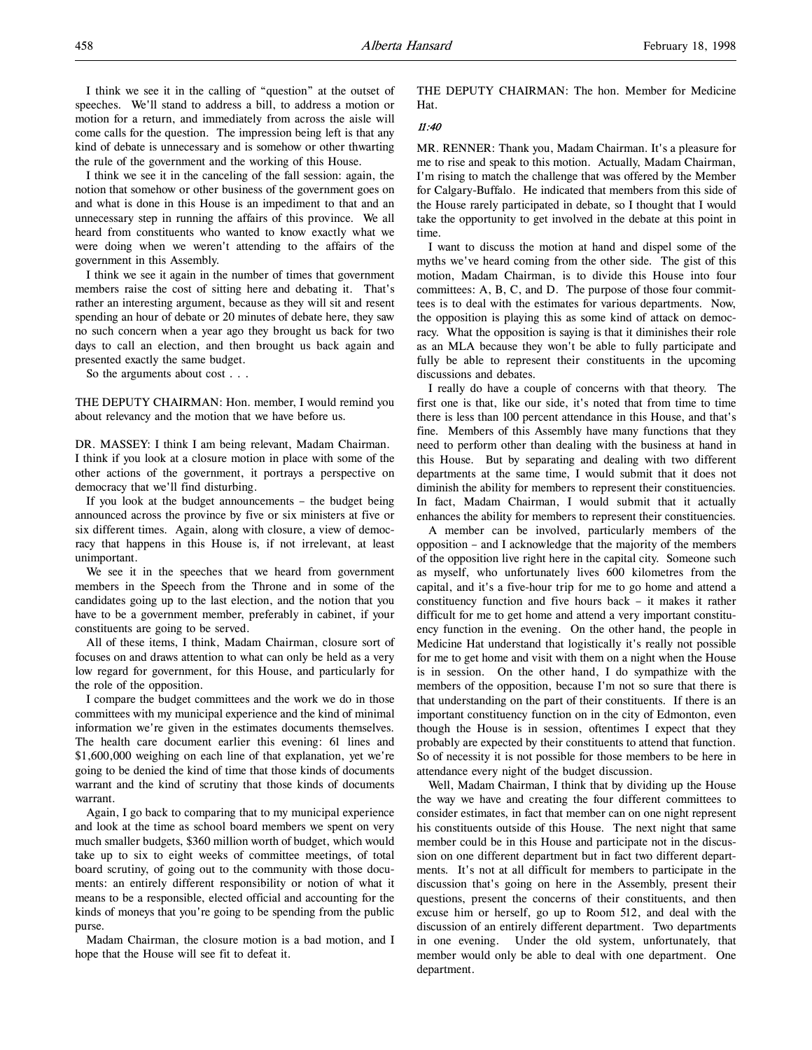I think we see it in the calling of "question" at the outset of speeches. We'll stand to address a bill, to address a motion or motion for a return, and immediately from across the aisle will come calls for the question. The impression being left is that any kind of debate is unnecessary and is somehow or other thwarting the rule of the government and the working of this House.

I think we see it in the canceling of the fall session: again, the notion that somehow or other business of the government goes on and what is done in this House is an impediment to that and an unnecessary step in running the affairs of this province. We all heard from constituents who wanted to know exactly what we were doing when we weren't attending to the affairs of the government in this Assembly.

I think we see it again in the number of times that government members raise the cost of sitting here and debating it. That's rather an interesting argument, because as they will sit and resent spending an hour of debate or 20 minutes of debate here, they saw no such concern when a year ago they brought us back for two days to call an election, and then brought us back again and presented exactly the same budget.

So the arguments about cost . . .

THE DEPUTY CHAIRMAN: Hon. member, I would remind you about relevancy and the motion that we have before us.

DR. MASSEY: I think I am being relevant, Madam Chairman. I think if you look at a closure motion in place with some of the other actions of the government, it portrays a perspective on democracy that we'll find disturbing.

If you look at the budget announcements – the budget being announced across the province by five or six ministers at five or six different times. Again, along with closure, a view of democracy that happens in this House is, if not irrelevant, at least unimportant.

We see it in the speeches that we heard from government members in the Speech from the Throne and in some of the candidates going up to the last election, and the notion that you have to be a government member, preferably in cabinet, if your constituents are going to be served.

All of these items, I think, Madam Chairman, closure sort of focuses on and draws attention to what can only be held as a very low regard for government, for this House, and particularly for the role of the opposition.

I compare the budget committees and the work we do in those committees with my municipal experience and the kind of minimal information we're given in the estimates documents themselves. The health care document earlier this evening: 61 lines and \$1,600,000 weighing on each line of that explanation, yet we're going to be denied the kind of time that those kinds of documents warrant and the kind of scrutiny that those kinds of documents warrant.

Again, I go back to comparing that to my municipal experience and look at the time as school board members we spent on very much smaller budgets, \$360 million worth of budget, which would take up to six to eight weeks of committee meetings, of total board scrutiny, of going out to the community with those documents: an entirely different responsibility or notion of what it means to be a responsible, elected official and accounting for the kinds of moneys that you're going to be spending from the public purse.

Madam Chairman, the closure motion is a bad motion, and I hope that the House will see fit to defeat it.

THE DEPUTY CHAIRMAN: The hon. Member for Medicine Hat.

## 11:40

MR. RENNER: Thank you, Madam Chairman. It's a pleasure for me to rise and speak to this motion. Actually, Madam Chairman, I'm rising to match the challenge that was offered by the Member for Calgary-Buffalo. He indicated that members from this side of the House rarely participated in debate, so I thought that I would take the opportunity to get involved in the debate at this point in time.

I want to discuss the motion at hand and dispel some of the myths we've heard coming from the other side. The gist of this motion, Madam Chairman, is to divide this House into four committees: A, B, C, and D. The purpose of those four committees is to deal with the estimates for various departments. Now, the opposition is playing this as some kind of attack on democracy. What the opposition is saying is that it diminishes their role as an MLA because they won't be able to fully participate and fully be able to represent their constituents in the upcoming discussions and debates.

I really do have a couple of concerns with that theory. The first one is that, like our side, it's noted that from time to time there is less than 100 percent attendance in this House, and that's fine. Members of this Assembly have many functions that they need to perform other than dealing with the business at hand in this House. But by separating and dealing with two different departments at the same time, I would submit that it does not diminish the ability for members to represent their constituencies. In fact, Madam Chairman, I would submit that it actually enhances the ability for members to represent their constituencies.

A member can be involved, particularly members of the opposition – and I acknowledge that the majority of the members of the opposition live right here in the capital city. Someone such as myself, who unfortunately lives 600 kilometres from the capital, and it's a five-hour trip for me to go home and attend a constituency function and five hours back – it makes it rather difficult for me to get home and attend a very important constituency function in the evening. On the other hand, the people in Medicine Hat understand that logistically it's really not possible for me to get home and visit with them on a night when the House is in session. On the other hand, I do sympathize with the members of the opposition, because I'm not so sure that there is that understanding on the part of their constituents. If there is an important constituency function on in the city of Edmonton, even though the House is in session, oftentimes I expect that they probably are expected by their constituents to attend that function. So of necessity it is not possible for those members to be here in attendance every night of the budget discussion.

Well, Madam Chairman, I think that by dividing up the House the way we have and creating the four different committees to consider estimates, in fact that member can on one night represent his constituents outside of this House. The next night that same member could be in this House and participate not in the discussion on one different department but in fact two different departments. It's not at all difficult for members to participate in the discussion that's going on here in the Assembly, present their questions, present the concerns of their constituents, and then excuse him or herself, go up to Room 512, and deal with the discussion of an entirely different department. Two departments in one evening. Under the old system, unfortunately, that member would only be able to deal with one department. One department.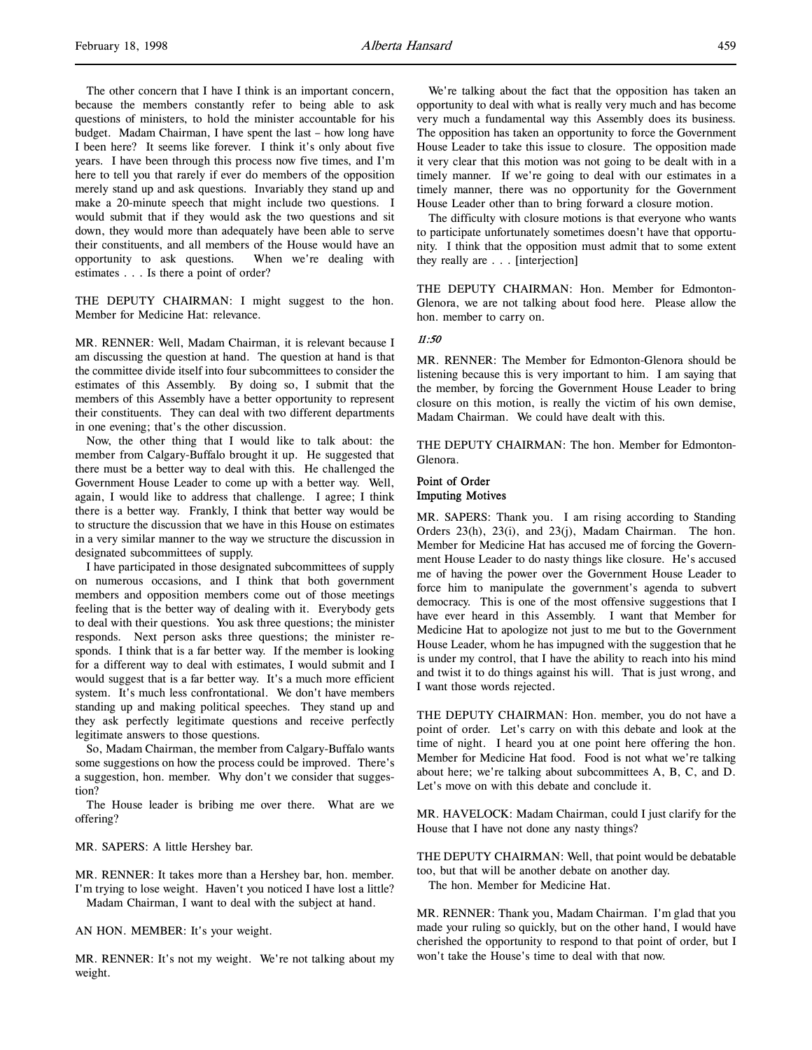The other concern that I have I think is an important concern, because the members constantly refer to being able to ask questions of ministers, to hold the minister accountable for his budget. Madam Chairman, I have spent the last – how long have I been here? It seems like forever. I think it's only about five years. I have been through this process now five times, and I'm here to tell you that rarely if ever do members of the opposition merely stand up and ask questions. Invariably they stand up and make a 20-minute speech that might include two questions. I would submit that if they would ask the two questions and sit down, they would more than adequately have been able to serve their constituents, and all members of the House would have an opportunity to ask questions. When we're dealing with estimates . . . Is there a point of order?

THE DEPUTY CHAIRMAN: I might suggest to the hon. Member for Medicine Hat: relevance.

MR. RENNER: Well, Madam Chairman, it is relevant because I am discussing the question at hand. The question at hand is that the committee divide itself into four subcommittees to consider the estimates of this Assembly. By doing so, I submit that the members of this Assembly have a better opportunity to represent their constituents. They can deal with two different departments in one evening; that's the other discussion.

Now, the other thing that I would like to talk about: the member from Calgary-Buffalo brought it up. He suggested that there must be a better way to deal with this. He challenged the Government House Leader to come up with a better way. Well, again, I would like to address that challenge. I agree; I think there is a better way. Frankly, I think that better way would be to structure the discussion that we have in this House on estimates in a very similar manner to the way we structure the discussion in designated subcommittees of supply.

I have participated in those designated subcommittees of supply on numerous occasions, and I think that both government members and opposition members come out of those meetings feeling that is the better way of dealing with it. Everybody gets to deal with their questions. You ask three questions; the minister responds. Next person asks three questions; the minister responds. I think that is a far better way. If the member is looking for a different way to deal with estimates, I would submit and I would suggest that is a far better way. It's a much more efficient system. It's much less confrontational. We don't have members standing up and making political speeches. They stand up and they ask perfectly legitimate questions and receive perfectly legitimate answers to those questions.

So, Madam Chairman, the member from Calgary-Buffalo wants some suggestions on how the process could be improved. There's a suggestion, hon. member. Why don't we consider that suggestion?

The House leader is bribing me over there. What are we offering?

MR. SAPERS: A little Hershey bar.

MR. RENNER: It takes more than a Hershey bar, hon. member. I'm trying to lose weight. Haven't you noticed I have lost a little? Madam Chairman, I want to deal with the subject at hand.

AN HON. MEMBER: It's your weight.

MR. RENNER: It's not my weight. We're not talking about my weight.

We're talking about the fact that the opposition has taken an opportunity to deal with what is really very much and has become very much a fundamental way this Assembly does its business. The opposition has taken an opportunity to force the Government House Leader to take this issue to closure. The opposition made it very clear that this motion was not going to be dealt with in a timely manner. If we're going to deal with our estimates in a timely manner, there was no opportunity for the Government House Leader other than to bring forward a closure motion.

The difficulty with closure motions is that everyone who wants to participate unfortunately sometimes doesn't have that opportunity. I think that the opposition must admit that to some extent they really are . . . [interjection]

THE DEPUTY CHAIRMAN: Hon. Member for Edmonton-Glenora, we are not talking about food here. Please allow the hon. member to carry on.

### 11:50

MR. RENNER: The Member for Edmonton-Glenora should be listening because this is very important to him. I am saying that the member, by forcing the Government House Leader to bring closure on this motion, is really the victim of his own demise, Madam Chairman. We could have dealt with this.

THE DEPUTY CHAIRMAN: The hon. Member for Edmonton-Glenora.

# Point of Order Imputing Motives

MR. SAPERS: Thank you. I am rising according to Standing Orders 23(h), 23(i), and 23(j), Madam Chairman. The hon. Member for Medicine Hat has accused me of forcing the Government House Leader to do nasty things like closure. He's accused me of having the power over the Government House Leader to force him to manipulate the government's agenda to subvert democracy. This is one of the most offensive suggestions that I have ever heard in this Assembly. I want that Member for Medicine Hat to apologize not just to me but to the Government House Leader, whom he has impugned with the suggestion that he is under my control, that I have the ability to reach into his mind and twist it to do things against his will. That is just wrong, and I want those words rejected.

THE DEPUTY CHAIRMAN: Hon. member, you do not have a point of order. Let's carry on with this debate and look at the time of night. I heard you at one point here offering the hon. Member for Medicine Hat food. Food is not what we're talking about here; we're talking about subcommittees A, B, C, and D. Let's move on with this debate and conclude it.

MR. HAVELOCK: Madam Chairman, could I just clarify for the House that I have not done any nasty things?

THE DEPUTY CHAIRMAN: Well, that point would be debatable too, but that will be another debate on another day. The hon. Member for Medicine Hat.

MR. RENNER: Thank you, Madam Chairman. I'm glad that you made your ruling so quickly, but on the other hand, I would have cherished the opportunity to respond to that point of order, but I won't take the House's time to deal with that now.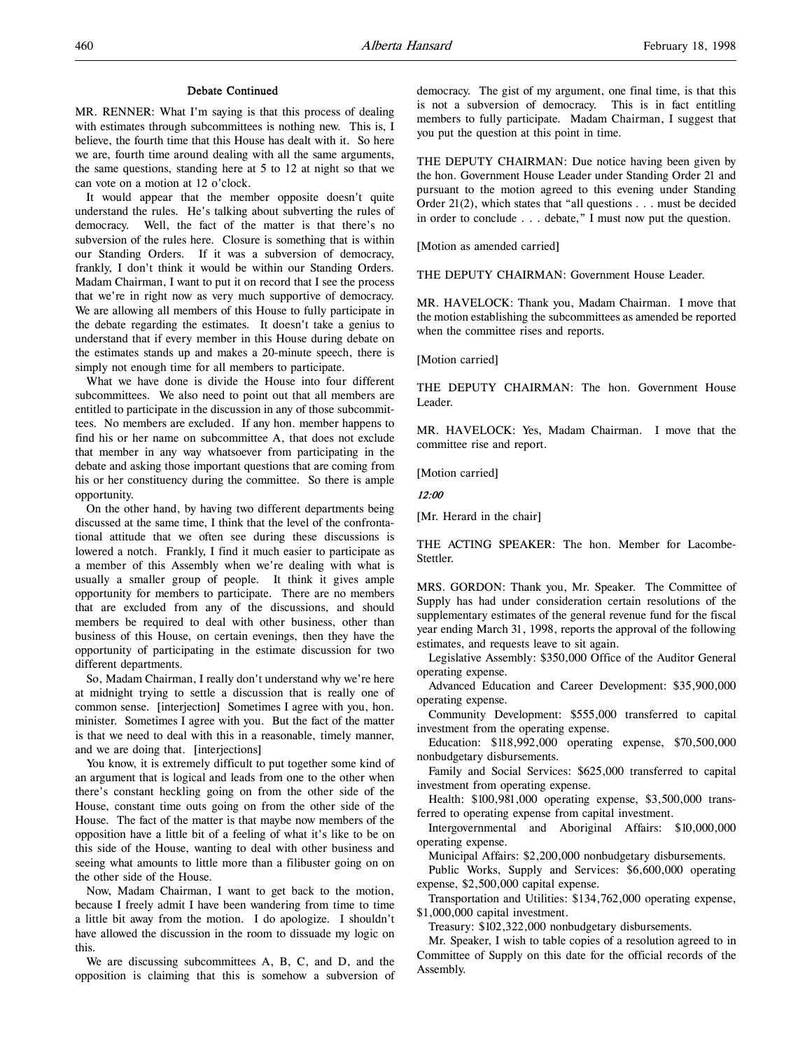### Debate Continued

MR. RENNER: What I'm saying is that this process of dealing with estimates through subcommittees is nothing new. This is, I believe, the fourth time that this House has dealt with it. So here we are, fourth time around dealing with all the same arguments, the same questions, standing here at 5 to 12 at night so that we can vote on a motion at 12 o'clock.

It would appear that the member opposite doesn't quite understand the rules. He's talking about subverting the rules of democracy. Well, the fact of the matter is that there's no subversion of the rules here. Closure is something that is within our Standing Orders. If it was a subversion of democracy, frankly, I don't think it would be within our Standing Orders. Madam Chairman, I want to put it on record that I see the process that we're in right now as very much supportive of democracy. We are allowing all members of this House to fully participate in the debate regarding the estimates. It doesn't take a genius to understand that if every member in this House during debate on the estimates stands up and makes a 20-minute speech, there is simply not enough time for all members to participate.

What we have done is divide the House into four different subcommittees. We also need to point out that all members are entitled to participate in the discussion in any of those subcommittees. No members are excluded. If any hon. member happens to find his or her name on subcommittee A, that does not exclude that member in any way whatsoever from participating in the debate and asking those important questions that are coming from his or her constituency during the committee. So there is ample opportunity.

On the other hand, by having two different departments being discussed at the same time, I think that the level of the confrontational attitude that we often see during these discussions is lowered a notch. Frankly, I find it much easier to participate as a member of this Assembly when we're dealing with what is usually a smaller group of people. It think it gives ample opportunity for members to participate. There are no members that are excluded from any of the discussions, and should members be required to deal with other business, other than business of this House, on certain evenings, then they have the opportunity of participating in the estimate discussion for two different departments.

So, Madam Chairman, I really don't understand why we're here at midnight trying to settle a discussion that is really one of common sense. [interjection] Sometimes I agree with you, hon. minister. Sometimes I agree with you. But the fact of the matter is that we need to deal with this in a reasonable, timely manner, and we are doing that. [interjections]

You know, it is extremely difficult to put together some kind of an argument that is logical and leads from one to the other when there's constant heckling going on from the other side of the House, constant time outs going on from the other side of the House. The fact of the matter is that maybe now members of the opposition have a little bit of a feeling of what it's like to be on this side of the House, wanting to deal with other business and seeing what amounts to little more than a filibuster going on on the other side of the House.

Now, Madam Chairman, I want to get back to the motion, because I freely admit I have been wandering from time to time a little bit away from the motion. I do apologize. I shouldn't have allowed the discussion in the room to dissuade my logic on this.

We are discussing subcommittees A, B, C, and D, and the opposition is claiming that this is somehow a subversion of democracy. The gist of my argument, one final time, is that this is not a subversion of democracy. This is in fact entitling members to fully participate. Madam Chairman, I suggest that you put the question at this point in time.

THE DEPUTY CHAIRMAN: Due notice having been given by the hon. Government House Leader under Standing Order 21 and pursuant to the motion agreed to this evening under Standing Order 21(2), which states that "all questions . . . must be decided in order to conclude . . . debate," I must now put the question.

[Motion as amended carried]

THE DEPUTY CHAIRMAN: Government House Leader.

MR. HAVELOCK: Thank you, Madam Chairman. I move that the motion establishing the subcommittees as amended be reported when the committee rises and reports.

[Motion carried]

THE DEPUTY CHAIRMAN: The hon. Government House Leader.

MR. HAVELOCK: Yes, Madam Chairman. I move that the committee rise and report.

[Motion carried]

# 12:00

[Mr. Herard in the chair]

THE ACTING SPEAKER: The hon. Member for Lacombe-Stettler.

MRS. GORDON: Thank you, Mr. Speaker. The Committee of Supply has had under consideration certain resolutions of the supplementary estimates of the general revenue fund for the fiscal year ending March 31, 1998, reports the approval of the following estimates, and requests leave to sit again.

Legislative Assembly: \$350,000 Office of the Auditor General operating expense.

Advanced Education and Career Development: \$35,900,000 operating expense.

Community Development: \$555,000 transferred to capital investment from the operating expense.

Education: \$118,992,000 operating expense, \$70,500,000 nonbudgetary disbursements.

Family and Social Services: \$625,000 transferred to capital investment from operating expense.

Health: \$100,981,000 operating expense, \$3,500,000 transferred to operating expense from capital investment.

Intergovernmental and Aboriginal Affairs: \$10,000,000 operating expense.

Municipal Affairs: \$2,200,000 nonbudgetary disbursements.

Public Works, Supply and Services: \$6,600,000 operating expense, \$2,500,000 capital expense.

Transportation and Utilities: \$134,762,000 operating expense, \$1,000,000 capital investment.

Treasury: \$102,322,000 nonbudgetary disbursements.

Mr. Speaker, I wish to table copies of a resolution agreed to in Committee of Supply on this date for the official records of the Assembly.